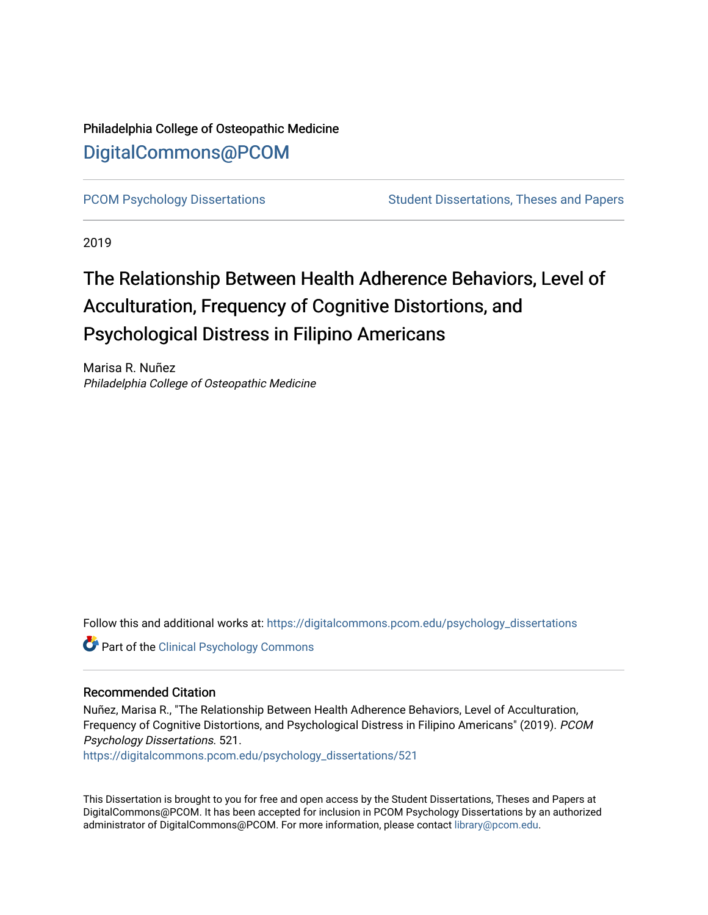## Philadelphia College of Osteopathic Medicine [DigitalCommons@PCOM](https://digitalcommons.pcom.edu/)

[PCOM Psychology Dissertations](https://digitalcommons.pcom.edu/psychology_dissertations) Student Dissertations, Theses and Papers

2019

## The Relationship Between Health Adherence Behaviors, Level of Acculturation, Frequency of Cognitive Distortions, and Psychological Distress in Filipino Americans

Marisa R. Nuñez Philadelphia College of Osteopathic Medicine

Follow this and additional works at: [https://digitalcommons.pcom.edu/psychology\\_dissertations](https://digitalcommons.pcom.edu/psychology_dissertations?utm_source=digitalcommons.pcom.edu%2Fpsychology_dissertations%2F521&utm_medium=PDF&utm_campaign=PDFCoverPages)

**Part of the Clinical Psychology Commons** 

#### Recommended Citation

Nuñez, Marisa R., "The Relationship Between Health Adherence Behaviors, Level of Acculturation, Frequency of Cognitive Distortions, and Psychological Distress in Filipino Americans" (2019). PCOM Psychology Dissertations. 521.

[https://digitalcommons.pcom.edu/psychology\\_dissertations/521](https://digitalcommons.pcom.edu/psychology_dissertations/521?utm_source=digitalcommons.pcom.edu%2Fpsychology_dissertations%2F521&utm_medium=PDF&utm_campaign=PDFCoverPages) 

This Dissertation is brought to you for free and open access by the Student Dissertations, Theses and Papers at DigitalCommons@PCOM. It has been accepted for inclusion in PCOM Psychology Dissertations by an authorized administrator of DigitalCommons@PCOM. For more information, please contact [library@pcom.edu.](mailto:library@pcom.edu)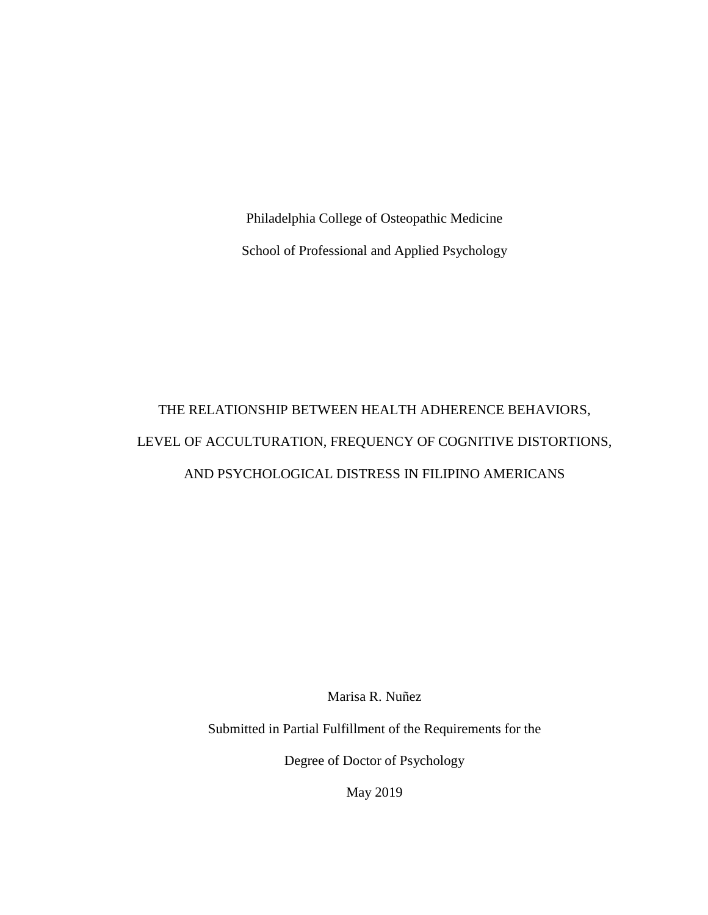Philadelphia College of Osteopathic Medicine School of Professional and Applied Psychology

# THE RELATIONSHIP BETWEEN HEALTH ADHERENCE BEHAVIORS, LEVEL OF ACCULTURATION, FREQUENCY OF COGNITIVE DISTORTIONS, AND PSYCHOLOGICAL DISTRESS IN FILIPINO AMERICANS

Marisa R. Nuñez

Submitted in Partial Fulfillment of the Requirements for the

Degree of Doctor of Psychology

May 2019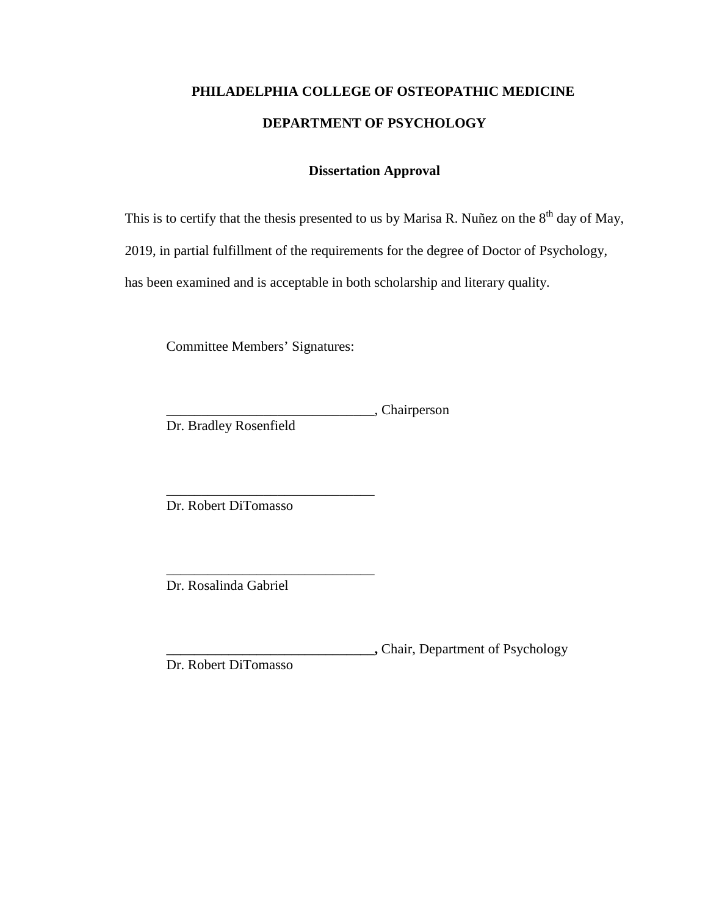## **PHILADELPHIA COLLEGE OF OSTEOPATHIC MEDICINE DEPARTMENT OF PSYCHOLOGY**

### **Dissertation Approval**

This is to certify that the thesis presented to us by Marisa R. Nuñez on the  $8<sup>th</sup>$  day of May,

2019, in partial fulfillment of the requirements for the degree of Doctor of Psychology,

has been examined and is acceptable in both scholarship and literary quality.

Committee Members' Signatures:

\_\_\_\_\_\_\_\_\_\_\_\_\_\_\_\_\_\_\_\_\_\_\_\_\_\_\_\_\_\_, Chairperson

Dr. Bradley Rosenfield

\_\_\_\_\_\_\_\_\_\_\_\_\_\_\_\_\_\_\_\_\_\_\_\_\_\_\_\_\_\_ Dr. Robert DiTomasso

\_\_\_\_\_\_\_\_\_\_\_\_\_\_\_\_\_\_\_\_\_\_\_\_\_\_\_\_\_\_ Dr. Rosalinda Gabriel

**\_\_\_\_\_\_\_\_\_\_\_\_\_\_\_\_\_\_\_\_\_\_\_\_\_\_\_\_\_\_,** Chair, Department of Psychology

Dr. Robert DiTomasso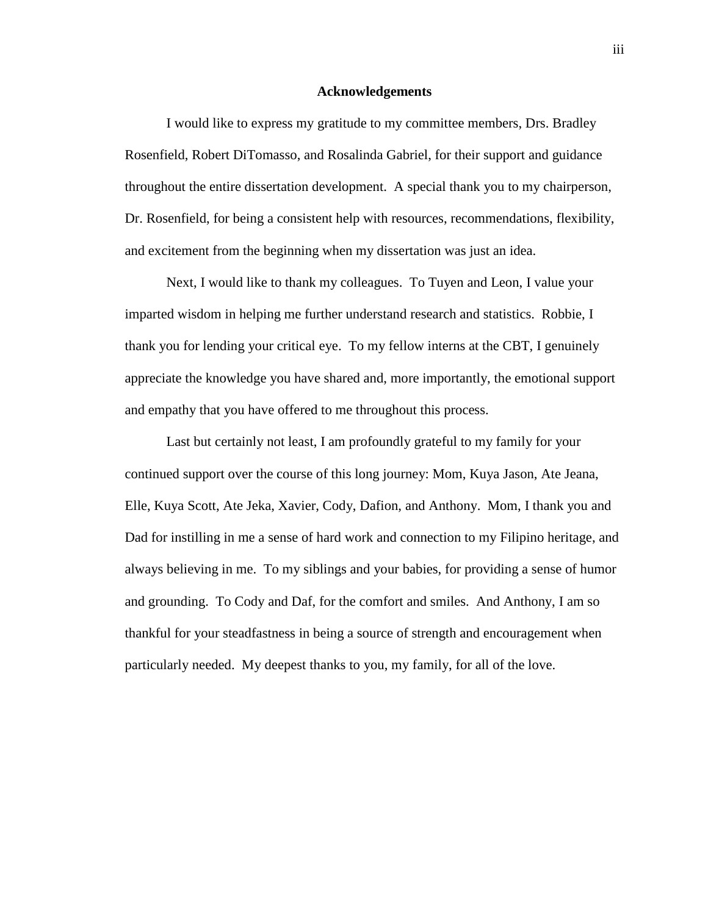#### **Acknowledgements**

I would like to express my gratitude to my committee members, Drs. Bradley Rosenfield, Robert DiTomasso, and Rosalinda Gabriel, for their support and guidance throughout the entire dissertation development. A special thank you to my chairperson, Dr. Rosenfield, for being a consistent help with resources, recommendations, flexibility, and excitement from the beginning when my dissertation was just an idea.

Next, I would like to thank my colleagues. To Tuyen and Leon, I value your imparted wisdom in helping me further understand research and statistics. Robbie, I thank you for lending your critical eye. To my fellow interns at the CBT, I genuinely appreciate the knowledge you have shared and, more importantly, the emotional support and empathy that you have offered to me throughout this process.

Last but certainly not least, I am profoundly grateful to my family for your continued support over the course of this long journey: Mom, Kuya Jason, Ate Jeana, Elle, Kuya Scott, Ate Jeka, Xavier, Cody, Dafion, and Anthony. Mom, I thank you and Dad for instilling in me a sense of hard work and connection to my Filipino heritage, and always believing in me. To my siblings and your babies, for providing a sense of humor and grounding. To Cody and Daf, for the comfort and smiles. And Anthony, I am so thankful for your steadfastness in being a source of strength and encouragement when particularly needed. My deepest thanks to you, my family, for all of the love.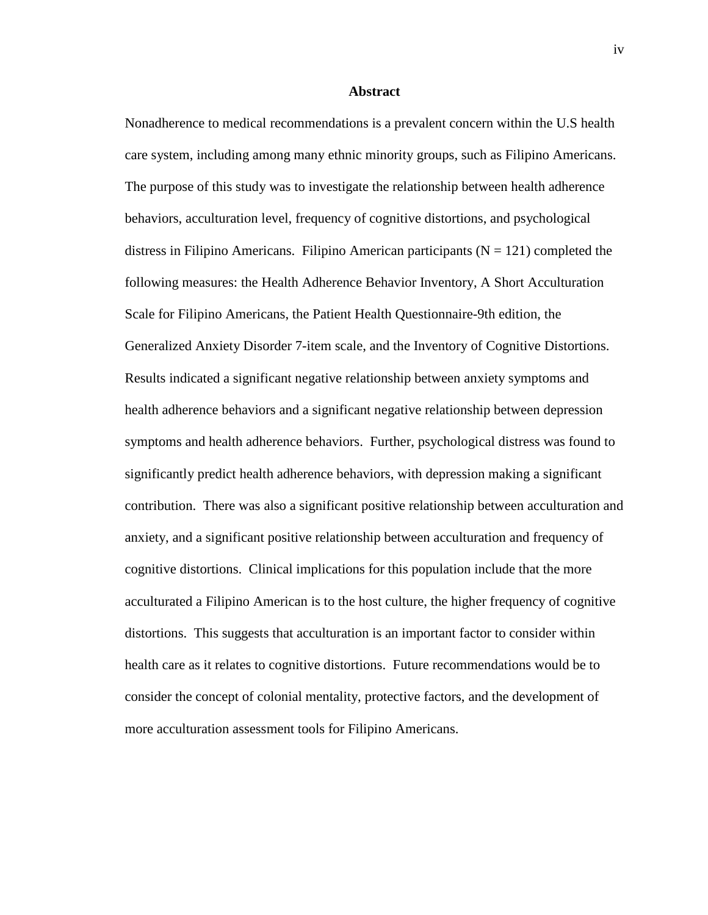#### **Abstract**

Nonadherence to medical recommendations is a prevalent concern within the U.S health care system, including among many ethnic minority groups, such as Filipino Americans. The purpose of this study was to investigate the relationship between health adherence behaviors, acculturation level, frequency of cognitive distortions, and psychological distress in Filipino Americans. Filipino American participants ( $N = 121$ ) completed the following measures: the Health Adherence Behavior Inventory, A Short Acculturation Scale for Filipino Americans, the Patient Health Questionnaire-9th edition, the Generalized Anxiety Disorder 7-item scale, and the Inventory of Cognitive Distortions. Results indicated a significant negative relationship between anxiety symptoms and health adherence behaviors and a significant negative relationship between depression symptoms and health adherence behaviors. Further, psychological distress was found to significantly predict health adherence behaviors, with depression making a significant contribution. There was also a significant positive relationship between acculturation and anxiety, and a significant positive relationship between acculturation and frequency of cognitive distortions. Clinical implications for this population include that the more acculturated a Filipino American is to the host culture, the higher frequency of cognitive distortions. This suggests that acculturation is an important factor to consider within health care as it relates to cognitive distortions. Future recommendations would be to consider the concept of colonial mentality, protective factors, and the development of more acculturation assessment tools for Filipino Americans.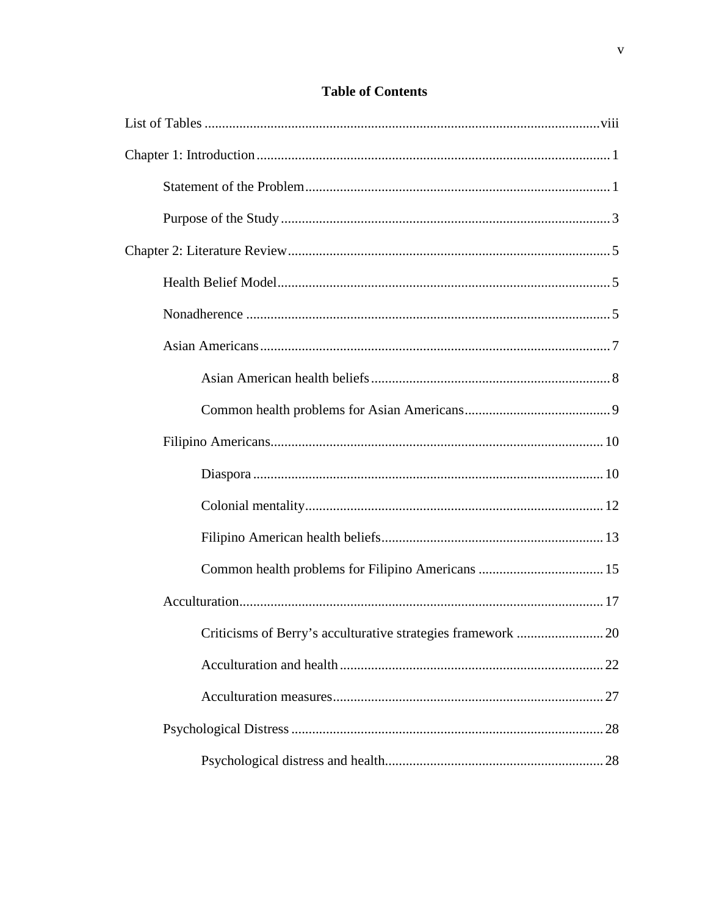| Criticisms of Berry's acculturative strategies framework  20 |
|--------------------------------------------------------------|
|                                                              |
|                                                              |
|                                                              |
|                                                              |

### **Table of Contents**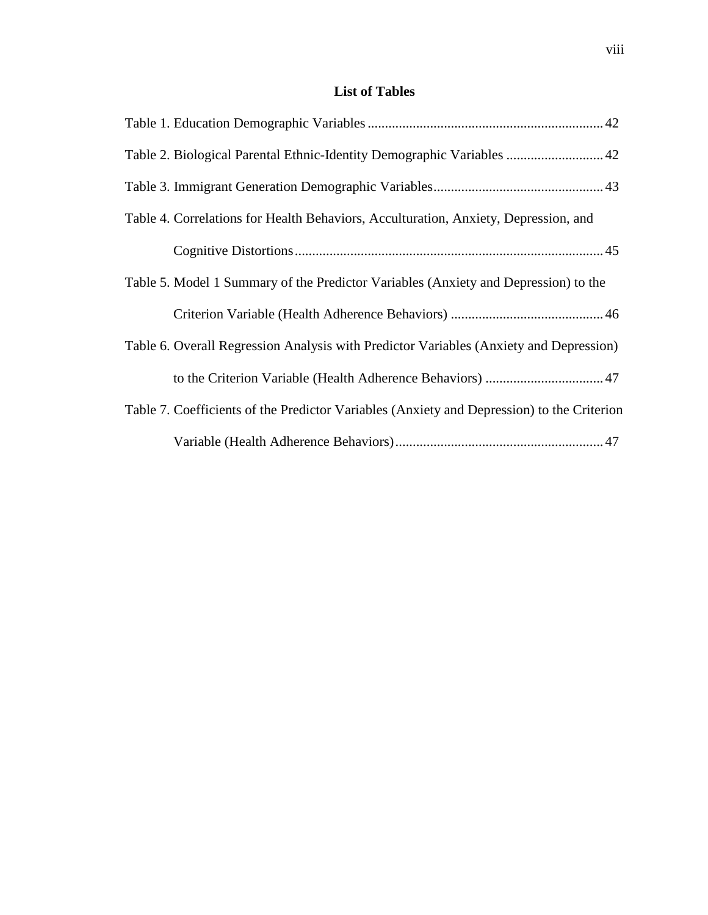## **List of Tables**

| Table 2. Biological Parental Ethnic-Identity Demographic Variables  42                     |
|--------------------------------------------------------------------------------------------|
|                                                                                            |
| Table 4. Correlations for Health Behaviors, Acculturation, Anxiety, Depression, and        |
|                                                                                            |
| Table 5. Model 1 Summary of the Predictor Variables (Anxiety and Depression) to the        |
|                                                                                            |
| Table 6. Overall Regression Analysis with Predictor Variables (Anxiety and Depression)     |
|                                                                                            |
| Table 7. Coefficients of the Predictor Variables (Anxiety and Depression) to the Criterion |
|                                                                                            |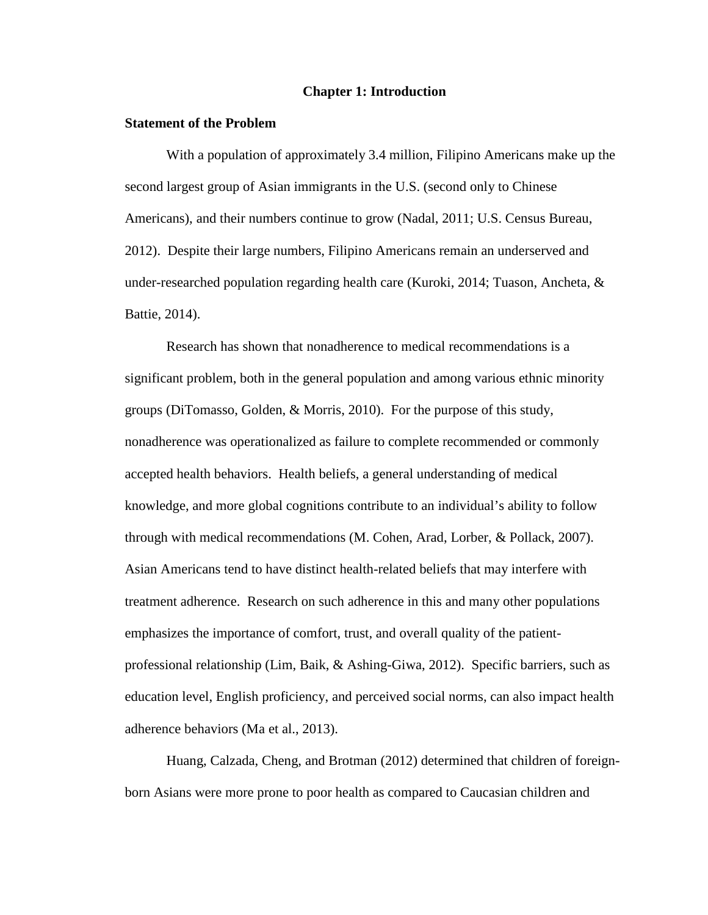#### **Chapter 1: Introduction**

#### **Statement of the Problem**

With a population of approximately 3.4 million, Filipino Americans make up the second largest group of Asian immigrants in the U.S. (second only to Chinese Americans), and their numbers continue to grow (Nadal, 2011; U.S. Census Bureau, 2012). Despite their large numbers, Filipino Americans remain an underserved and under-researched population regarding health care (Kuroki, 2014; Tuason, Ancheta, & Battie, 2014).

Research has shown that nonadherence to medical recommendations is a significant problem, both in the general population and among various ethnic minority groups (DiTomasso, Golden, & Morris, 2010). For the purpose of this study, nonadherence was operationalized as failure to complete recommended or commonly accepted health behaviors. Health beliefs, a general understanding of medical knowledge, and more global cognitions contribute to an individual's ability to follow through with medical recommendations (M. Cohen, Arad, Lorber, & Pollack, 2007). Asian Americans tend to have distinct health-related beliefs that may interfere with treatment adherence. Research on such adherence in this and many other populations emphasizes the importance of comfort, trust, and overall quality of the patientprofessional relationship (Lim, Baik, & Ashing-Giwa, 2012). Specific barriers, such as education level, English proficiency, and perceived social norms, can also impact health adherence behaviors (Ma et al., 2013).

Huang, Calzada, Cheng, and Brotman (2012) determined that children of foreignborn Asians were more prone to poor health as compared to Caucasian children and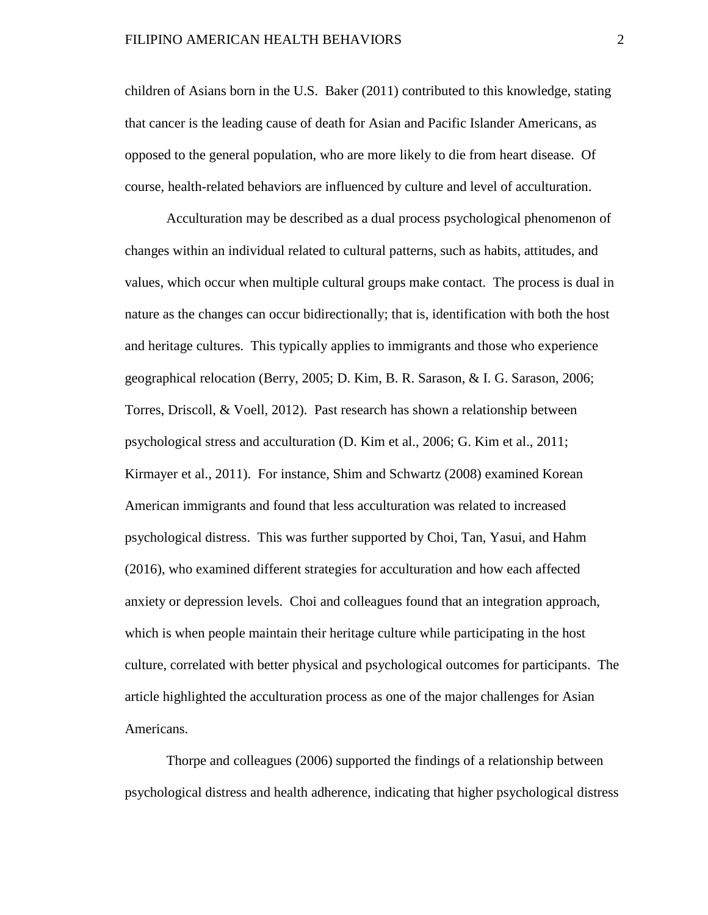children of Asians born in the U.S. Baker (2011) contributed to this knowledge, stating that cancer is the leading cause of death for Asian and Pacific Islander Americans, as opposed to the general population, who are more likely to die from heart disease. Of course, health-related behaviors are influenced by culture and level of acculturation.

Acculturation may be described as a dual process psychological phenomenon of changes within an individual related to cultural patterns, such as habits, attitudes, and values, which occur when multiple cultural groups make contact. The process is dual in nature as the changes can occur bidirectionally; that is, identification with both the host and heritage cultures. This typically applies to immigrants and those who experience geographical relocation (Berry, 2005; D. Kim, B. R. Sarason, & I. G. Sarason, 2006; Torres, Driscoll, & Voell, 2012). Past research has shown a relationship between psychological stress and acculturation (D. Kim et al., 2006; G. Kim et al., 2011; Kirmayer et al., 2011). For instance, Shim and Schwartz (2008) examined Korean American immigrants and found that less acculturation was related to increased psychological distress. This was further supported by Choi, Tan, Yasui, and Hahm (2016), who examined different strategies for acculturation and how each affected anxiety or depression levels. Choi and colleagues found that an integration approach, which is when people maintain their heritage culture while participating in the host culture, correlated with better physical and psychological outcomes for participants. The article highlighted the acculturation process as one of the major challenges for Asian Americans.

Thorpe and colleagues (2006) supported the findings of a relationship between psychological distress and health adherence, indicating that higher psychological distress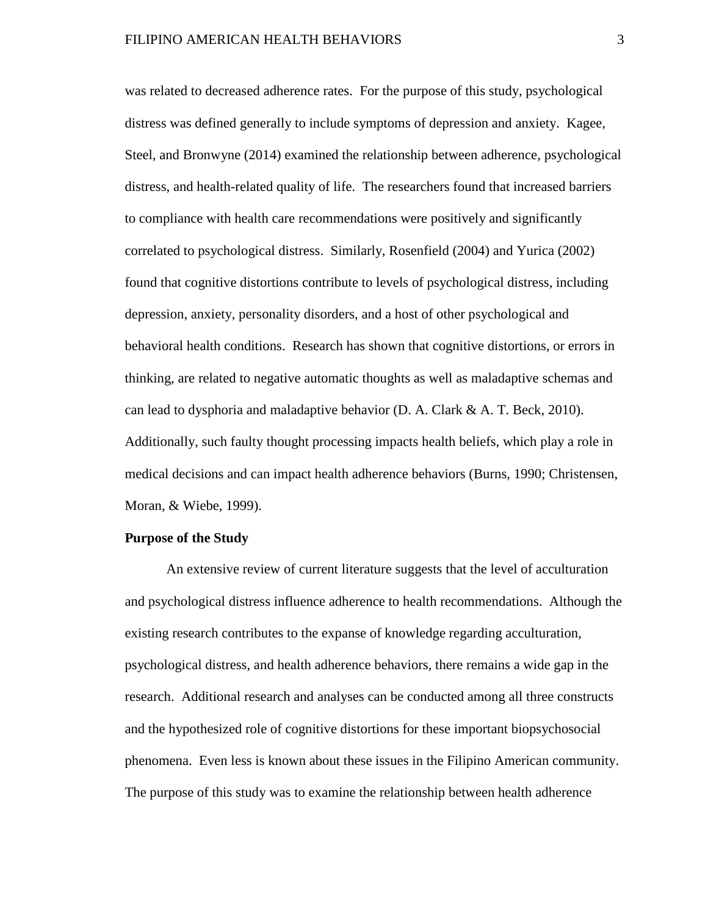was related to decreased adherence rates. For the purpose of this study, psychological distress was defined generally to include symptoms of depression and anxiety. Kagee, Steel, and Bronwyne (2014) examined the relationship between adherence, psychological distress, and health-related quality of life. The researchers found that increased barriers to compliance with health care recommendations were positively and significantly correlated to psychological distress. Similarly, Rosenfield (2004) and Yurica (2002) found that cognitive distortions contribute to levels of psychological distress, including depression, anxiety, personality disorders, and a host of other psychological and behavioral health conditions. Research has shown that cognitive distortions, or errors in thinking, are related to negative automatic thoughts as well as maladaptive schemas and can lead to dysphoria and maladaptive behavior  $(D. A. Clark & A. T. Beck, 2010)$ . Additionally, such faulty thought processing impacts health beliefs, which play a role in medical decisions and can impact health adherence behaviors (Burns, 1990; Christensen, Moran, & Wiebe, 1999).

#### **Purpose of the Study**

An extensive review of current literature suggests that the level of acculturation and psychological distress influence adherence to health recommendations. Although the existing research contributes to the expanse of knowledge regarding acculturation, psychological distress, and health adherence behaviors, there remains a wide gap in the research. Additional research and analyses can be conducted among all three constructs and the hypothesized role of cognitive distortions for these important biopsychosocial phenomena. Even less is known about these issues in the Filipino American community. The purpose of this study was to examine the relationship between health adherence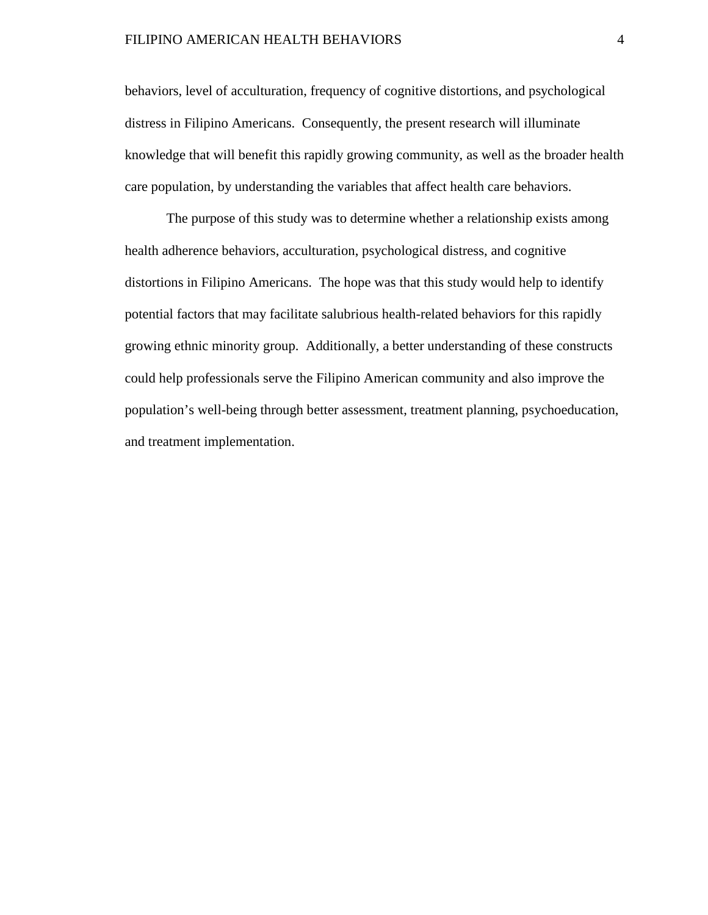#### FILIPINO AMERICAN HEALTH BEHAVIORS 4

behaviors, level of acculturation, frequency of cognitive distortions, and psychological distress in Filipino Americans. Consequently, the present research will illuminate knowledge that will benefit this rapidly growing community, as well as the broader health care population, by understanding the variables that affect health care behaviors.

The purpose of this study was to determine whether a relationship exists among health adherence behaviors, acculturation, psychological distress, and cognitive distortions in Filipino Americans. The hope was that this study would help to identify potential factors that may facilitate salubrious health-related behaviors for this rapidly growing ethnic minority group. Additionally, a better understanding of these constructs could help professionals serve the Filipino American community and also improve the population's well-being through better assessment, treatment planning, psychoeducation, and treatment implementation.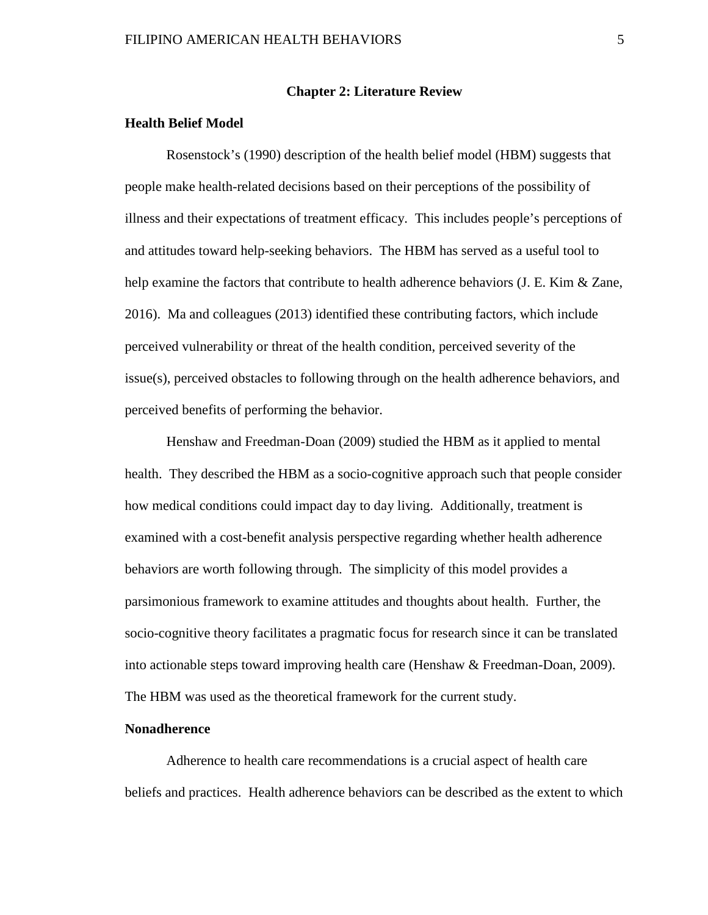#### **Chapter 2: Literature Review**

#### **Health Belief Model**

Rosenstock's (1990) description of the health belief model (HBM) suggests that people make health-related decisions based on their perceptions of the possibility of illness and their expectations of treatment efficacy. This includes people's perceptions of and attitudes toward help-seeking behaviors. The HBM has served as a useful tool to help examine the factors that contribute to health adherence behaviors (J. E. Kim & Zane, 2016). Ma and colleagues (2013) identified these contributing factors, which include perceived vulnerability or threat of the health condition, perceived severity of the issue(s), perceived obstacles to following through on the health adherence behaviors, and perceived benefits of performing the behavior.

Henshaw and Freedman-Doan (2009) studied the HBM as it applied to mental health. They described the HBM as a socio-cognitive approach such that people consider how medical conditions could impact day to day living. Additionally, treatment is examined with a cost-benefit analysis perspective regarding whether health adherence behaviors are worth following through. The simplicity of this model provides a parsimonious framework to examine attitudes and thoughts about health. Further, the socio-cognitive theory facilitates a pragmatic focus for research since it can be translated into actionable steps toward improving health care (Henshaw & Freedman-Doan, 2009). The HBM was used as the theoretical framework for the current study.

#### **Nonadherence**

Adherence to health care recommendations is a crucial aspect of health care beliefs and practices. Health adherence behaviors can be described as the extent to which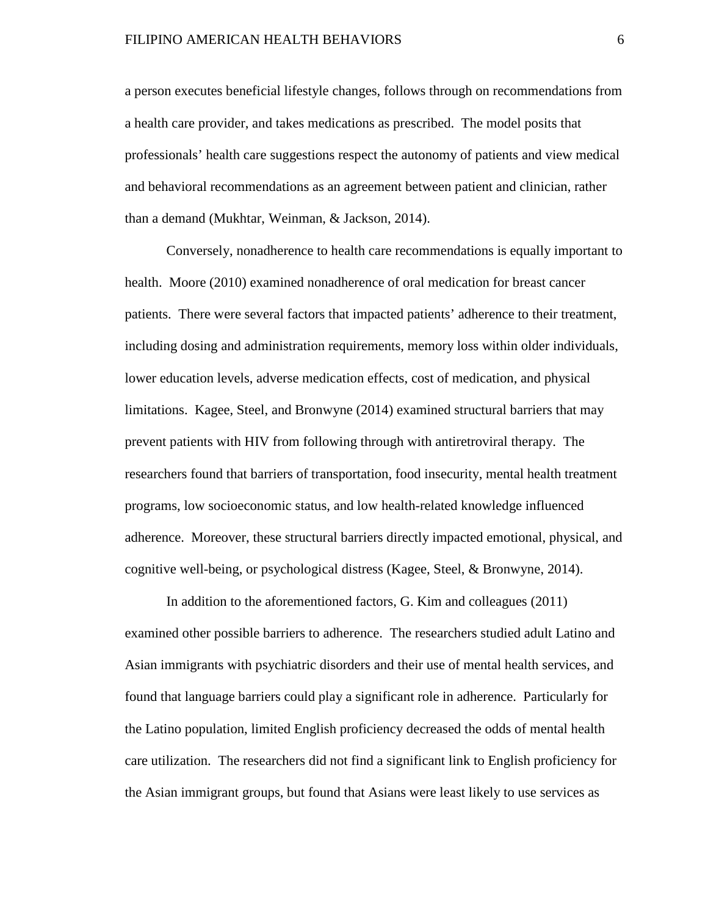a person executes beneficial lifestyle changes, follows through on recommendations from a health care provider, and takes medications as prescribed. The model posits that professionals' health care suggestions respect the autonomy of patients and view medical and behavioral recommendations as an agreement between patient and clinician, rather than a demand (Mukhtar, Weinman, & Jackson, 2014).

Conversely, nonadherence to health care recommendations is equally important to health. Moore (2010) examined nonadherence of oral medication for breast cancer patients. There were several factors that impacted patients' adherence to their treatment, including dosing and administration requirements, memory loss within older individuals, lower education levels, adverse medication effects, cost of medication, and physical limitations. Kagee, Steel, and Bronwyne (2014) examined structural barriers that may prevent patients with HIV from following through with antiretroviral therapy. The researchers found that barriers of transportation, food insecurity, mental health treatment programs, low socioeconomic status, and low health-related knowledge influenced adherence. Moreover, these structural barriers directly impacted emotional, physical, and cognitive well-being, or psychological distress (Kagee, Steel, & Bronwyne, 2014).

In addition to the aforementioned factors, G. Kim and colleagues (2011) examined other possible barriers to adherence. The researchers studied adult Latino and Asian immigrants with psychiatric disorders and their use of mental health services, and found that language barriers could play a significant role in adherence. Particularly for the Latino population, limited English proficiency decreased the odds of mental health care utilization. The researchers did not find a significant link to English proficiency for the Asian immigrant groups, but found that Asians were least likely to use services as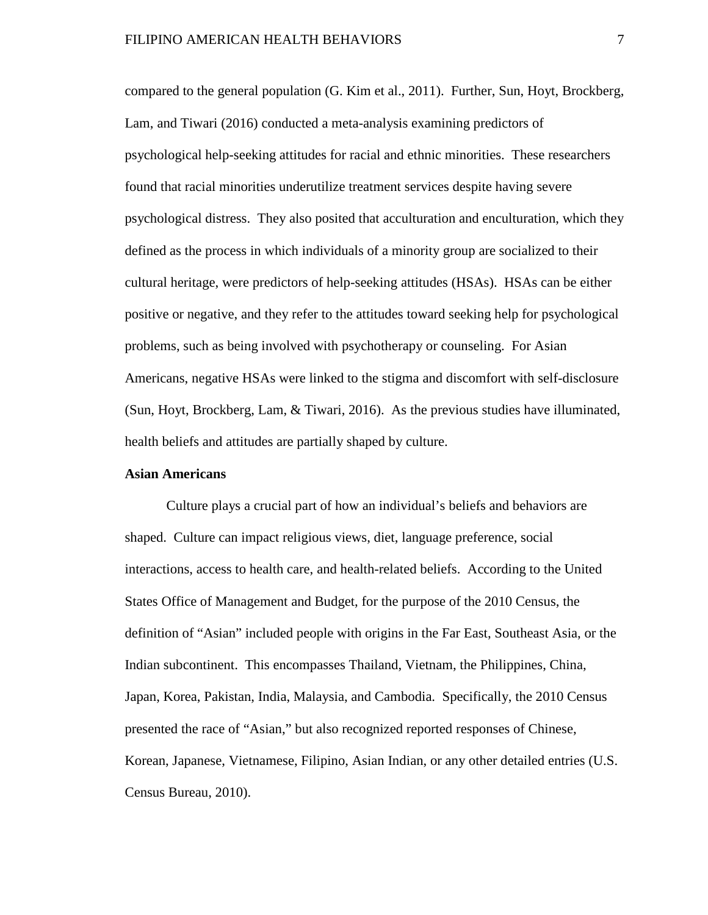compared to the general population (G. Kim et al., 2011). Further, Sun, Hoyt, Brockberg, Lam, and Tiwari (2016) conducted a meta-analysis examining predictors of psychological help-seeking attitudes for racial and ethnic minorities. These researchers found that racial minorities underutilize treatment services despite having severe psychological distress. They also posited that acculturation and enculturation, which they defined as the process in which individuals of a minority group are socialized to their cultural heritage, were predictors of help-seeking attitudes (HSAs). HSAs can be either positive or negative, and they refer to the attitudes toward seeking help for psychological problems, such as being involved with psychotherapy or counseling. For Asian Americans, negative HSAs were linked to the stigma and discomfort with self-disclosure (Sun, Hoyt, Brockberg, Lam, & Tiwari, 2016). As the previous studies have illuminated, health beliefs and attitudes are partially shaped by culture.

#### **Asian Americans**

Culture plays a crucial part of how an individual's beliefs and behaviors are shaped. Culture can impact religious views, diet, language preference, social interactions, access to health care, and health-related beliefs. According to the United States Office of Management and Budget, for the purpose of the 2010 Census, the definition of "Asian" included people with origins in the Far East, Southeast Asia, or the Indian subcontinent. This encompasses Thailand, Vietnam, the Philippines, China, Japan, Korea, Pakistan, India, Malaysia, and Cambodia. Specifically, the 2010 Census presented the race of "Asian," but also recognized reported responses of Chinese, Korean, Japanese, Vietnamese, Filipino, Asian Indian, or any other detailed entries (U.S. Census Bureau, 2010).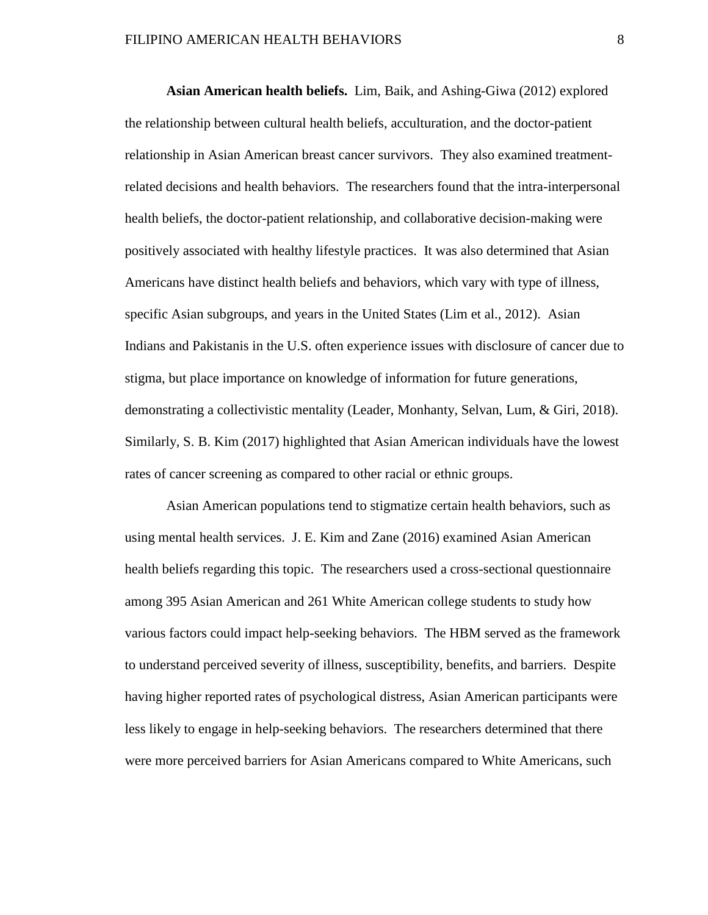**Asian American health beliefs.** Lim, Baik, and Ashing-Giwa (2012) explored the relationship between cultural health beliefs, acculturation, and the doctor-patient relationship in Asian American breast cancer survivors. They also examined treatmentrelated decisions and health behaviors. The researchers found that the intra-interpersonal health beliefs, the doctor-patient relationship, and collaborative decision-making were positively associated with healthy lifestyle practices. It was also determined that Asian Americans have distinct health beliefs and behaviors, which vary with type of illness, specific Asian subgroups, and years in the United States (Lim et al., 2012). Asian Indians and Pakistanis in the U.S. often experience issues with disclosure of cancer due to stigma, but place importance on knowledge of information for future generations, demonstrating a collectivistic mentality (Leader, Monhanty, Selvan, Lum, & Giri, 2018). Similarly, S. B. Kim (2017) highlighted that Asian American individuals have the lowest rates of cancer screening as compared to other racial or ethnic groups.

Asian American populations tend to stigmatize certain health behaviors, such as using mental health services. J. E. Kim and Zane (2016) examined Asian American health beliefs regarding this topic. The researchers used a cross-sectional questionnaire among 395 Asian American and 261 White American college students to study how various factors could impact help-seeking behaviors. The HBM served as the framework to understand perceived severity of illness, susceptibility, benefits, and barriers. Despite having higher reported rates of psychological distress, Asian American participants were less likely to engage in help-seeking behaviors. The researchers determined that there were more perceived barriers for Asian Americans compared to White Americans, such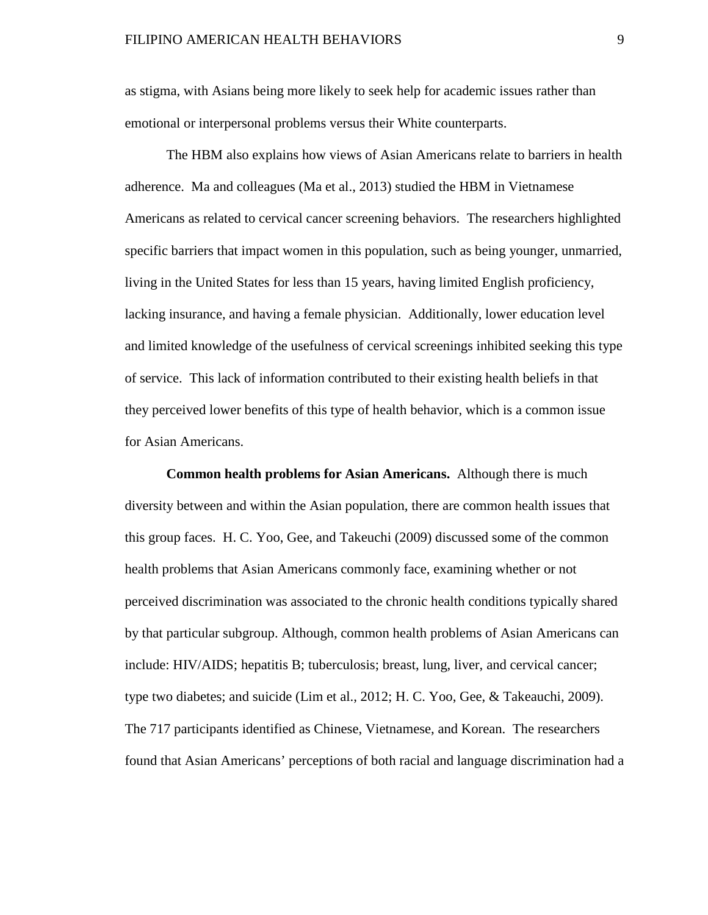as stigma, with Asians being more likely to seek help for academic issues rather than emotional or interpersonal problems versus their White counterparts.

The HBM also explains how views of Asian Americans relate to barriers in health adherence. Ma and colleagues (Ma et al., 2013) studied the HBM in Vietnamese Americans as related to cervical cancer screening behaviors. The researchers highlighted specific barriers that impact women in this population, such as being younger, unmarried, living in the United States for less than 15 years, having limited English proficiency, lacking insurance, and having a female physician. Additionally, lower education level and limited knowledge of the usefulness of cervical screenings inhibited seeking this type of service. This lack of information contributed to their existing health beliefs in that they perceived lower benefits of this type of health behavior, which is a common issue for Asian Americans.

**Common health problems for Asian Americans.** Although there is much diversity between and within the Asian population, there are common health issues that this group faces. H. C. Yoo, Gee, and Takeuchi (2009) discussed some of the common health problems that Asian Americans commonly face, examining whether or not perceived discrimination was associated to the chronic health conditions typically shared by that particular subgroup. Although, common health problems of Asian Americans can include: HIV/AIDS; hepatitis B; tuberculosis; breast, lung, liver, and cervical cancer; type two diabetes; and suicide (Lim et al., 2012; H. C. Yoo, Gee, & Takeauchi, 2009). The 717 participants identified as Chinese, Vietnamese, and Korean. The researchers found that Asian Americans' perceptions of both racial and language discrimination had a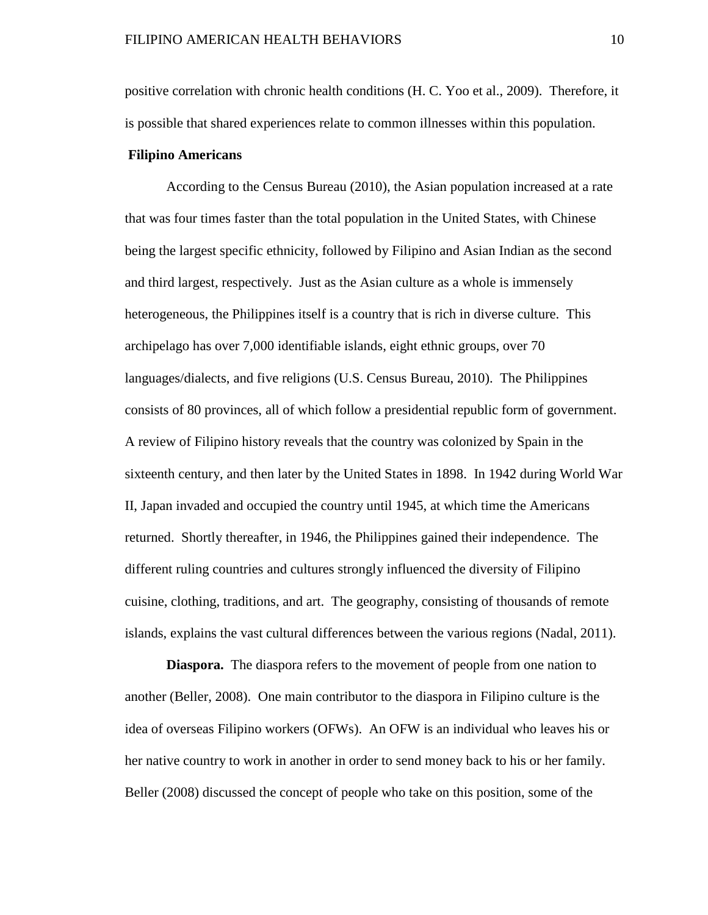positive correlation with chronic health conditions (H. C. Yoo et al., 2009). Therefore, it is possible that shared experiences relate to common illnesses within this population.

#### **Filipino Americans**

According to the Census Bureau (2010), the Asian population increased at a rate that was four times faster than the total population in the United States, with Chinese being the largest specific ethnicity, followed by Filipino and Asian Indian as the second and third largest, respectively. Just as the Asian culture as a whole is immensely heterogeneous, the Philippines itself is a country that is rich in diverse culture. This archipelago has over 7,000 identifiable islands, eight ethnic groups, over 70 languages/dialects, and five religions (U.S. Census Bureau, 2010). The Philippines consists of 80 provinces, all of which follow a presidential republic form of government. A review of Filipino history reveals that the country was colonized by Spain in the sixteenth century, and then later by the United States in 1898. In 1942 during World War II, Japan invaded and occupied the country until 1945, at which time the Americans returned. Shortly thereafter, in 1946, the Philippines gained their independence. The different ruling countries and cultures strongly influenced the diversity of Filipino cuisine, clothing, traditions, and art. The geography, consisting of thousands of remote islands, explains the vast cultural differences between the various regions (Nadal, 2011).

**Diaspora.** The diaspora refers to the movement of people from one nation to another (Beller, 2008). One main contributor to the diaspora in Filipino culture is the idea of overseas Filipino workers (OFWs). An OFW is an individual who leaves his or her native country to work in another in order to send money back to his or her family. Beller (2008) discussed the concept of people who take on this position, some of the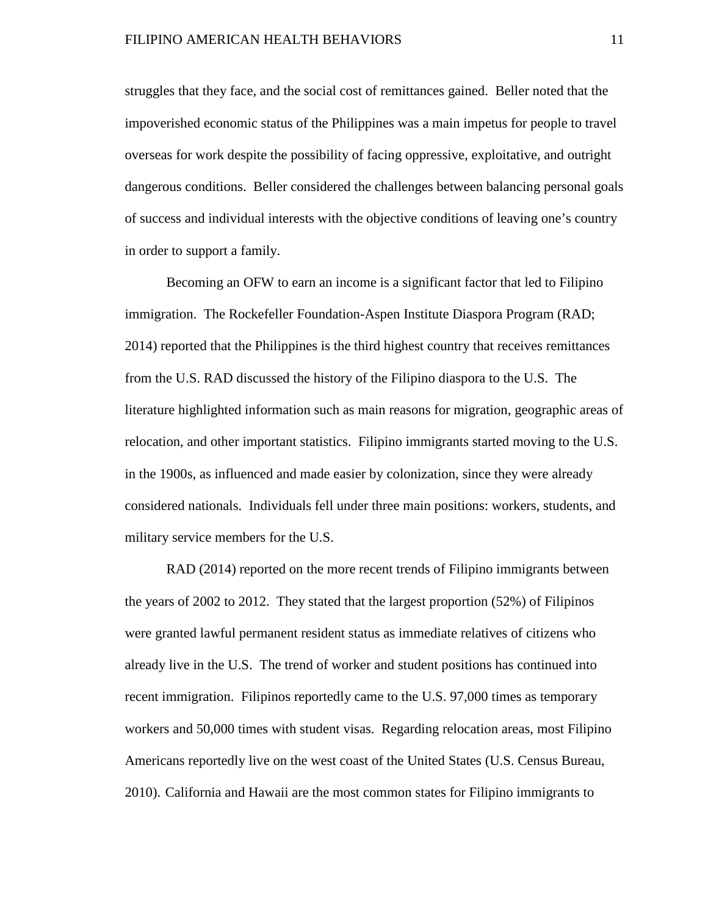struggles that they face, and the social cost of remittances gained. Beller noted that the impoverished economic status of the Philippines was a main impetus for people to travel overseas for work despite the possibility of facing oppressive, exploitative, and outright dangerous conditions. Beller considered the challenges between balancing personal goals of success and individual interests with the objective conditions of leaving one's country in order to support a family.

Becoming an OFW to earn an income is a significant factor that led to Filipino immigration. The Rockefeller Foundation-Aspen Institute Diaspora Program (RAD; 2014) reported that the Philippines is the third highest country that receives remittances from the U.S. RAD discussed the history of the Filipino diaspora to the U.S. The literature highlighted information such as main reasons for migration, geographic areas of relocation, and other important statistics. Filipino immigrants started moving to the U.S. in the 1900s, as influenced and made easier by colonization, since they were already considered nationals. Individuals fell under three main positions: workers, students, and military service members for the U.S.

RAD (2014) reported on the more recent trends of Filipino immigrants between the years of 2002 to 2012. They stated that the largest proportion (52%) of Filipinos were granted lawful permanent resident status as immediate relatives of citizens who already live in the U.S. The trend of worker and student positions has continued into recent immigration. Filipinos reportedly came to the U.S. 97,000 times as temporary workers and 50,000 times with student visas. Regarding relocation areas, most Filipino Americans reportedly live on the west coast of the United States (U.S. Census Bureau, 2010). California and Hawaii are the most common states for Filipino immigrants to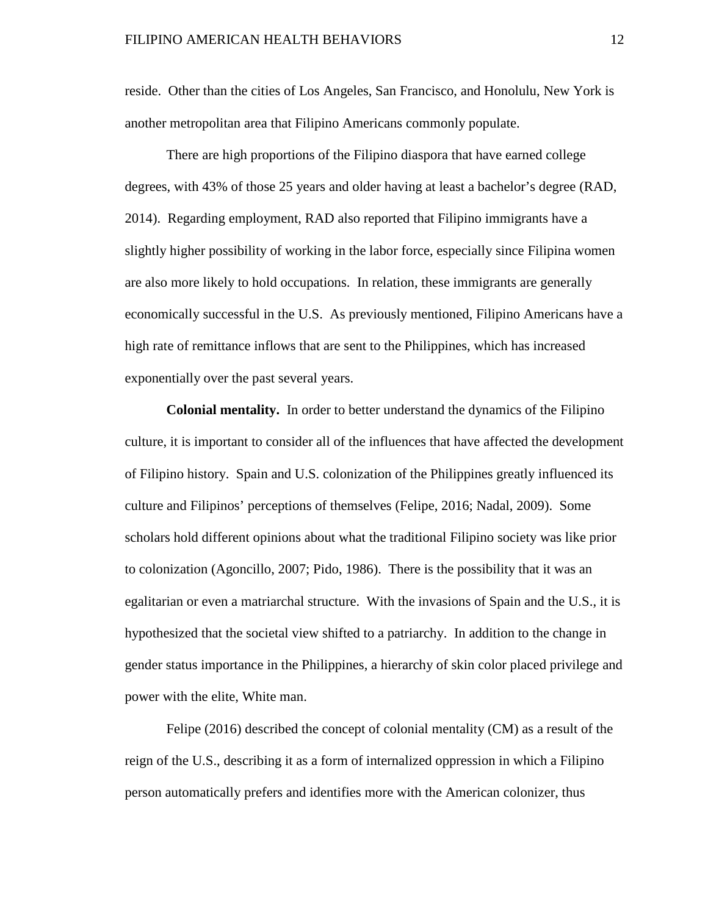reside. Other than the cities of Los Angeles, San Francisco, and Honolulu, New York is another metropolitan area that Filipino Americans commonly populate.

There are high proportions of the Filipino diaspora that have earned college degrees, with 43% of those 25 years and older having at least a bachelor's degree (RAD, 2014). Regarding employment, RAD also reported that Filipino immigrants have a slightly higher possibility of working in the labor force, especially since Filipina women are also more likely to hold occupations. In relation, these immigrants are generally economically successful in the U.S. As previously mentioned, Filipino Americans have a high rate of remittance inflows that are sent to the Philippines, which has increased exponentially over the past several years.

**Colonial mentality.** In order to better understand the dynamics of the Filipino culture, it is important to consider all of the influences that have affected the development of Filipino history. Spain and U.S. colonization of the Philippines greatly influenced its culture and Filipinos' perceptions of themselves (Felipe, 2016; Nadal, 2009). Some scholars hold different opinions about what the traditional Filipino society was like prior to colonization (Agoncillo, 2007; Pido, 1986). There is the possibility that it was an egalitarian or even a matriarchal structure. With the invasions of Spain and the U.S., it is hypothesized that the societal view shifted to a patriarchy. In addition to the change in gender status importance in the Philippines, a hierarchy of skin color placed privilege and power with the elite, White man.

Felipe (2016) described the concept of colonial mentality (CM) as a result of the reign of the U.S., describing it as a form of internalized oppression in which a Filipino person automatically prefers and identifies more with the American colonizer, thus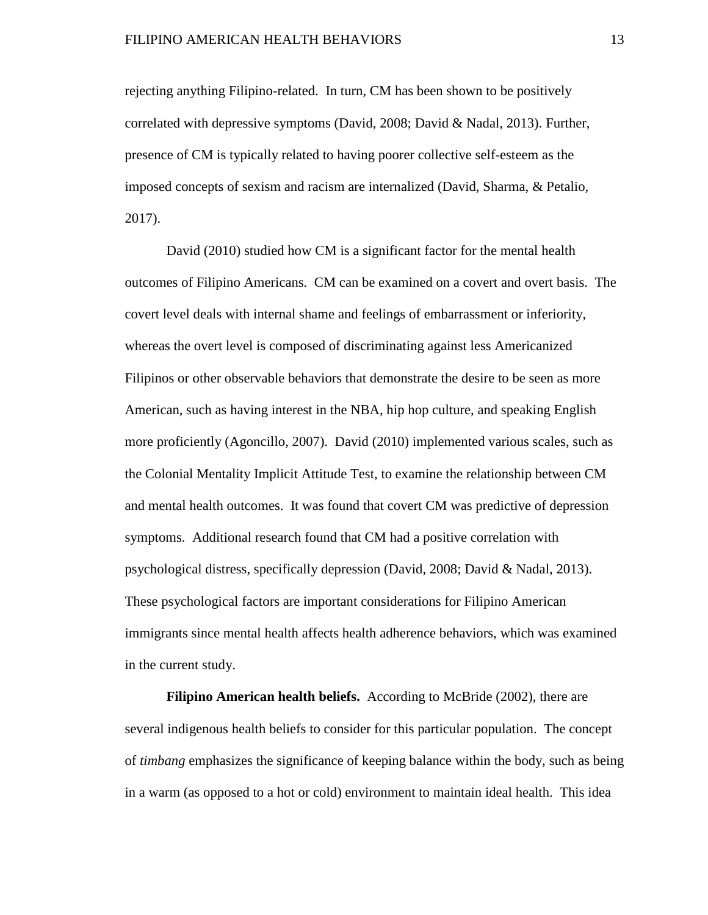rejecting anything Filipino-related. In turn, CM has been shown to be positively correlated with depressive symptoms (David, 2008; David & Nadal, 2013). Further, presence of CM is typically related to having poorer collective self-esteem as the imposed concepts of sexism and racism are internalized (David, Sharma, & Petalio, 2017).

David (2010) studied how CM is a significant factor for the mental health outcomes of Filipino Americans. CM can be examined on a covert and overt basis. The covert level deals with internal shame and feelings of embarrassment or inferiority, whereas the overt level is composed of discriminating against less Americanized Filipinos or other observable behaviors that demonstrate the desire to be seen as more American, such as having interest in the NBA, hip hop culture, and speaking English more proficiently (Agoncillo, 2007). David (2010) implemented various scales, such as the Colonial Mentality Implicit Attitude Test, to examine the relationship between CM and mental health outcomes. It was found that covert CM was predictive of depression symptoms. Additional research found that CM had a positive correlation with psychological distress, specifically depression (David, 2008; David & Nadal, 2013). These psychological factors are important considerations for Filipino American immigrants since mental health affects health adherence behaviors, which was examined in the current study.

**Filipino American health beliefs.** According to McBride (2002), there are several indigenous health beliefs to consider for this particular population. The concept of *timbang* emphasizes the significance of keeping balance within the body, such as being in a warm (as opposed to a hot or cold) environment to maintain ideal health. This idea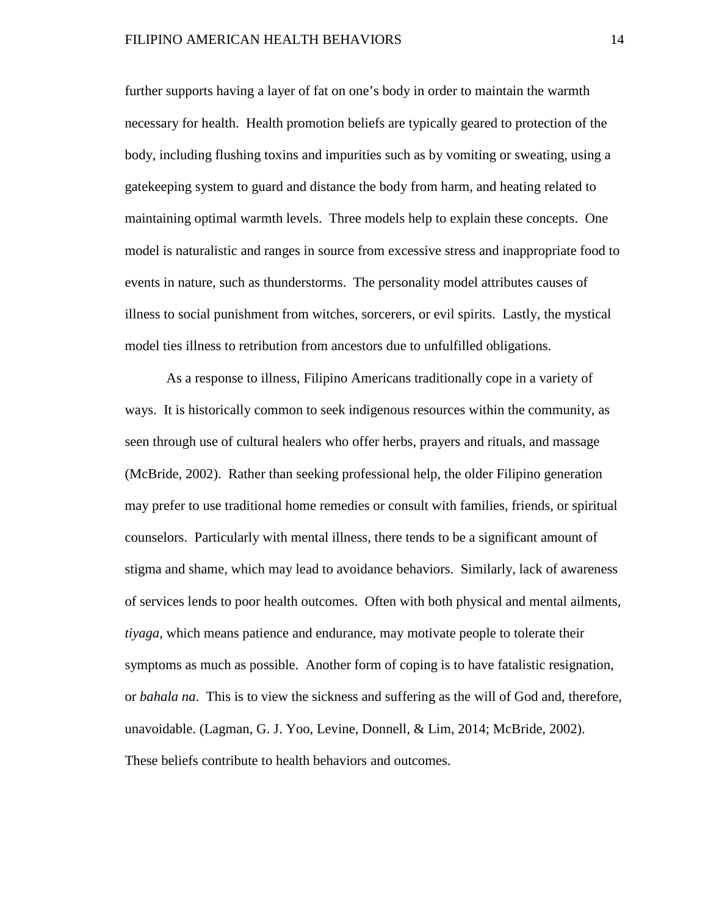further supports having a layer of fat on one's body in order to maintain the warmth necessary for health. Health promotion beliefs are typically geared to protection of the body, including flushing toxins and impurities such as by vomiting or sweating, using a gatekeeping system to guard and distance the body from harm, and heating related to maintaining optimal warmth levels. Three models help to explain these concepts. One model is naturalistic and ranges in source from excessive stress and inappropriate food to events in nature, such as thunderstorms. The personality model attributes causes of illness to social punishment from witches, sorcerers, or evil spirits. Lastly, the mystical model ties illness to retribution from ancestors due to unfulfilled obligations.

As a response to illness, Filipino Americans traditionally cope in a variety of ways. It is historically common to seek indigenous resources within the community, as seen through use of cultural healers who offer herbs, prayers and rituals, and massage (McBride, 2002). Rather than seeking professional help, the older Filipino generation may prefer to use traditional home remedies or consult with families, friends, or spiritual counselors. Particularly with mental illness, there tends to be a significant amount of stigma and shame, which may lead to avoidance behaviors. Similarly, lack of awareness of services lends to poor health outcomes. Often with both physical and mental ailments, *tiyaga*, which means patience and endurance, may motivate people to tolerate their symptoms as much as possible. Another form of coping is to have fatalistic resignation, or *bahala na*. This is to view the sickness and suffering as the will of God and, therefore, unavoidable. (Lagman, G. J. Yoo, Levine, Donnell, & Lim, 2014; McBride, 2002). These beliefs contribute to health behaviors and outcomes.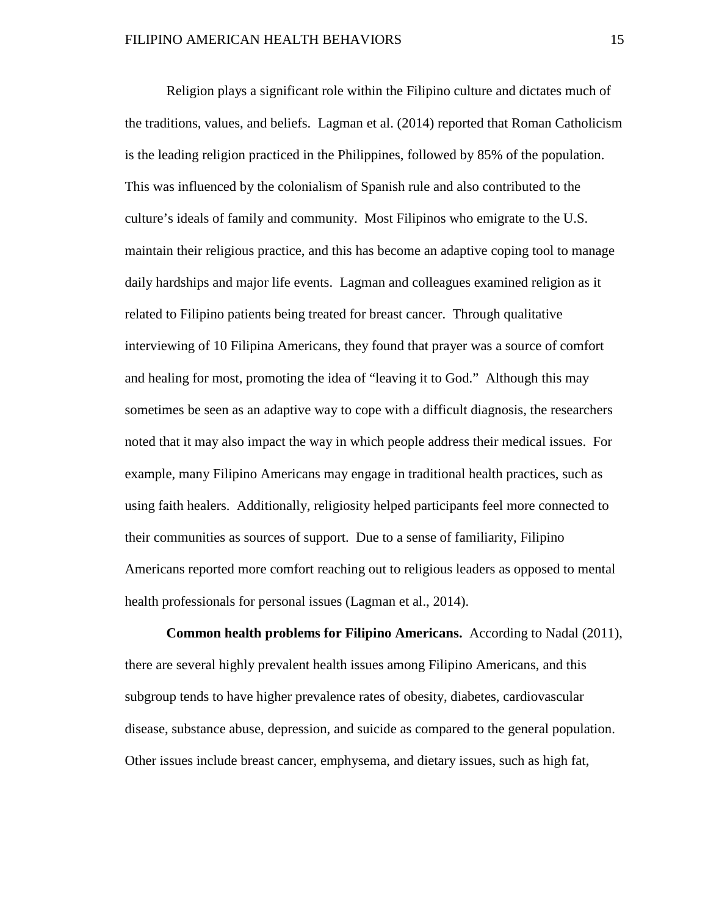Religion plays a significant role within the Filipino culture and dictates much of the traditions, values, and beliefs. Lagman et al. (2014) reported that Roman Catholicism is the leading religion practiced in the Philippines, followed by 85% of the population. This was influenced by the colonialism of Spanish rule and also contributed to the culture's ideals of family and community. Most Filipinos who emigrate to the U.S. maintain their religious practice, and this has become an adaptive coping tool to manage daily hardships and major life events. Lagman and colleagues examined religion as it related to Filipino patients being treated for breast cancer. Through qualitative interviewing of 10 Filipina Americans, they found that prayer was a source of comfort and healing for most, promoting the idea of "leaving it to God." Although this may sometimes be seen as an adaptive way to cope with a difficult diagnosis, the researchers noted that it may also impact the way in which people address their medical issues. For example, many Filipino Americans may engage in traditional health practices, such as using faith healers. Additionally, religiosity helped participants feel more connected to their communities as sources of support. Due to a sense of familiarity, Filipino Americans reported more comfort reaching out to religious leaders as opposed to mental health professionals for personal issues (Lagman et al., 2014).

**Common health problems for Filipino Americans.** According to Nadal (2011), there are several highly prevalent health issues among Filipino Americans, and this subgroup tends to have higher prevalence rates of obesity, diabetes, cardiovascular disease, substance abuse, depression, and suicide as compared to the general population. Other issues include breast cancer, emphysema, and dietary issues, such as high fat,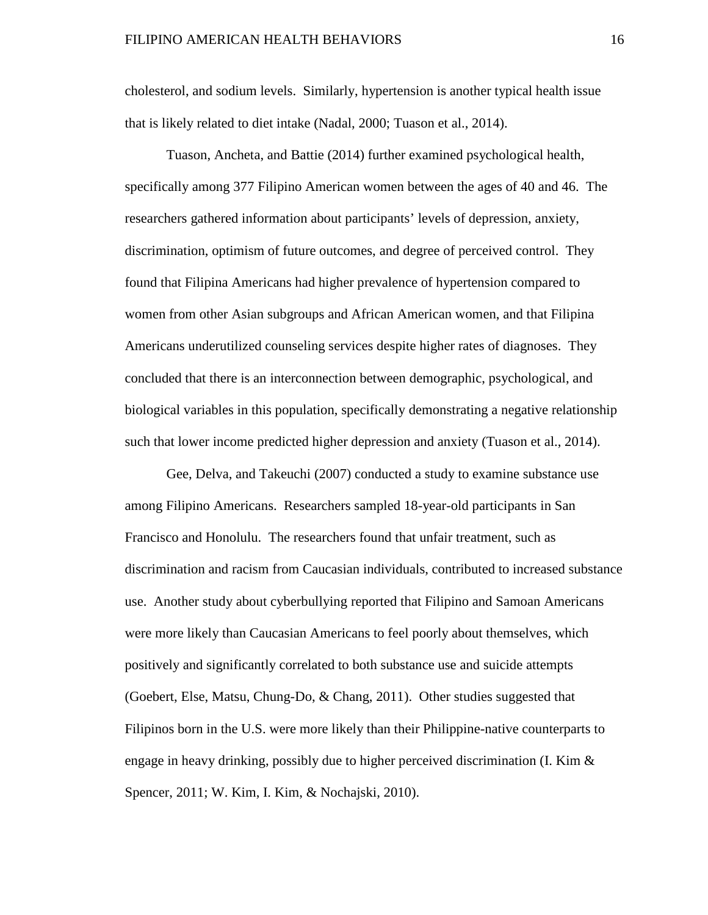cholesterol, and sodium levels. Similarly, hypertension is another typical health issue that is likely related to diet intake (Nadal, 2000; Tuason et al., 2014).

Tuason, Ancheta, and Battie (2014) further examined psychological health, specifically among 377 Filipino American women between the ages of 40 and 46. The researchers gathered information about participants' levels of depression, anxiety, discrimination, optimism of future outcomes, and degree of perceived control. They found that Filipina Americans had higher prevalence of hypertension compared to women from other Asian subgroups and African American women, and that Filipina Americans underutilized counseling services despite higher rates of diagnoses. They concluded that there is an interconnection between demographic, psychological, and biological variables in this population, specifically demonstrating a negative relationship such that lower income predicted higher depression and anxiety (Tuason et al., 2014).

Gee, Delva, and Takeuchi (2007) conducted a study to examine substance use among Filipino Americans. Researchers sampled 18-year-old participants in San Francisco and Honolulu. The researchers found that unfair treatment, such as discrimination and racism from Caucasian individuals, contributed to increased substance use. Another study about cyberbullying reported that Filipino and Samoan Americans were more likely than Caucasian Americans to feel poorly about themselves, which positively and significantly correlated to both substance use and suicide attempts (Goebert, Else, Matsu, Chung-Do, & Chang, 2011). Other studies suggested that Filipinos born in the U.S. were more likely than their Philippine-native counterparts to engage in heavy drinking, possibly due to higher perceived discrimination (I. Kim  $\&$ Spencer, 2011; W. Kim, I. Kim, & Nochajski, 2010).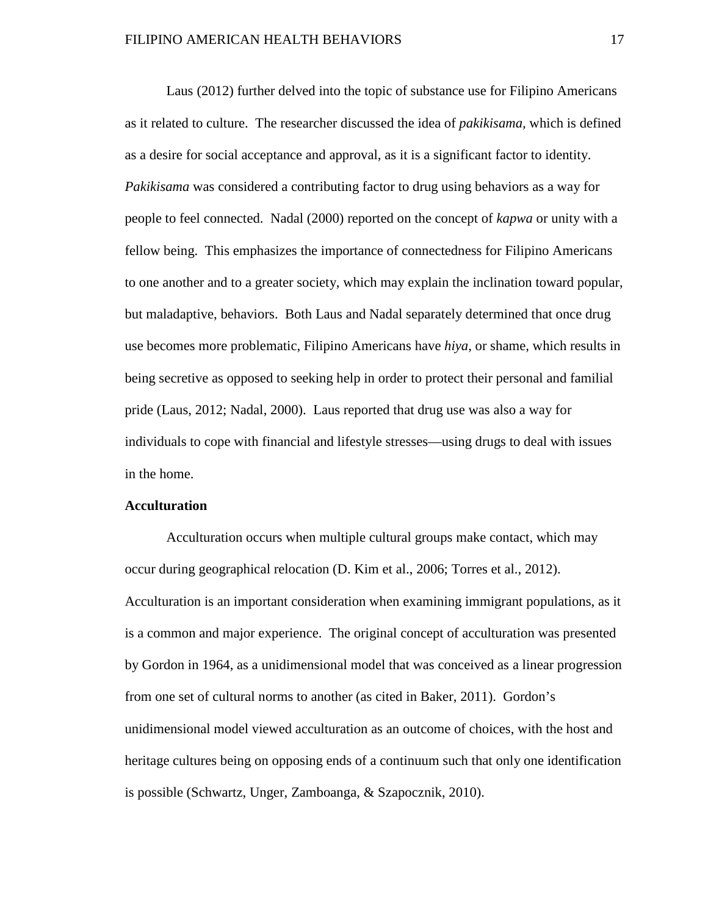Laus (2012) further delved into the topic of substance use for Filipino Americans as it related to culture. The researcher discussed the idea of *pakikisama,* which is defined as a desire for social acceptance and approval, as it is a significant factor to identity. *Pakikisama* was considered a contributing factor to drug using behaviors as a way for people to feel connected. Nadal (2000) reported on the concept of *kapwa* or unity with a fellow being. This emphasizes the importance of connectedness for Filipino Americans to one another and to a greater society, which may explain the inclination toward popular, but maladaptive, behaviors. Both Laus and Nadal separately determined that once drug use becomes more problematic, Filipino Americans have *hiya*, or shame, which results in being secretive as opposed to seeking help in order to protect their personal and familial pride (Laus, 2012; Nadal, 2000). Laus reported that drug use was also a way for individuals to cope with financial and lifestyle stresses—using drugs to deal with issues in the home.

#### **Acculturation**

Acculturation occurs when multiple cultural groups make contact, which may occur during geographical relocation (D. Kim et al., 2006; Torres et al., 2012). Acculturation is an important consideration when examining immigrant populations, as it is a common and major experience. The original concept of acculturation was presented by Gordon in 1964, as a unidimensional model that was conceived as a linear progression from one set of cultural norms to another (as cited in Baker, 2011). Gordon's unidimensional model viewed acculturation as an outcome of choices, with the host and heritage cultures being on opposing ends of a continuum such that only one identification is possible (Schwartz, Unger, Zamboanga, & Szapocznik, 2010).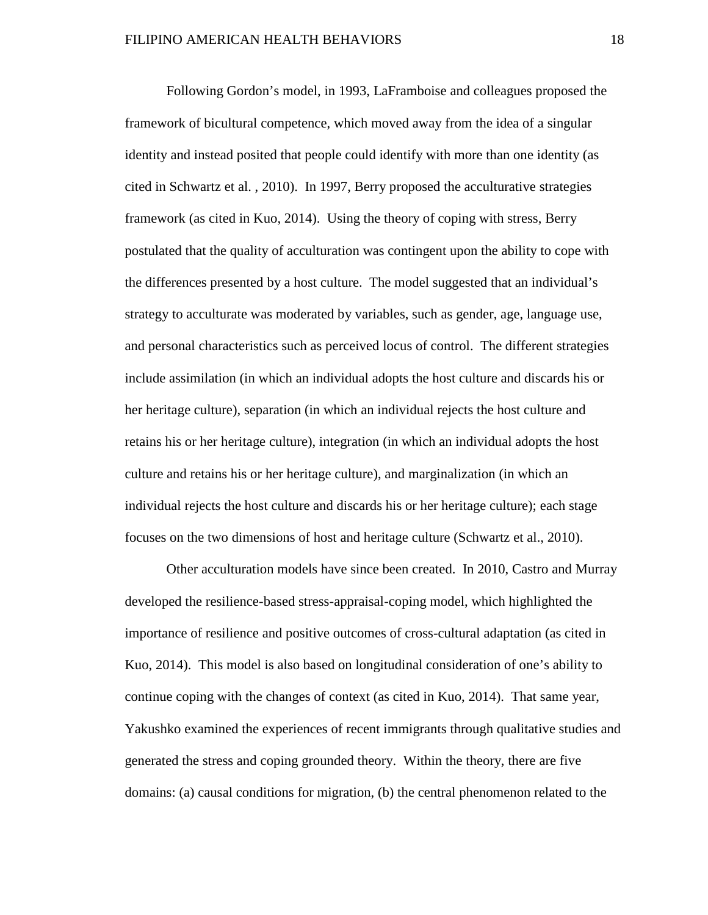Following Gordon's model, in 1993, LaFramboise and colleagues proposed the framework of bicultural competence, which moved away from the idea of a singular identity and instead posited that people could identify with more than one identity (as cited in Schwartz et al. , 2010). In 1997, Berry proposed the acculturative strategies framework (as cited in Kuo, 2014). Using the theory of coping with stress, Berry postulated that the quality of acculturation was contingent upon the ability to cope with the differences presented by a host culture. The model suggested that an individual's strategy to acculturate was moderated by variables, such as gender, age, language use, and personal characteristics such as perceived locus of control. The different strategies include assimilation (in which an individual adopts the host culture and discards his or her heritage culture), separation (in which an individual rejects the host culture and retains his or her heritage culture), integration (in which an individual adopts the host culture and retains his or her heritage culture), and marginalization (in which an individual rejects the host culture and discards his or her heritage culture); each stage focuses on the two dimensions of host and heritage culture (Schwartz et al., 2010).

Other acculturation models have since been created. In 2010, Castro and Murray developed the resilience-based stress-appraisal-coping model, which highlighted the importance of resilience and positive outcomes of cross-cultural adaptation (as cited in Kuo, 2014). This model is also based on longitudinal consideration of one's ability to continue coping with the changes of context (as cited in Kuo, 2014). That same year, Yakushko examined the experiences of recent immigrants through qualitative studies and generated the stress and coping grounded theory. Within the theory, there are five domains: (a) causal conditions for migration, (b) the central phenomenon related to the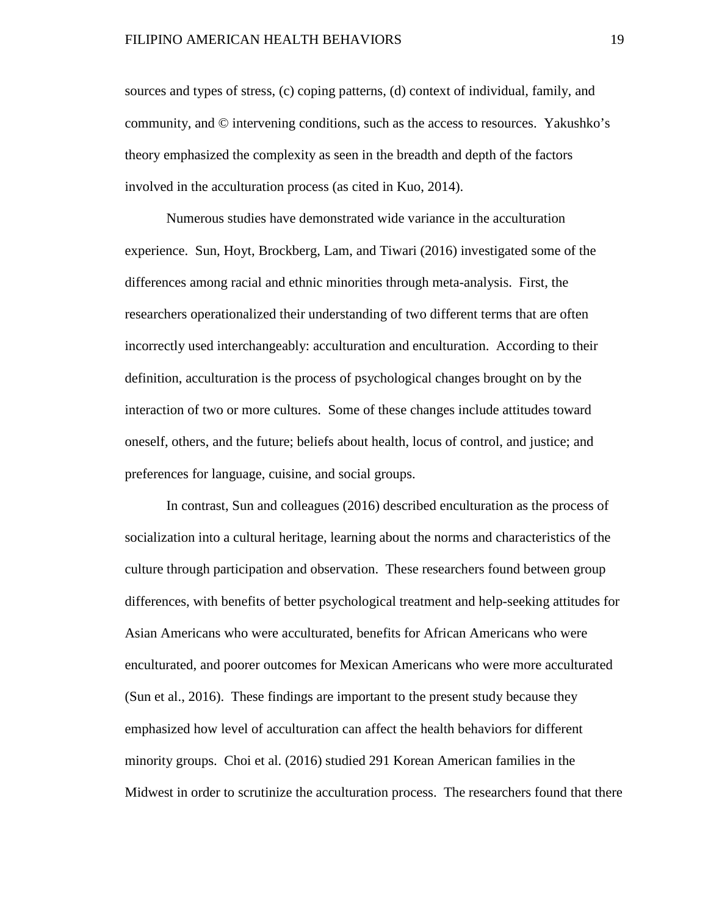sources and types of stress, (c) coping patterns, (d) context of individual, family, and community, and © intervening conditions, such as the access to resources. Yakushko's theory emphasized the complexity as seen in the breadth and depth of the factors involved in the acculturation process (as cited in Kuo, 2014).

Numerous studies have demonstrated wide variance in the acculturation experience. Sun, Hoyt, Brockberg, Lam, and Tiwari (2016) investigated some of the differences among racial and ethnic minorities through meta-analysis. First, the researchers operationalized their understanding of two different terms that are often incorrectly used interchangeably: acculturation and enculturation. According to their definition, acculturation is the process of psychological changes brought on by the interaction of two or more cultures. Some of these changes include attitudes toward oneself, others, and the future; beliefs about health, locus of control, and justice; and preferences for language, cuisine, and social groups.

In contrast, Sun and colleagues (2016) described enculturation as the process of socialization into a cultural heritage, learning about the norms and characteristics of the culture through participation and observation. These researchers found between group differences, with benefits of better psychological treatment and help-seeking attitudes for Asian Americans who were acculturated, benefits for African Americans who were enculturated, and poorer outcomes for Mexican Americans who were more acculturated (Sun et al., 2016). These findings are important to the present study because they emphasized how level of acculturation can affect the health behaviors for different minority groups. Choi et al. (2016) studied 291 Korean American families in the Midwest in order to scrutinize the acculturation process. The researchers found that there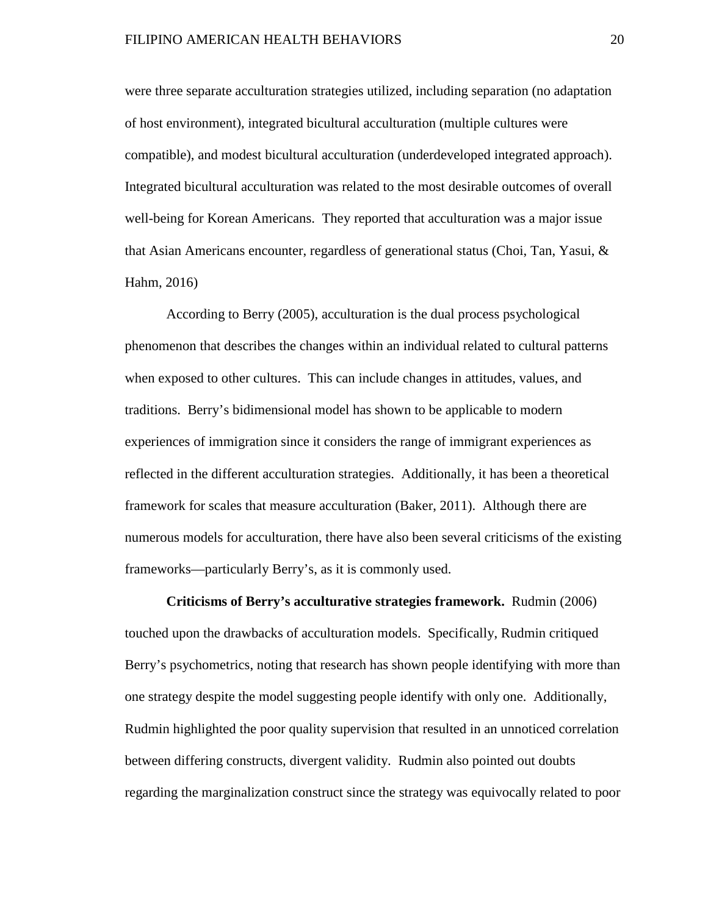were three separate acculturation strategies utilized, including separation (no adaptation of host environment), integrated bicultural acculturation (multiple cultures were compatible), and modest bicultural acculturation (underdeveloped integrated approach). Integrated bicultural acculturation was related to the most desirable outcomes of overall well-being for Korean Americans. They reported that acculturation was a major issue that Asian Americans encounter, regardless of generational status (Choi, Tan, Yasui, & Hahm, 2016)

According to Berry (2005), acculturation is the dual process psychological phenomenon that describes the changes within an individual related to cultural patterns when exposed to other cultures. This can include changes in attitudes, values, and traditions. Berry's bidimensional model has shown to be applicable to modern experiences of immigration since it considers the range of immigrant experiences as reflected in the different acculturation strategies. Additionally, it has been a theoretical framework for scales that measure acculturation (Baker, 2011). Although there are numerous models for acculturation, there have also been several criticisms of the existing frameworks—particularly Berry's, as it is commonly used.

**Criticisms of Berry's acculturative strategies framework.** Rudmin (2006) touched upon the drawbacks of acculturation models. Specifically, Rudmin critiqued Berry's psychometrics, noting that research has shown people identifying with more than one strategy despite the model suggesting people identify with only one. Additionally, Rudmin highlighted the poor quality supervision that resulted in an unnoticed correlation between differing constructs, divergent validity. Rudmin also pointed out doubts regarding the marginalization construct since the strategy was equivocally related to poor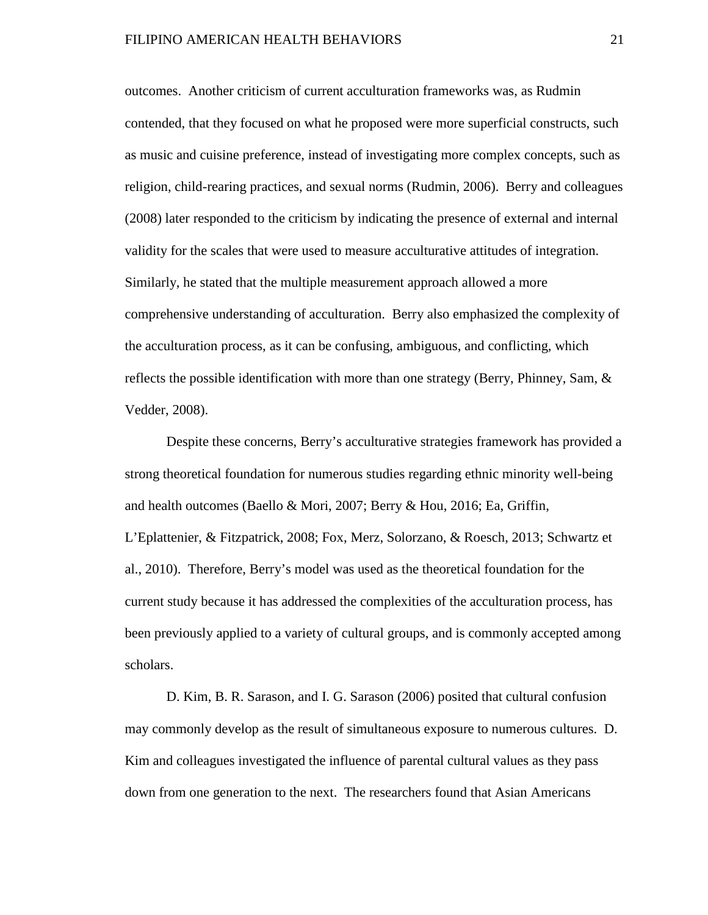outcomes. Another criticism of current acculturation frameworks was, as Rudmin contended, that they focused on what he proposed were more superficial constructs, such as music and cuisine preference, instead of investigating more complex concepts, such as religion, child-rearing practices, and sexual norms (Rudmin, 2006). Berry and colleagues (2008) later responded to the criticism by indicating the presence of external and internal validity for the scales that were used to measure acculturative attitudes of integration. Similarly, he stated that the multiple measurement approach allowed a more comprehensive understanding of acculturation. Berry also emphasized the complexity of the acculturation process, as it can be confusing, ambiguous, and conflicting, which reflects the possible identification with more than one strategy (Berry, Phinney, Sam, & Vedder, 2008).

Despite these concerns, Berry's acculturative strategies framework has provided a strong theoretical foundation for numerous studies regarding ethnic minority well-being and health outcomes (Baello & Mori, 2007; Berry & Hou, 2016; Ea, Griffin, L'Eplattenier, & Fitzpatrick, 2008; Fox, Merz, Solorzano, & Roesch, 2013; Schwartz et al., 2010). Therefore, Berry's model was used as the theoretical foundation for the current study because it has addressed the complexities of the acculturation process, has been previously applied to a variety of cultural groups, and is commonly accepted among scholars.

D. Kim, B. R. Sarason, and I. G. Sarason (2006) posited that cultural confusion may commonly develop as the result of simultaneous exposure to numerous cultures. D. Kim and colleagues investigated the influence of parental cultural values as they pass down from one generation to the next. The researchers found that Asian Americans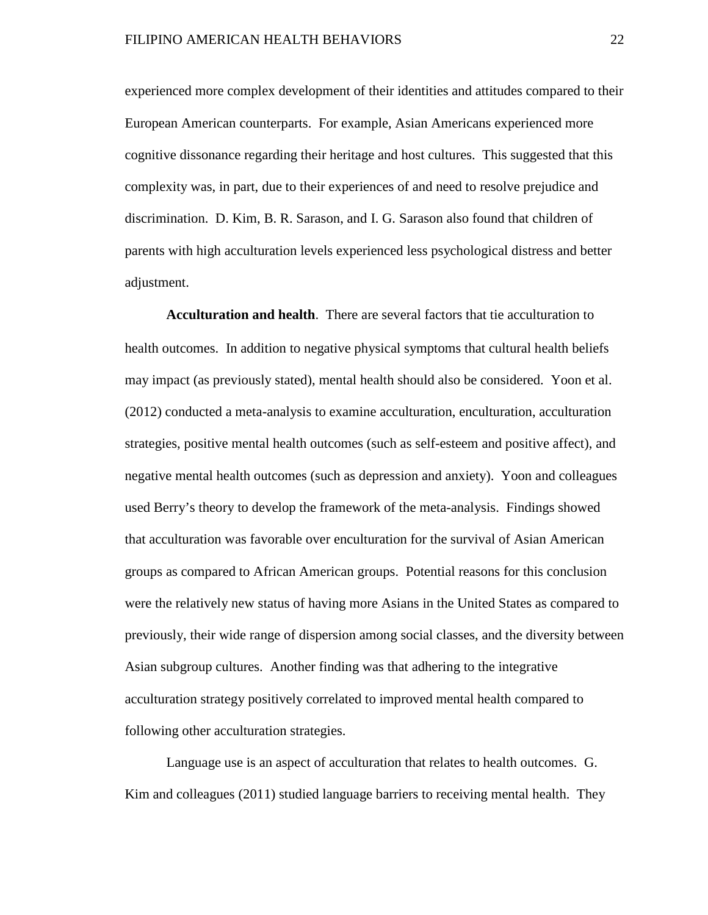experienced more complex development of their identities and attitudes compared to their European American counterparts. For example, Asian Americans experienced more cognitive dissonance regarding their heritage and host cultures. This suggested that this complexity was, in part, due to their experiences of and need to resolve prejudice and discrimination. D. Kim, B. R. Sarason, and I. G. Sarason also found that children of parents with high acculturation levels experienced less psychological distress and better adjustment.

**Acculturation and health**. There are several factors that tie acculturation to health outcomes. In addition to negative physical symptoms that cultural health beliefs may impact (as previously stated), mental health should also be considered. Yoon et al. (2012) conducted a meta-analysis to examine acculturation, enculturation, acculturation strategies, positive mental health outcomes (such as self-esteem and positive affect), and negative mental health outcomes (such as depression and anxiety). Yoon and colleagues used Berry's theory to develop the framework of the meta-analysis. Findings showed that acculturation was favorable over enculturation for the survival of Asian American groups as compared to African American groups. Potential reasons for this conclusion were the relatively new status of having more Asians in the United States as compared to previously, their wide range of dispersion among social classes, and the diversity between Asian subgroup cultures. Another finding was that adhering to the integrative acculturation strategy positively correlated to improved mental health compared to following other acculturation strategies.

Language use is an aspect of acculturation that relates to health outcomes. G. Kim and colleagues (2011) studied language barriers to receiving mental health. They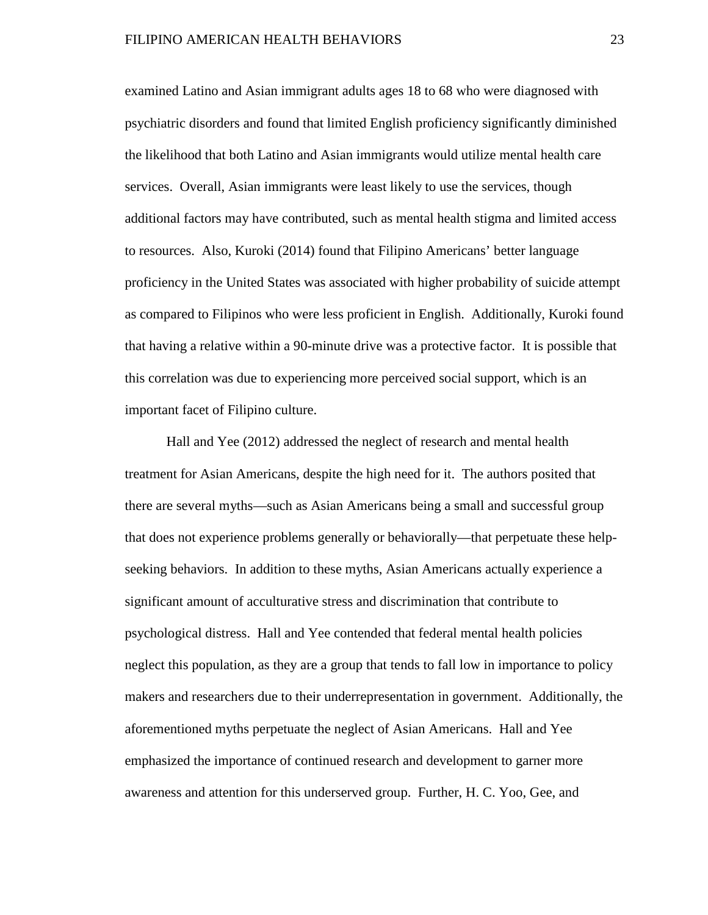examined Latino and Asian immigrant adults ages 18 to 68 who were diagnosed with psychiatric disorders and found that limited English proficiency significantly diminished the likelihood that both Latino and Asian immigrants would utilize mental health care services. Overall, Asian immigrants were least likely to use the services, though additional factors may have contributed, such as mental health stigma and limited access to resources. Also, Kuroki (2014) found that Filipino Americans' better language proficiency in the United States was associated with higher probability of suicide attempt as compared to Filipinos who were less proficient in English. Additionally, Kuroki found that having a relative within a 90-minute drive was a protective factor. It is possible that this correlation was due to experiencing more perceived social support, which is an important facet of Filipino culture.

Hall and Yee (2012) addressed the neglect of research and mental health treatment for Asian Americans, despite the high need for it. The authors posited that there are several myths—such as Asian Americans being a small and successful group that does not experience problems generally or behaviorally—that perpetuate these helpseeking behaviors. In addition to these myths, Asian Americans actually experience a significant amount of acculturative stress and discrimination that contribute to psychological distress. Hall and Yee contended that federal mental health policies neglect this population, as they are a group that tends to fall low in importance to policy makers and researchers due to their underrepresentation in government. Additionally, the aforementioned myths perpetuate the neglect of Asian Americans. Hall and Yee emphasized the importance of continued research and development to garner more awareness and attention for this underserved group. Further, H. C. Yoo, Gee, and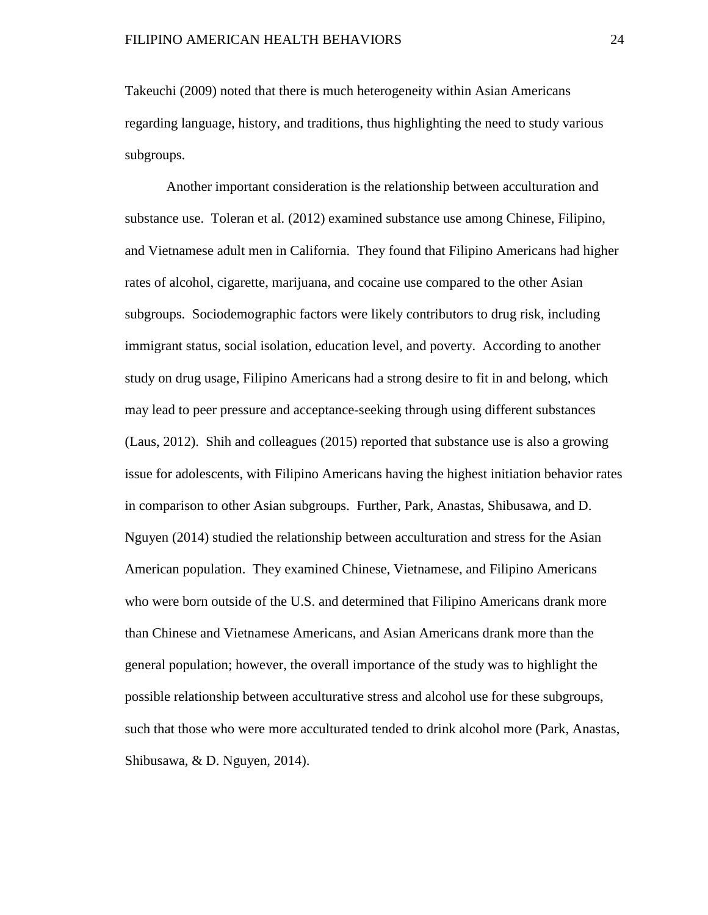Takeuchi (2009) noted that there is much heterogeneity within Asian Americans regarding language, history, and traditions, thus highlighting the need to study various subgroups.

Another important consideration is the relationship between acculturation and substance use. Toleran et al. (2012) examined substance use among Chinese, Filipino, and Vietnamese adult men in California. They found that Filipino Americans had higher rates of alcohol, cigarette, marijuana, and cocaine use compared to the other Asian subgroups. Sociodemographic factors were likely contributors to drug risk, including immigrant status, social isolation, education level, and poverty. According to another study on drug usage, Filipino Americans had a strong desire to fit in and belong, which may lead to peer pressure and acceptance-seeking through using different substances (Laus, 2012). Shih and colleagues (2015) reported that substance use is also a growing issue for adolescents, with Filipino Americans having the highest initiation behavior rates in comparison to other Asian subgroups. Further, Park, Anastas, Shibusawa, and D. Nguyen (2014) studied the relationship between acculturation and stress for the Asian American population. They examined Chinese, Vietnamese, and Filipino Americans who were born outside of the U.S. and determined that Filipino Americans drank more than Chinese and Vietnamese Americans, and Asian Americans drank more than the general population; however, the overall importance of the study was to highlight the possible relationship between acculturative stress and alcohol use for these subgroups, such that those who were more acculturated tended to drink alcohol more (Park, Anastas, Shibusawa, & D. Nguyen, 2014).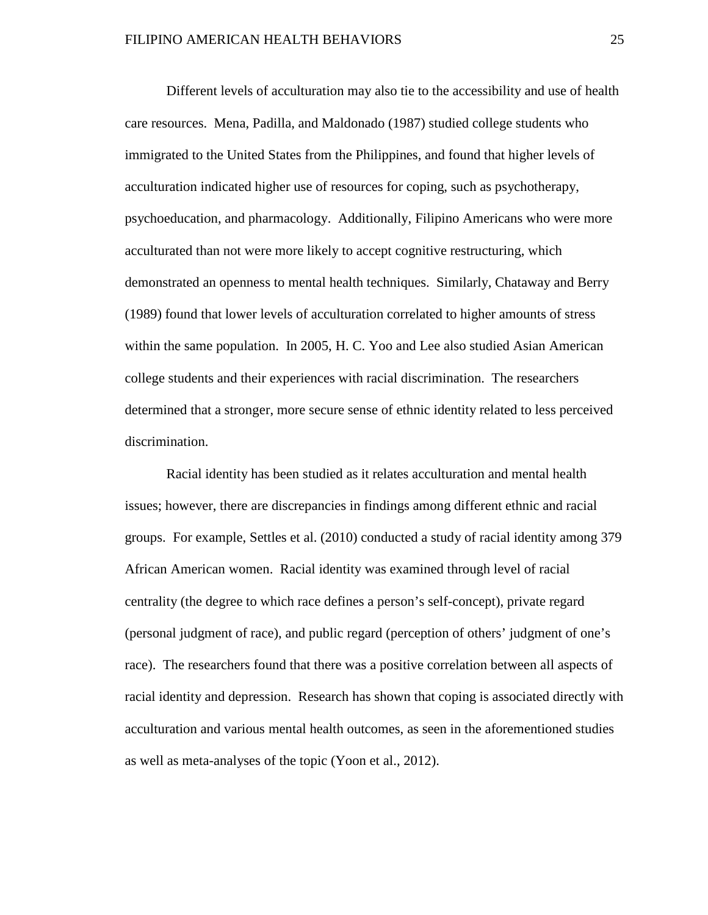Different levels of acculturation may also tie to the accessibility and use of health care resources. Mena, Padilla, and Maldonado (1987) studied college students who immigrated to the United States from the Philippines, and found that higher levels of acculturation indicated higher use of resources for coping, such as psychotherapy, psychoeducation, and pharmacology. Additionally, Filipino Americans who were more acculturated than not were more likely to accept cognitive restructuring, which demonstrated an openness to mental health techniques. Similarly, Chataway and Berry (1989) found that lower levels of acculturation correlated to higher amounts of stress within the same population. In 2005, H. C. Yoo and Lee also studied Asian American college students and their experiences with racial discrimination. The researchers determined that a stronger, more secure sense of ethnic identity related to less perceived discrimination.

Racial identity has been studied as it relates acculturation and mental health issues; however, there are discrepancies in findings among different ethnic and racial groups. For example, Settles et al. (2010) conducted a study of racial identity among 379 African American women. Racial identity was examined through level of racial centrality (the degree to which race defines a person's self-concept), private regard (personal judgment of race), and public regard (perception of others' judgment of one's race). The researchers found that there was a positive correlation between all aspects of racial identity and depression. Research has shown that coping is associated directly with acculturation and various mental health outcomes, as seen in the aforementioned studies as well as meta-analyses of the topic (Yoon et al., 2012).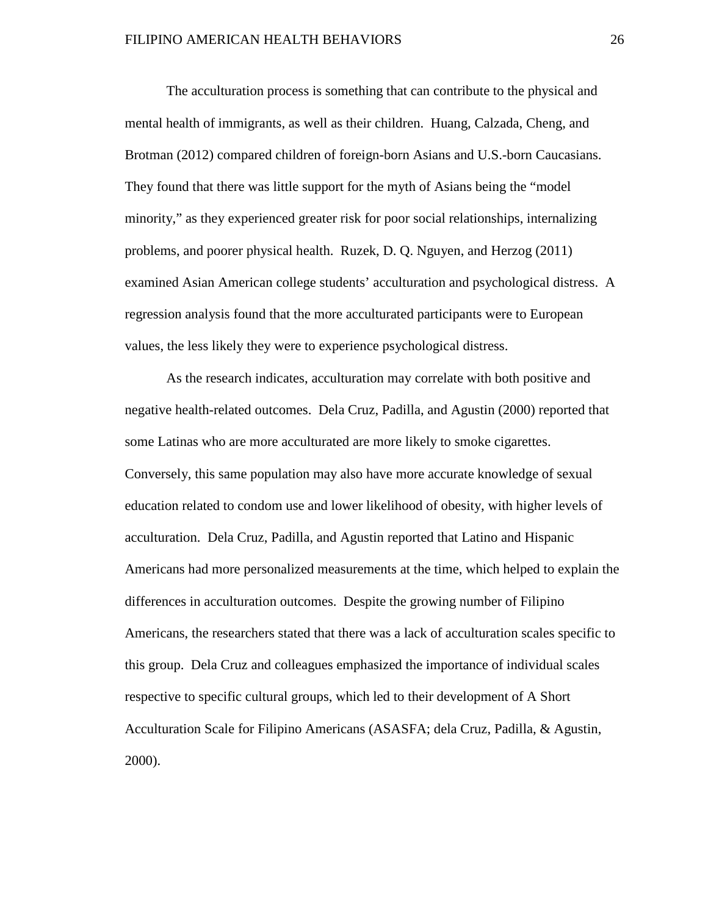The acculturation process is something that can contribute to the physical and mental health of immigrants, as well as their children. Huang, Calzada, Cheng, and Brotman (2012) compared children of foreign-born Asians and U.S.-born Caucasians. They found that there was little support for the myth of Asians being the "model minority," as they experienced greater risk for poor social relationships, internalizing problems, and poorer physical health. Ruzek, D. Q. Nguyen, and Herzog (2011) examined Asian American college students' acculturation and psychological distress. A regression analysis found that the more acculturated participants were to European values, the less likely they were to experience psychological distress.

As the research indicates, acculturation may correlate with both positive and negative health-related outcomes. Dela Cruz, Padilla, and Agustin (2000) reported that some Latinas who are more acculturated are more likely to smoke cigarettes. Conversely, this same population may also have more accurate knowledge of sexual education related to condom use and lower likelihood of obesity, with higher levels of acculturation. Dela Cruz, Padilla, and Agustin reported that Latino and Hispanic Americans had more personalized measurements at the time, which helped to explain the differences in acculturation outcomes. Despite the growing number of Filipino Americans, the researchers stated that there was a lack of acculturation scales specific to this group. Dela Cruz and colleagues emphasized the importance of individual scales respective to specific cultural groups, which led to their development of A Short Acculturation Scale for Filipino Americans (ASASFA; dela Cruz, Padilla, & Agustin, 2000).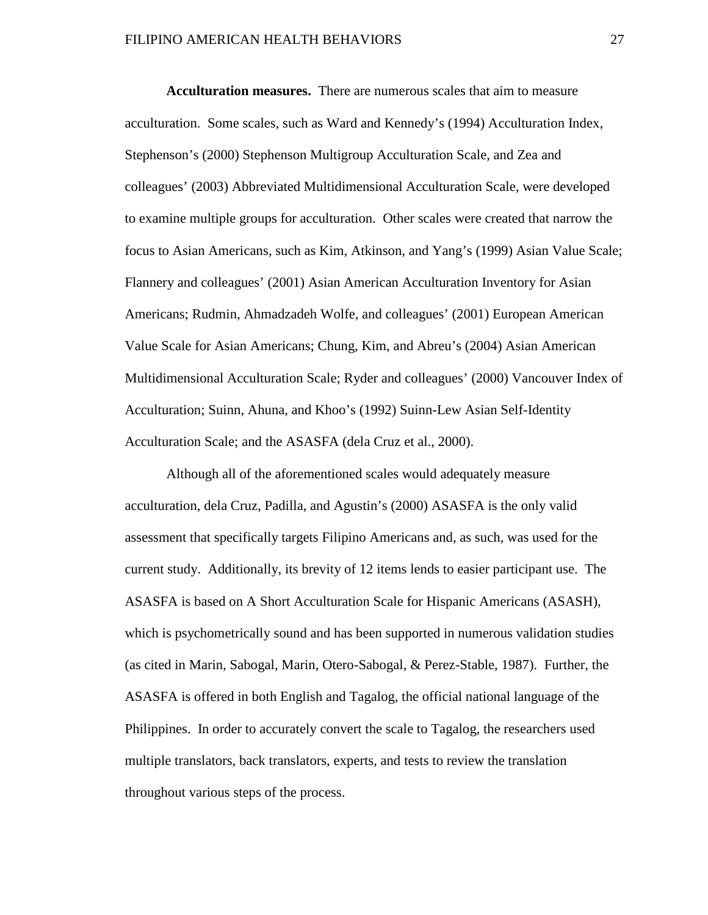**Acculturation measures.** There are numerous scales that aim to measure acculturation. Some scales, such as Ward and Kennedy's (1994) Acculturation Index, Stephenson's (2000) Stephenson Multigroup Acculturation Scale, and Zea and colleagues' (2003) Abbreviated Multidimensional Acculturation Scale, were developed to examine multiple groups for acculturation. Other scales were created that narrow the focus to Asian Americans, such as Kim, Atkinson, and Yang's (1999) Asian Value Scale; Flannery and colleagues' (2001) Asian American Acculturation Inventory for Asian Americans; Rudmin, Ahmadzadeh Wolfe, and colleagues' (2001) European American Value Scale for Asian Americans; Chung, Kim, and Abreu's (2004) Asian American Multidimensional Acculturation Scale; Ryder and colleagues' (2000) Vancouver Index of Acculturation; Suinn, Ahuna, and Khoo's (1992) Suinn-Lew Asian Self-Identity Acculturation Scale; and the ASASFA (dela Cruz et al., 2000).

Although all of the aforementioned scales would adequately measure acculturation, dela Cruz, Padilla, and Agustin's (2000) ASASFA is the only valid assessment that specifically targets Filipino Americans and, as such, was used for the current study. Additionally, its brevity of 12 items lends to easier participant use. The ASASFA is based on A Short Acculturation Scale for Hispanic Americans (ASASH), which is psychometrically sound and has been supported in numerous validation studies (as cited in Marin, Sabogal, Marin, Otero-Sabogal, & Perez-Stable, 1987). Further, the ASASFA is offered in both English and Tagalog, the official national language of the Philippines. In order to accurately convert the scale to Tagalog, the researchers used multiple translators, back translators, experts, and tests to review the translation throughout various steps of the process.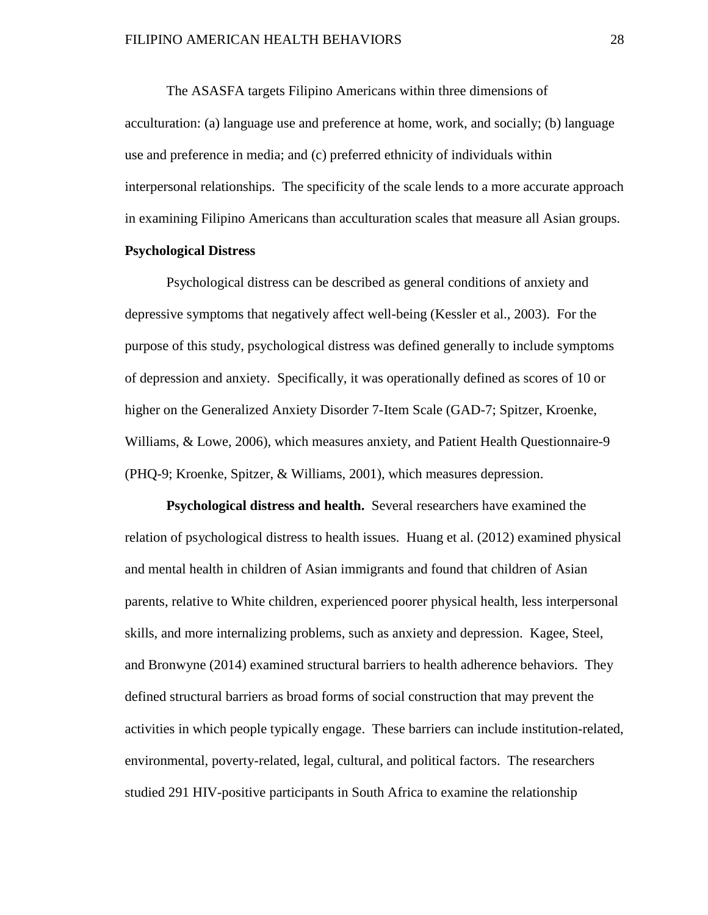The ASASFA targets Filipino Americans within three dimensions of acculturation: (a) language use and preference at home, work, and socially; (b) language use and preference in media; and (c) preferred ethnicity of individuals within interpersonal relationships. The specificity of the scale lends to a more accurate approach in examining Filipino Americans than acculturation scales that measure all Asian groups.

### **Psychological Distress**

Psychological distress can be described as general conditions of anxiety and depressive symptoms that negatively affect well-being (Kessler et al., 2003). For the purpose of this study, psychological distress was defined generally to include symptoms of depression and anxiety. Specifically, it was operationally defined as scores of 10 or higher on the Generalized Anxiety Disorder 7-Item Scale (GAD-7; Spitzer, Kroenke, Williams, & Lowe, 2006), which measures anxiety, and Patient Health Questionnaire-9 (PHQ-9; Kroenke, Spitzer, & Williams, 2001), which measures depression.

**Psychological distress and health.** Several researchers have examined the relation of psychological distress to health issues. Huang et al. (2012) examined physical and mental health in children of Asian immigrants and found that children of Asian parents, relative to White children, experienced poorer physical health, less interpersonal skills, and more internalizing problems, such as anxiety and depression. Kagee, Steel, and Bronwyne (2014) examined structural barriers to health adherence behaviors. They defined structural barriers as broad forms of social construction that may prevent the activities in which people typically engage. These barriers can include institution-related, environmental, poverty-related, legal, cultural, and political factors. The researchers studied 291 HIV-positive participants in South Africa to examine the relationship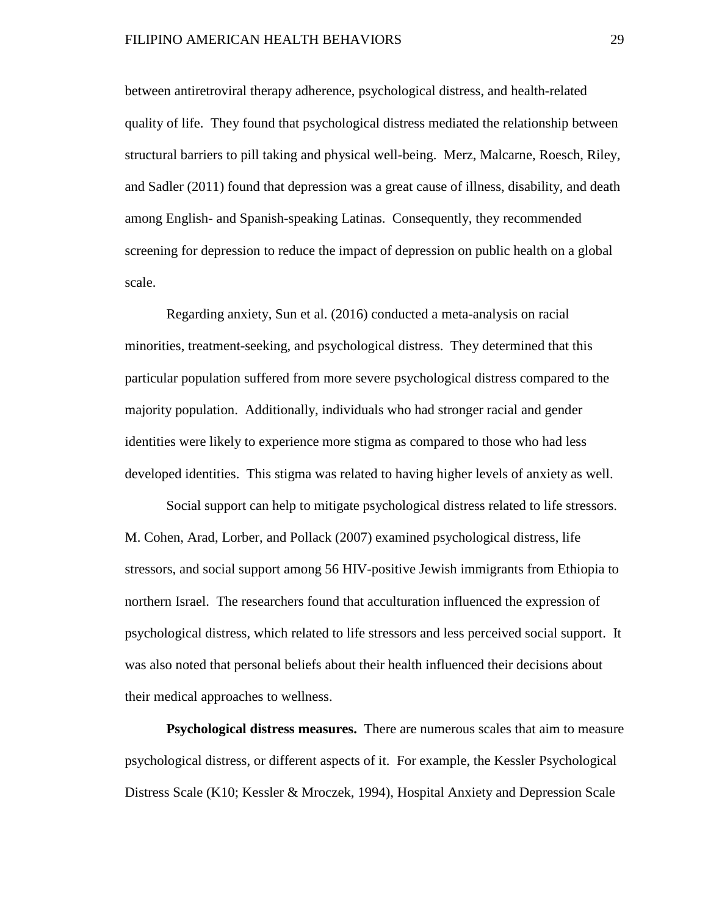between antiretroviral therapy adherence, psychological distress, and health-related quality of life. They found that psychological distress mediated the relationship between structural barriers to pill taking and physical well-being. Merz, Malcarne, Roesch, Riley, and Sadler (2011) found that depression was a great cause of illness, disability, and death among English- and Spanish-speaking Latinas. Consequently, they recommended screening for depression to reduce the impact of depression on public health on a global scale.

Regarding anxiety, Sun et al. (2016) conducted a meta-analysis on racial minorities, treatment-seeking, and psychological distress. They determined that this particular population suffered from more severe psychological distress compared to the majority population. Additionally, individuals who had stronger racial and gender identities were likely to experience more stigma as compared to those who had less developed identities. This stigma was related to having higher levels of anxiety as well.

Social support can help to mitigate psychological distress related to life stressors. M. Cohen, Arad, Lorber, and Pollack (2007) examined psychological distress, life stressors, and social support among 56 HIV-positive Jewish immigrants from Ethiopia to northern Israel. The researchers found that acculturation influenced the expression of psychological distress, which related to life stressors and less perceived social support. It was also noted that personal beliefs about their health influenced their decisions about their medical approaches to wellness.

**Psychological distress measures.** There are numerous scales that aim to measure psychological distress, or different aspects of it. For example, the Kessler Psychological Distress Scale (K10; Kessler & Mroczek, 1994), Hospital Anxiety and Depression Scale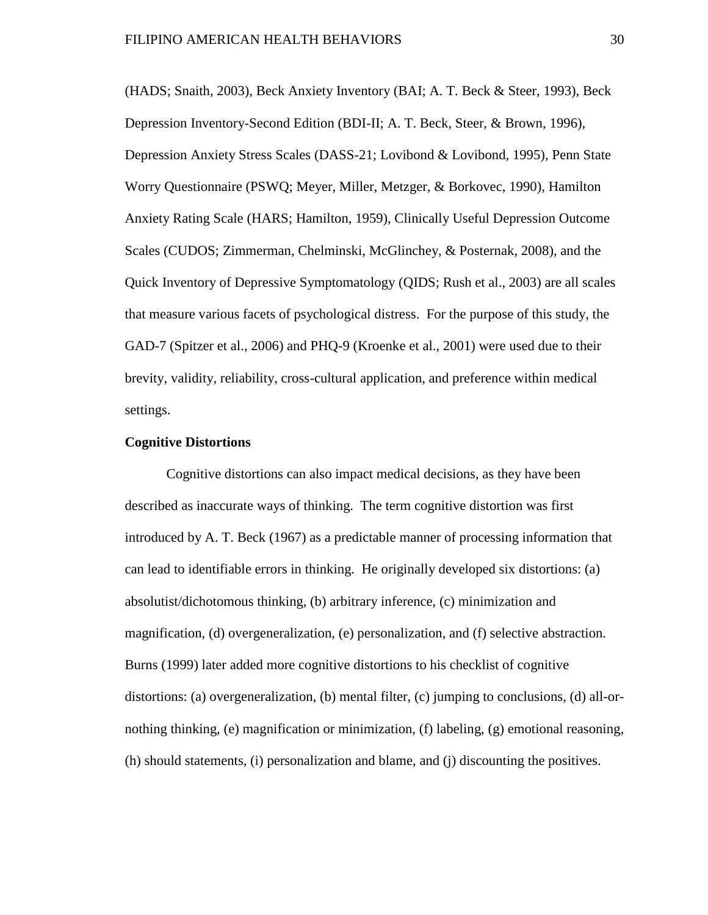(HADS; Snaith, 2003), Beck Anxiety Inventory (BAI; A. T. Beck & Steer, 1993), Beck Depression Inventory-Second Edition (BDI-II; A. T. Beck, Steer, & Brown, 1996), Depression Anxiety Stress Scales (DASS-21; Lovibond & Lovibond, 1995), Penn State Worry Questionnaire (PSWQ; Meyer, Miller, Metzger, & Borkovec, 1990), Hamilton Anxiety Rating Scale (HARS; Hamilton, 1959), Clinically Useful Depression Outcome Scales (CUDOS; Zimmerman, Chelminski, McGlinchey, & Posternak, 2008), and the Quick Inventory of Depressive Symptomatology (QIDS; Rush et al., 2003) are all scales that measure various facets of psychological distress. For the purpose of this study, the GAD-7 (Spitzer et al., 2006) and PHQ-9 (Kroenke et al., 2001) were used due to their brevity, validity, reliability, cross-cultural application, and preference within medical settings.

### **Cognitive Distortions**

Cognitive distortions can also impact medical decisions, as they have been described as inaccurate ways of thinking. The term cognitive distortion was first introduced by A. T. Beck (1967) as a predictable manner of processing information that can lead to identifiable errors in thinking. He originally developed six distortions: (a) absolutist/dichotomous thinking, (b) arbitrary inference, (c) minimization and magnification, (d) overgeneralization, (e) personalization, and (f) selective abstraction. Burns (1999) later added more cognitive distortions to his checklist of cognitive distortions: (a) overgeneralization, (b) mental filter, (c) jumping to conclusions, (d) all-ornothing thinking, (e) magnification or minimization, (f) labeling, (g) emotional reasoning, (h) should statements, (i) personalization and blame, and (j) discounting the positives.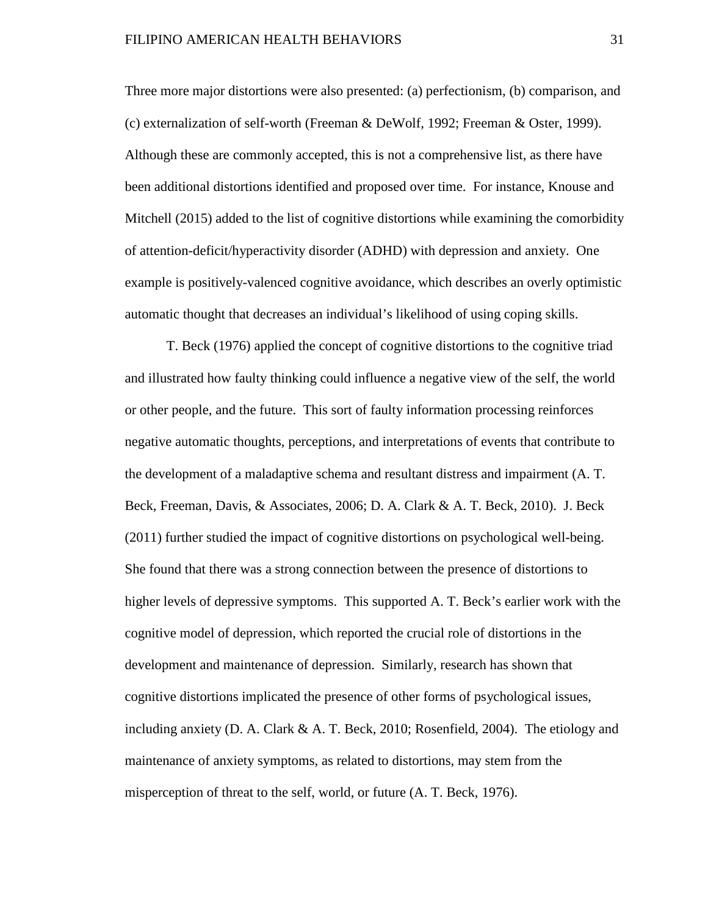Three more major distortions were also presented: (a) perfectionism, (b) comparison, and (c) externalization of self-worth (Freeman & DeWolf, 1992; Freeman & Oster, 1999). Although these are commonly accepted, this is not a comprehensive list, as there have been additional distortions identified and proposed over time. For instance, Knouse and Mitchell (2015) added to the list of cognitive distortions while examining the comorbidity of attention-deficit/hyperactivity disorder (ADHD) with depression and anxiety. One example is positively-valenced cognitive avoidance, which describes an overly optimistic automatic thought that decreases an individual's likelihood of using coping skills.

T. Beck (1976) applied the concept of cognitive distortions to the cognitive triad and illustrated how faulty thinking could influence a negative view of the self, the world or other people, and the future. This sort of faulty information processing reinforces negative automatic thoughts, perceptions, and interpretations of events that contribute to the development of a maladaptive schema and resultant distress and impairment (A. T. Beck, Freeman, Davis, & Associates, 2006; D. A. Clark & A. T. Beck, 2010). J. Beck (2011) further studied the impact of cognitive distortions on psychological well-being. She found that there was a strong connection between the presence of distortions to higher levels of depressive symptoms. This supported A. T. Beck's earlier work with the cognitive model of depression, which reported the crucial role of distortions in the development and maintenance of depression. Similarly, research has shown that cognitive distortions implicated the presence of other forms of psychological issues, including anxiety (D. A. Clark & A. T. Beck, 2010; Rosenfield, 2004). The etiology and maintenance of anxiety symptoms, as related to distortions, may stem from the misperception of threat to the self, world, or future (A. T. Beck, 1976).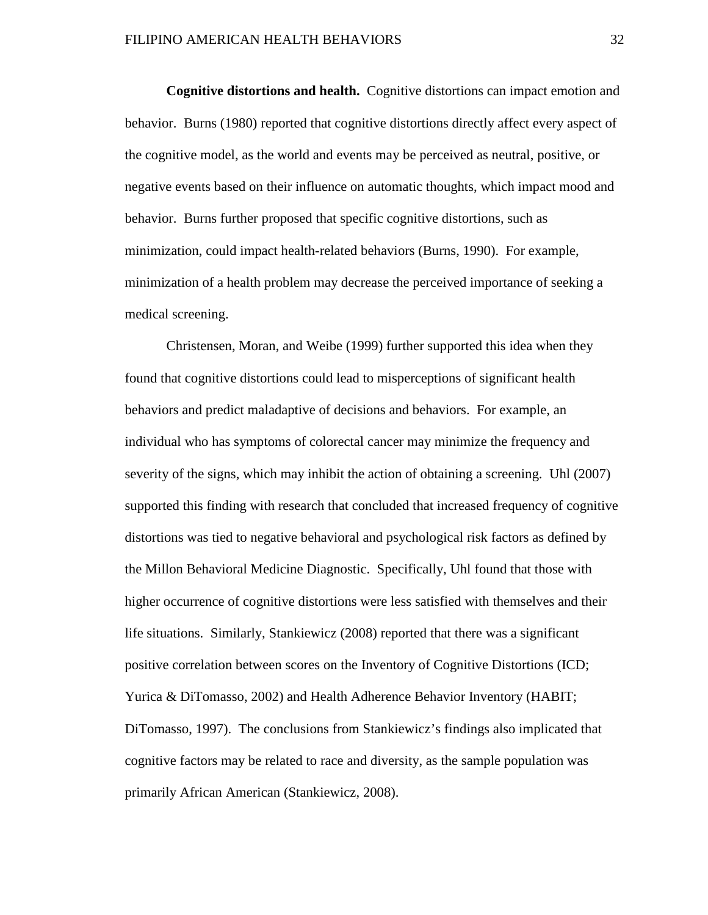**Cognitive distortions and health.** Cognitive distortions can impact emotion and behavior. Burns (1980) reported that cognitive distortions directly affect every aspect of the cognitive model, as the world and events may be perceived as neutral, positive, or negative events based on their influence on automatic thoughts, which impact mood and behavior. Burns further proposed that specific cognitive distortions, such as minimization, could impact health-related behaviors (Burns, 1990). For example, minimization of a health problem may decrease the perceived importance of seeking a medical screening.

Christensen, Moran, and Weibe (1999) further supported this idea when they found that cognitive distortions could lead to misperceptions of significant health behaviors and predict maladaptive of decisions and behaviors. For example, an individual who has symptoms of colorectal cancer may minimize the frequency and severity of the signs, which may inhibit the action of obtaining a screening. Uhl (2007) supported this finding with research that concluded that increased frequency of cognitive distortions was tied to negative behavioral and psychological risk factors as defined by the Millon Behavioral Medicine Diagnostic. Specifically, Uhl found that those with higher occurrence of cognitive distortions were less satisfied with themselves and their life situations. Similarly, Stankiewicz (2008) reported that there was a significant positive correlation between scores on the Inventory of Cognitive Distortions (ICD; Yurica & DiTomasso, 2002) and Health Adherence Behavior Inventory (HABIT; DiTomasso, 1997). The conclusions from Stankiewicz's findings also implicated that cognitive factors may be related to race and diversity, as the sample population was primarily African American (Stankiewicz, 2008).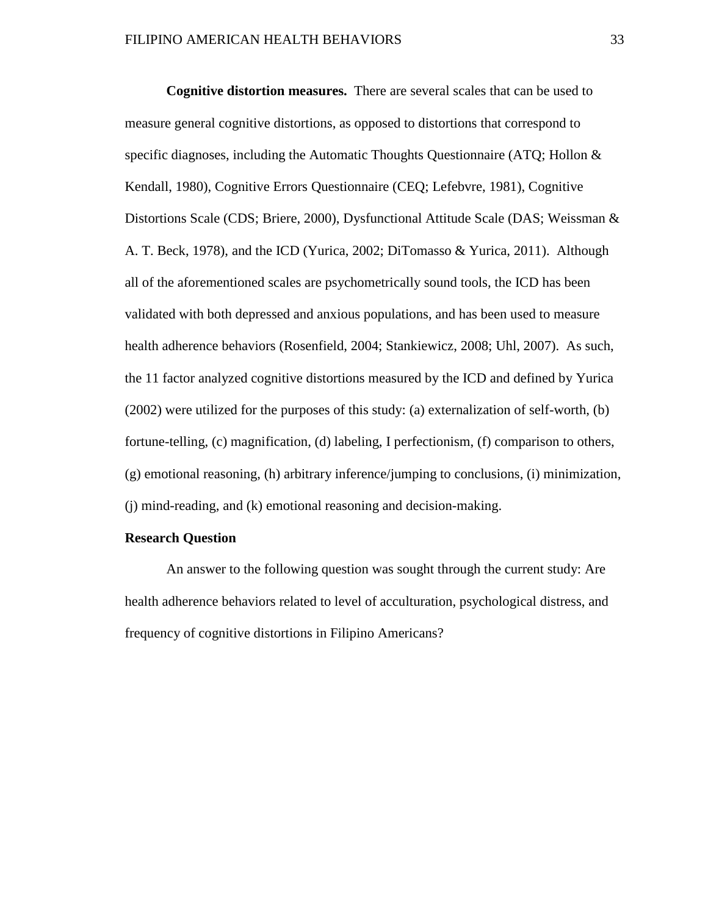**Cognitive distortion measures.** There are several scales that can be used to measure general cognitive distortions, as opposed to distortions that correspond to specific diagnoses, including the Automatic Thoughts Questionnaire (ATQ; Hollon  $\&$ Kendall, 1980), Cognitive Errors Questionnaire (CEQ; Lefebvre, 1981), Cognitive Distortions Scale (CDS; Briere, 2000), Dysfunctional Attitude Scale (DAS; Weissman & A. T. Beck, 1978), and the ICD (Yurica, 2002; DiTomasso & Yurica, 2011). Although all of the aforementioned scales are psychometrically sound tools, the ICD has been validated with both depressed and anxious populations, and has been used to measure health adherence behaviors (Rosenfield, 2004; Stankiewicz, 2008; Uhl, 2007). As such, the 11 factor analyzed cognitive distortions measured by the ICD and defined by Yurica (2002) were utilized for the purposes of this study: (a) externalization of self-worth, (b) fortune-telling, (c) magnification, (d) labeling, I perfectionism, (f) comparison to others, (g) emotional reasoning, (h) arbitrary inference/jumping to conclusions, (i) minimization, (j) mind-reading, and (k) emotional reasoning and decision-making.

#### **Research Question**

An answer to the following question was sought through the current study: Are health adherence behaviors related to level of acculturation, psychological distress, and frequency of cognitive distortions in Filipino Americans?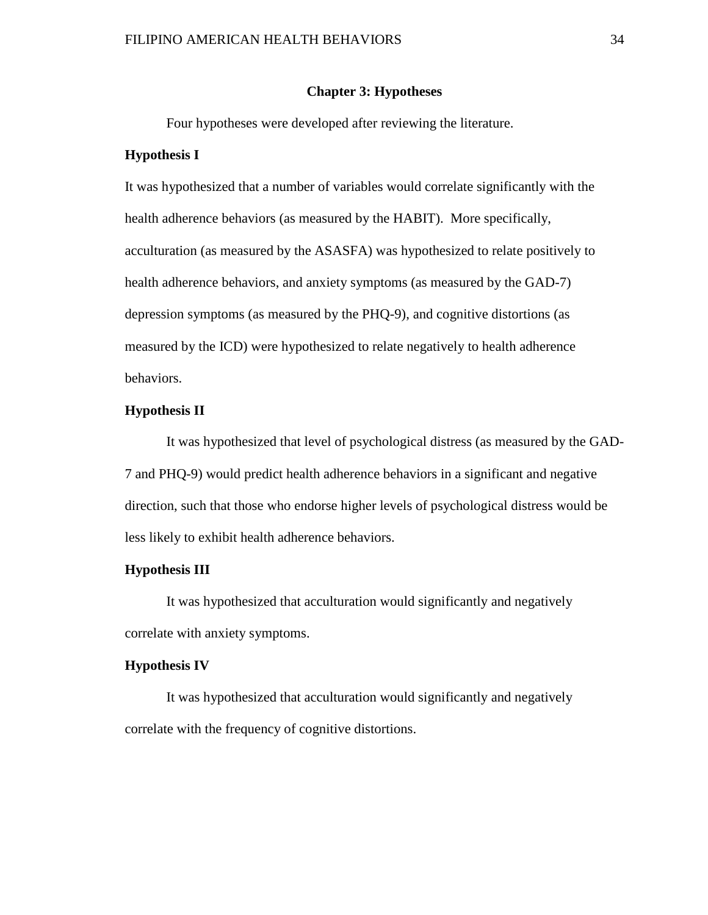### **Chapter 3: Hypotheses**

Four hypotheses were developed after reviewing the literature.

## **Hypothesis I**

It was hypothesized that a number of variables would correlate significantly with the health adherence behaviors (as measured by the HABIT). More specifically, acculturation (as measured by the ASASFA) was hypothesized to relate positively to health adherence behaviors, and anxiety symptoms (as measured by the GAD-7) depression symptoms (as measured by the PHQ-9), and cognitive distortions (as measured by the ICD) were hypothesized to relate negatively to health adherence behaviors.

#### **Hypothesis II**

It was hypothesized that level of psychological distress (as measured by the GAD-7 and PHQ-9) would predict health adherence behaviors in a significant and negative direction, such that those who endorse higher levels of psychological distress would be less likely to exhibit health adherence behaviors.

# **Hypothesis III**

It was hypothesized that acculturation would significantly and negatively correlate with anxiety symptoms.

#### **Hypothesis IV**

It was hypothesized that acculturation would significantly and negatively correlate with the frequency of cognitive distortions.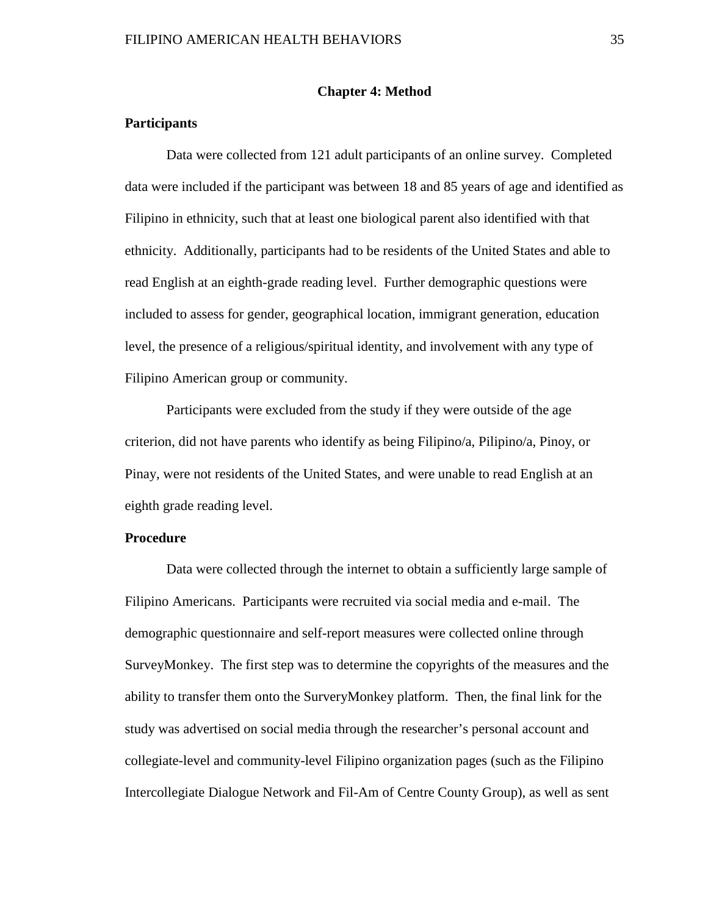#### **Chapter 4: Method**

# **Participants**

 Data were collected from 121 adult participants of an online survey. Completed data were included if the participant was between 18 and 85 years of age and identified as Filipino in ethnicity, such that at least one biological parent also identified with that ethnicity. Additionally, participants had to be residents of the United States and able to read English at an eighth-grade reading level. Further demographic questions were included to assess for gender, geographical location, immigrant generation, education level, the presence of a religious/spiritual identity, and involvement with any type of Filipino American group or community.

Participants were excluded from the study if they were outside of the age criterion, did not have parents who identify as being Filipino/a, Pilipino/a, Pinoy, or Pinay, were not residents of the United States, and were unable to read English at an eighth grade reading level.

#### **Procedure**

Data were collected through the internet to obtain a sufficiently large sample of Filipino Americans. Participants were recruited via social media and e-mail. The demographic questionnaire and self-report measures were collected online through SurveyMonkey. The first step was to determine the copyrights of the measures and the ability to transfer them onto the SurveryMonkey platform. Then, the final link for the study was advertised on social media through the researcher's personal account and collegiate-level and community-level Filipino organization pages (such as the Filipino Intercollegiate Dialogue Network and Fil-Am of Centre County Group), as well as sent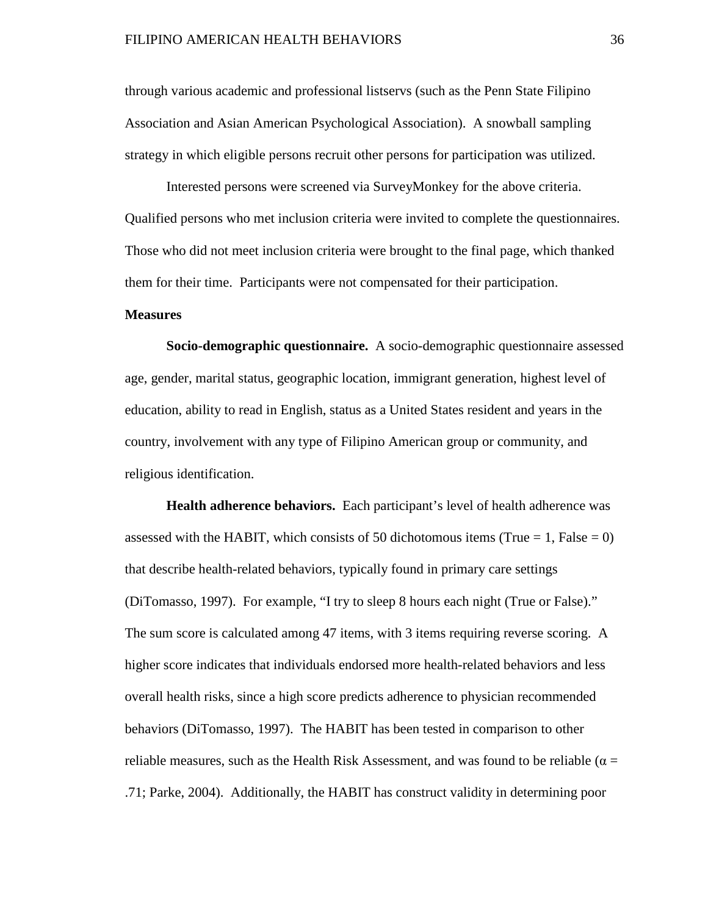through various academic and professional listservs (such as the Penn State Filipino Association and Asian American Psychological Association). A snowball sampling strategy in which eligible persons recruit other persons for participation was utilized.

Interested persons were screened via SurveyMonkey for the above criteria. Qualified persons who met inclusion criteria were invited to complete the questionnaires. Those who did not meet inclusion criteria were brought to the final page, which thanked them for their time. Participants were not compensated for their participation.

#### **Measures**

**Socio-demographic questionnaire.** A socio-demographic questionnaire assessed age, gender, marital status, geographic location, immigrant generation, highest level of education, ability to read in English, status as a United States resident and years in the country, involvement with any type of Filipino American group or community, and religious identification.

**Health adherence behaviors.** Each participant's level of health adherence was assessed with the HABIT, which consists of 50 dichotomous items (True  $= 1$ , False  $= 0$ ) that describe health-related behaviors, typically found in primary care settings (DiTomasso, 1997). For example, "I try to sleep 8 hours each night (True or False)." The sum score is calculated among 47 items, with 3 items requiring reverse scoring. A higher score indicates that individuals endorsed more health-related behaviors and less overall health risks, since a high score predicts adherence to physician recommended behaviors (DiTomasso, 1997). The HABIT has been tested in comparison to other reliable measures, such as the Health Risk Assessment, and was found to be reliable ( $\alpha$  = .71; Parke, 2004). Additionally, the HABIT has construct validity in determining poor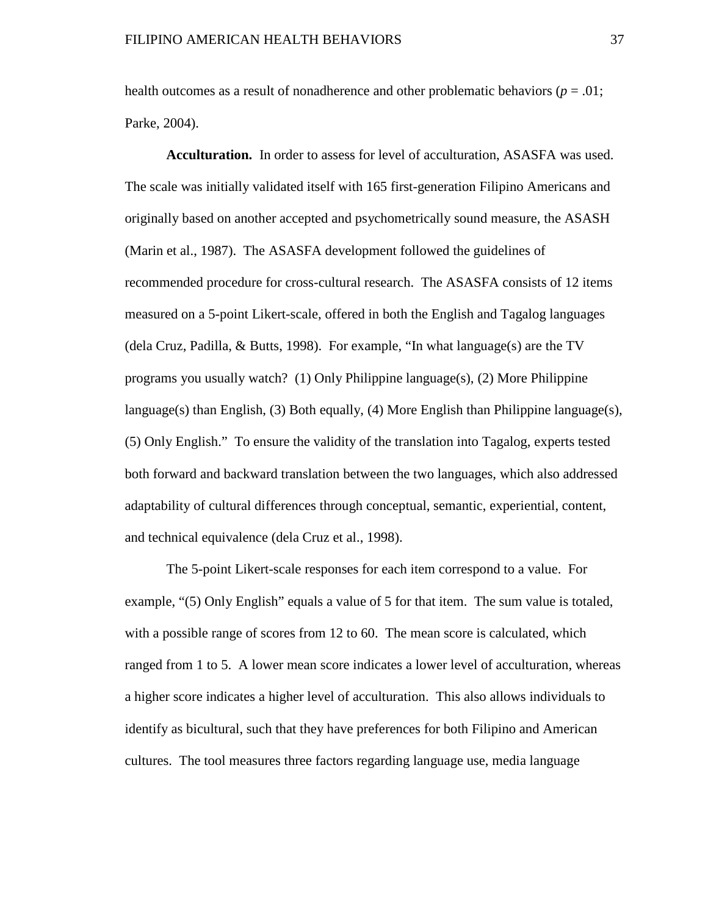health outcomes as a result of nonadherence and other problematic behaviors ( $p = .01$ ; Parke, 2004).

**Acculturation.** In order to assess for level of acculturation, ASASFA was used. The scale was initially validated itself with 165 first-generation Filipino Americans and originally based on another accepted and psychometrically sound measure, the ASASH (Marin et al., 1987). The ASASFA development followed the guidelines of recommended procedure for cross-cultural research. The ASASFA consists of 12 items measured on a 5-point Likert-scale, offered in both the English and Tagalog languages (dela Cruz, Padilla,  $\&$  Butts, 1998). For example, "In what language(s) are the TV programs you usually watch? (1) Only Philippine language(s), (2) More Philippine language(s) than English, (3) Both equally, (4) More English than Philippine language(s), (5) Only English." To ensure the validity of the translation into Tagalog, experts tested both forward and backward translation between the two languages, which also addressed adaptability of cultural differences through conceptual, semantic, experiential, content, and technical equivalence (dela Cruz et al., 1998).

The 5-point Likert-scale responses for each item correspond to a value. For example, "(5) Only English" equals a value of 5 for that item. The sum value is totaled, with a possible range of scores from 12 to 60. The mean score is calculated, which ranged from 1 to 5. A lower mean score indicates a lower level of acculturation, whereas a higher score indicates a higher level of acculturation. This also allows individuals to identify as bicultural, such that they have preferences for both Filipino and American cultures. The tool measures three factors regarding language use, media language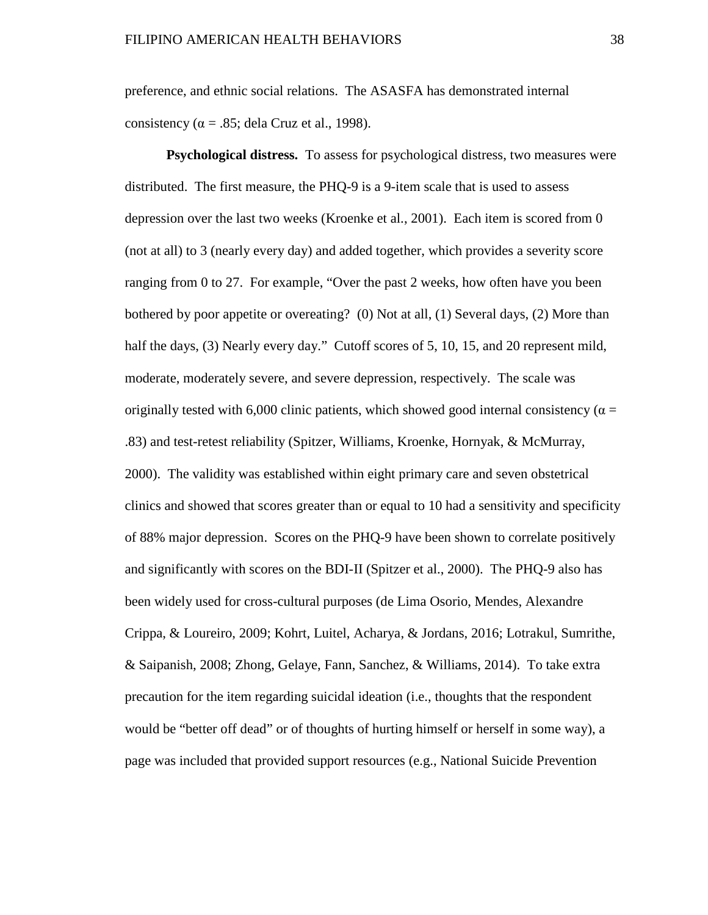preference, and ethnic social relations. The ASASFA has demonstrated internal consistency ( $\alpha$  = .85; dela Cruz et al., 1998).

**Psychological distress.** To assess for psychological distress, two measures were distributed. The first measure, the PHQ-9 is a 9-item scale that is used to assess depression over the last two weeks (Kroenke et al., 2001). Each item is scored from 0 (not at all) to 3 (nearly every day) and added together, which provides a severity score ranging from 0 to 27. For example, "Over the past 2 weeks, how often have you been bothered by poor appetite or overeating? (0) Not at all, (1) Several days, (2) More than half the days, (3) Nearly every day." Cutoff scores of 5, 10, 15, and 20 represent mild, moderate, moderately severe, and severe depression, respectively. The scale was originally tested with 6,000 clinic patients, which showed good internal consistency ( $\alpha$  = .83) and test-retest reliability (Spitzer, Williams, Kroenke, Hornyak, & McMurray, 2000). The validity was established within eight primary care and seven obstetrical clinics and showed that scores greater than or equal to 10 had a sensitivity and specificity of 88% major depression. Scores on the PHQ-9 have been shown to correlate positively and significantly with scores on the BDI-II (Spitzer et al., 2000). The PHQ-9 also has been widely used for cross-cultural purposes (de Lima Osorio, Mendes, Alexandre Crippa, & Loureiro, 2009; Kohrt, Luitel, Acharya, & Jordans, 2016; Lotrakul, Sumrithe, & Saipanish, 2008; Zhong, Gelaye, Fann, Sanchez, & Williams, 2014). To take extra precaution for the item regarding suicidal ideation (i.e., thoughts that the respondent would be "better off dead" or of thoughts of hurting himself or herself in some way), a page was included that provided support resources (e.g., National Suicide Prevention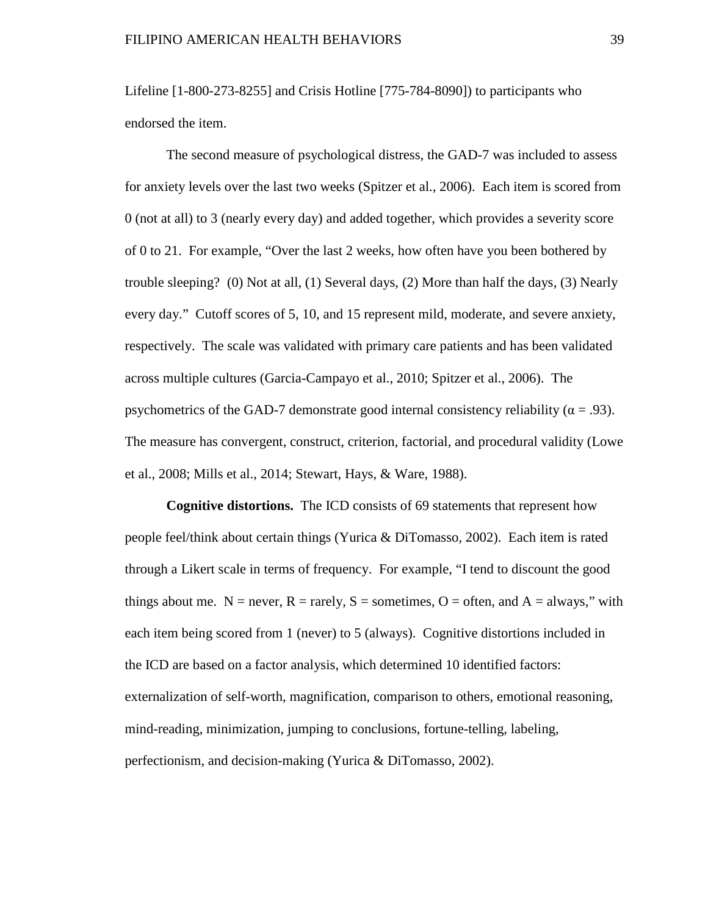Lifeline [1-800-273-8255] and Crisis Hotline [775-784-8090]) to participants who endorsed the item.

The second measure of psychological distress, the GAD-7 was included to assess for anxiety levels over the last two weeks (Spitzer et al., 2006). Each item is scored from 0 (not at all) to 3 (nearly every day) and added together, which provides a severity score of 0 to 21. For example, "Over the last 2 weeks, how often have you been bothered by trouble sleeping? (0) Not at all, (1) Several days, (2) More than half the days, (3) Nearly every day." Cutoff scores of 5, 10, and 15 represent mild, moderate, and severe anxiety, respectively. The scale was validated with primary care patients and has been validated across multiple cultures (Garcia-Campayo et al., 2010; Spitzer et al., 2006). The psychometrics of the GAD-7 demonstrate good internal consistency reliability ( $\alpha = .93$ ). The measure has convergent, construct, criterion, factorial, and procedural validity (Lowe et al., 2008; Mills et al., 2014; Stewart, Hays, & Ware, 1988).

**Cognitive distortions.** The ICD consists of 69 statements that represent how people feel/think about certain things (Yurica & DiTomasso, 2002). Each item is rated through a Likert scale in terms of frequency. For example, "I tend to discount the good things about me. N = never, R = rarely, S = sometimes, O = often, and A = always," with each item being scored from 1 (never) to 5 (always). Cognitive distortions included in the ICD are based on a factor analysis, which determined 10 identified factors: externalization of self-worth, magnification, comparison to others, emotional reasoning, mind-reading, minimization, jumping to conclusions, fortune-telling, labeling, perfectionism, and decision-making (Yurica & DiTomasso, 2002).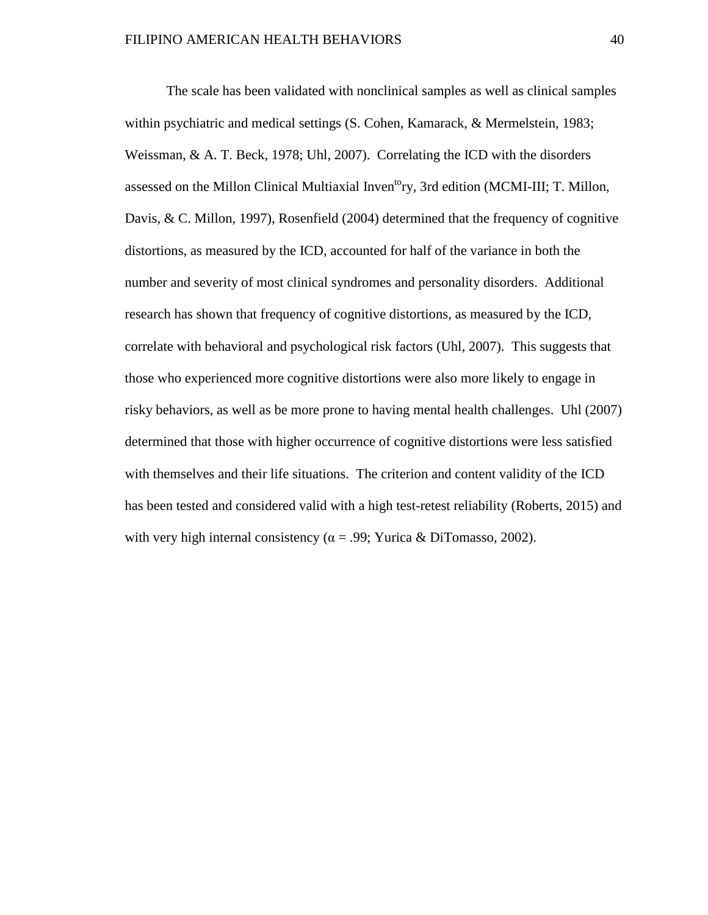The scale has been validated with nonclinical samples as well as clinical samples within psychiatric and medical settings (S. Cohen, Kamarack, & Mermelstein, 1983; Weissman, & A. T. Beck, 1978; Uhl, 2007). Correlating the ICD with the disorders assessed on the Millon Clinical Multiaxial Inven<sup>to</sup>ry, 3rd edition (MCMI-III; T. Millon, Davis, & C. Millon, 1997), Rosenfield (2004) determined that the frequency of cognitive distortions, as measured by the ICD, accounted for half of the variance in both the number and severity of most clinical syndromes and personality disorders. Additional research has shown that frequency of cognitive distortions, as measured by the ICD, correlate with behavioral and psychological risk factors (Uhl, 2007). This suggests that those who experienced more cognitive distortions were also more likely to engage in risky behaviors, as well as be more prone to having mental health challenges. Uhl (2007) determined that those with higher occurrence of cognitive distortions were less satisfied with themselves and their life situations. The criterion and content validity of the ICD has been tested and considered valid with a high test-retest reliability (Roberts, 2015) and with very high internal consistency ( $\alpha$  = .99; Yurica & DiTomasso, 2002).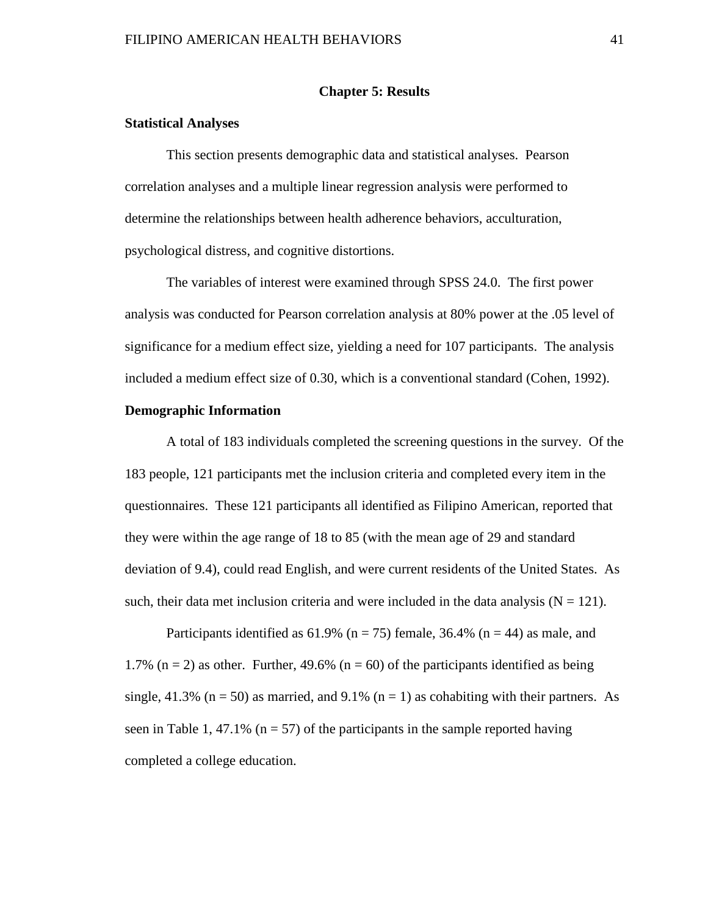### **Chapter 5: Results**

# **Statistical Analyses**

This section presents demographic data and statistical analyses. Pearson correlation analyses and a multiple linear regression analysis were performed to determine the relationships between health adherence behaviors, acculturation, psychological distress, and cognitive distortions.

The variables of interest were examined through SPSS 24.0. The first power analysis was conducted for Pearson correlation analysis at 80% power at the .05 level of significance for a medium effect size, yielding a need for 107 participants. The analysis included a medium effect size of 0.30, which is a conventional standard (Cohen, 1992).

# **Demographic Information**

A total of 183 individuals completed the screening questions in the survey. Of the 183 people, 121 participants met the inclusion criteria and completed every item in the questionnaires. These 121 participants all identified as Filipino American, reported that they were within the age range of 18 to 85 (with the mean age of 29 and standard deviation of 9.4), could read English, and were current residents of the United States. As such, their data met inclusion criteria and were included in the data analysis  $(N = 121)$ .

Participants identified as 61.9% ( $n = 75$ ) female, 36.4% ( $n = 44$ ) as male, and 1.7% ( $n = 2$ ) as other. Further, 49.6% ( $n = 60$ ) of the participants identified as being single, 41.3% ( $n = 50$ ) as married, and 9.1% ( $n = 1$ ) as cohabiting with their partners. As seen in Table 1, 47.1% ( $n = 57$ ) of the participants in the sample reported having completed a college education.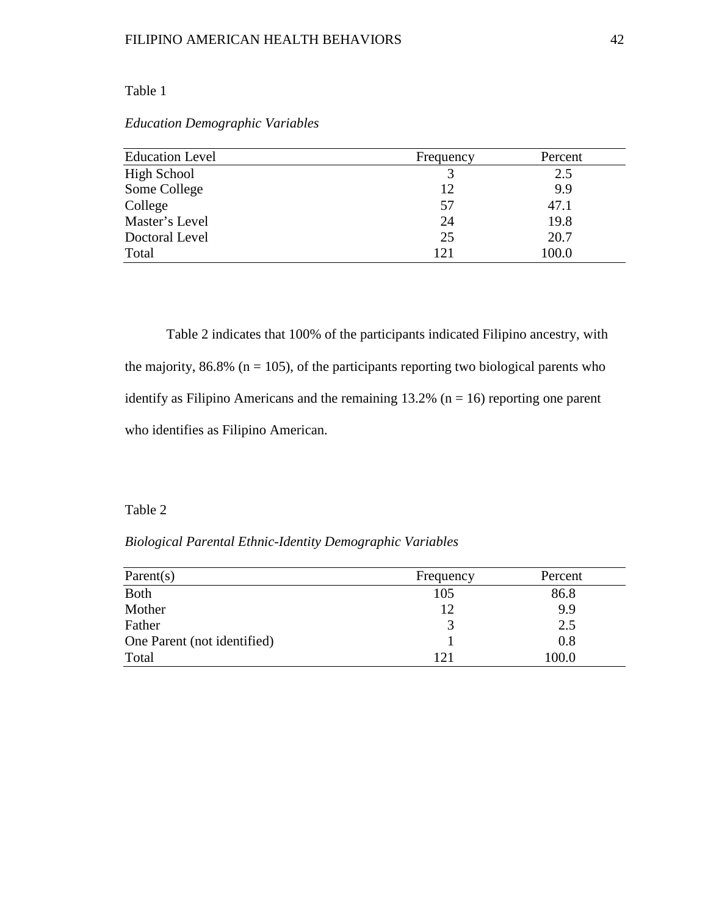# Table 1

*Education Demographic Variables*

| <b>Education Level</b> | Frequency | Percent |
|------------------------|-----------|---------|
| High School            |           | 2.5     |
| Some College           | 12        | 9.9     |
| College                | 57        | 47.1    |
| Master's Level         | 24        | 19.8    |
| Doctoral Level         | 25        | 20.7    |
| Total                  | 121       | 100.0   |

Table 2 indicates that 100% of the participants indicated Filipino ancestry, with the majority, 86.8% ( $n = 105$ ), of the participants reporting two biological parents who identify as Filipino Americans and the remaining  $13.2\%$  (n = 16) reporting one parent who identifies as Filipino American.

# Table 2

*Biological Parental Ethnic-Identity Demographic Variables*

| Parent $(s)$                | Frequency | Percent |
|-----------------------------|-----------|---------|
| <b>Both</b>                 | 105       | 86.8    |
| Mother                      | 12        | 9.9     |
| Father                      |           | 2.5     |
| One Parent (not identified) |           | 0.8     |
| Total                       | 121       | 100.0   |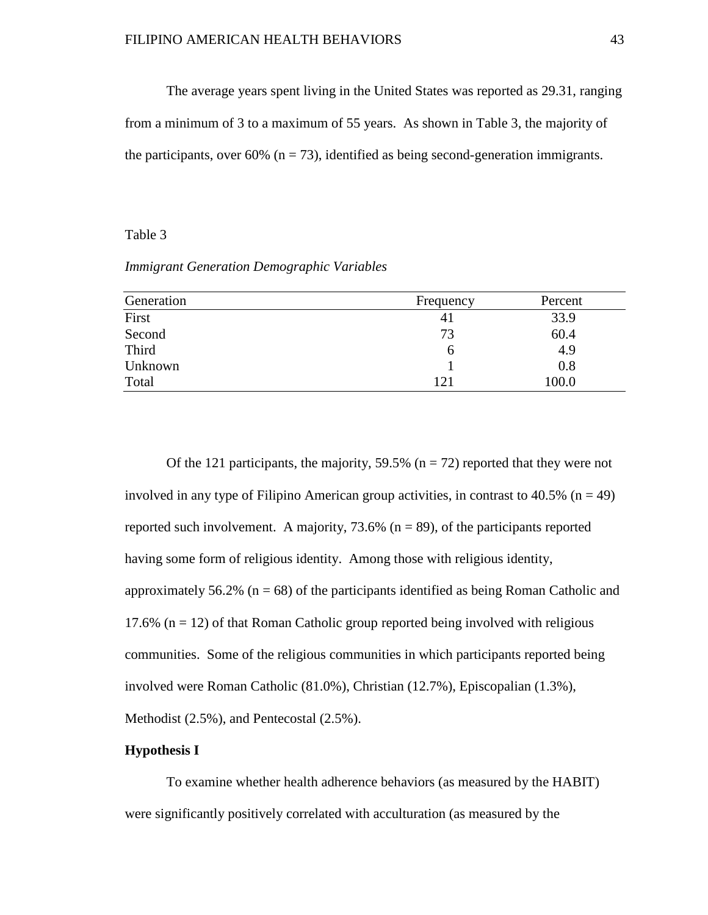The average years spent living in the United States was reported as 29.31, ranging

from a minimum of 3 to a maximum of 55 years. As shown in Table 3, the majority of

the participants, over 60% ( $n = 73$ ), identified as being second-generation immigrants.

#### Table 3

*Immigrant Generation Demographic Variables*

| Generation | Frequency | Percent |
|------------|-----------|---------|
| First      | 41        | 33.9    |
| Second     | 73        | 60.4    |
| Third      | n         | 4.9     |
| Unknown    |           | 0.8     |
| Total      | 121       | 100.0   |

Of the 121 participants, the majority, 59.5% ( $n = 72$ ) reported that they were not involved in any type of Filipino American group activities, in contrast to  $40.5\%$  (n = 49) reported such involvement. A majority,  $73.6\%$  (n = 89), of the participants reported having some form of religious identity. Among those with religious identity, approximately 56.2% ( $n = 68$ ) of the participants identified as being Roman Catholic and 17.6% ( $n = 12$ ) of that Roman Catholic group reported being involved with religious communities. Some of the religious communities in which participants reported being involved were Roman Catholic (81.0%), Christian (12.7%), Episcopalian (1.3%), Methodist (2.5%), and Pentecostal (2.5%).

# **Hypothesis I**

To examine whether health adherence behaviors (as measured by the HABIT) were significantly positively correlated with acculturation (as measured by the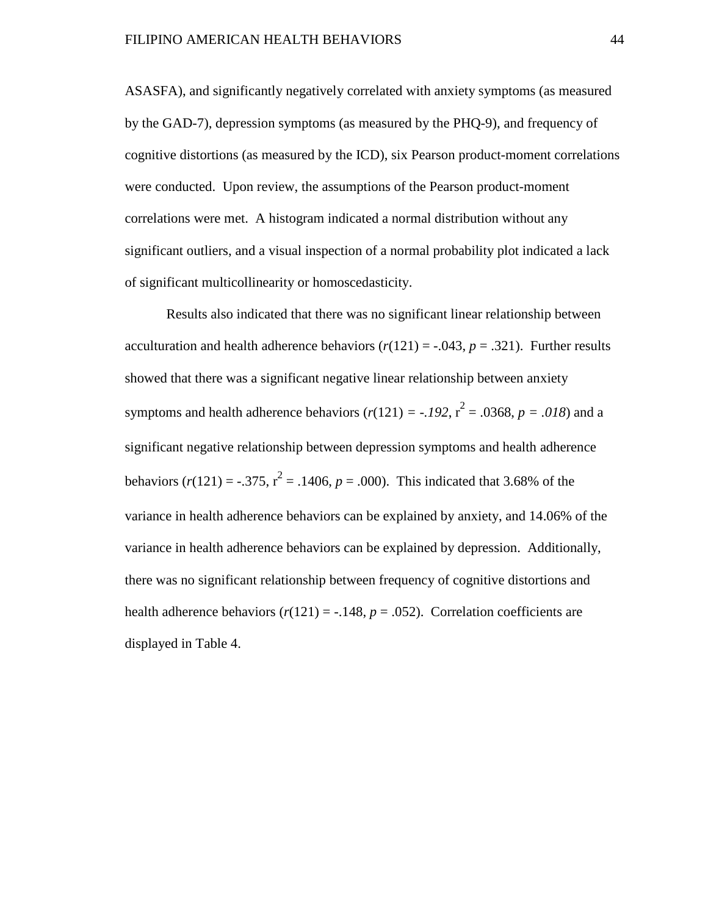ASASFA), and significantly negatively correlated with anxiety symptoms (as measured by the GAD-7), depression symptoms (as measured by the PHQ-9), and frequency of cognitive distortions (as measured by the ICD), six Pearson product-moment correlations were conducted. Upon review, the assumptions of the Pearson product-moment correlations were met. A histogram indicated a normal distribution without any significant outliers, and a visual inspection of a normal probability plot indicated a lack of significant multicollinearity or homoscedasticity.

Results also indicated that there was no significant linear relationship between acculturation and health adherence behaviors  $(r(121) = -.043, p = .321)$ . Further results showed that there was a significant negative linear relationship between anxiety symptoms and health adherence behaviors  $(r(121) = -.192, r^2 = .0368, p = .018)$  and a significant negative relationship between depression symptoms and health adherence behaviors  $(r(121) = -.375, r^2 = .1406, p = .000)$ . This indicated that 3.68% of the variance in health adherence behaviors can be explained by anxiety, and 14.06% of the variance in health adherence behaviors can be explained by depression. Additionally, there was no significant relationship between frequency of cognitive distortions and health adherence behaviors  $(r(121) = -.148, p = .052)$ . Correlation coefficients are displayed in Table 4.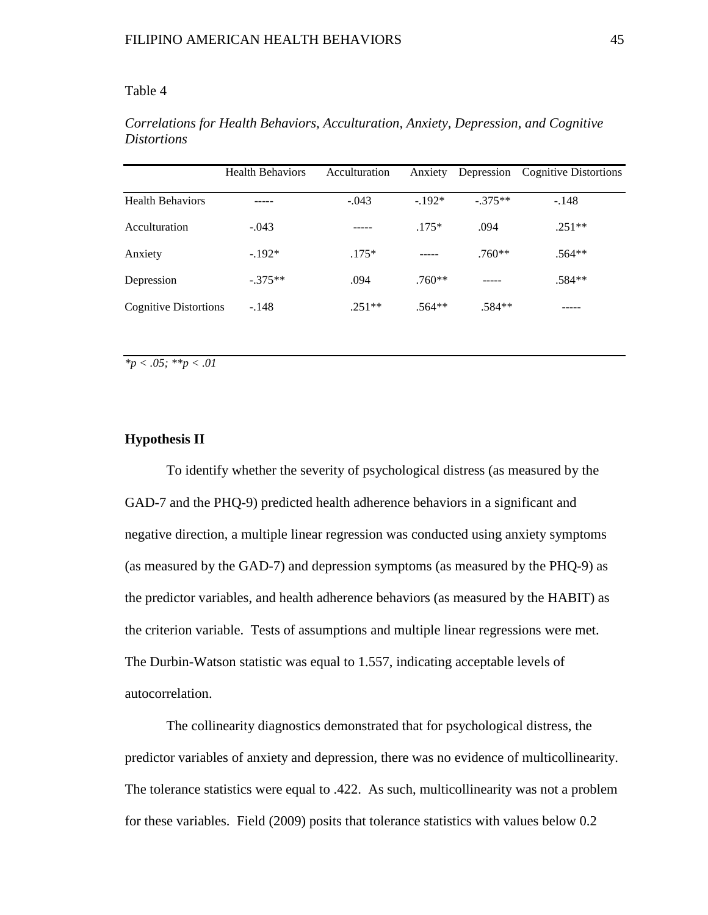### Table 4

| Correlations for Health Behaviors, Acculturation, Anxiety, Depression, and Cognitive |  |  |  |
|--------------------------------------------------------------------------------------|--|--|--|
| <i>Distortions</i>                                                                   |  |  |  |

|                              | <b>Health Behaviors</b> | Acculturation | Anxiety  | Depression | <b>Cognitive Distortions</b> |
|------------------------------|-------------------------|---------------|----------|------------|------------------------------|
| <b>Health Behaviors</b>      |                         | $-.043$       | $-.192*$ | $-.375**$  | $-.148$                      |
| Acculturation                | $-.043$                 | -----         | $.175*$  | .094       | $.251**$                     |
| Anxiety                      | $-.192*$                | $.175*$       | -----    | $.760**$   | $.564**$                     |
| Depression                   | $-.375**$               | .094          | $.760**$ |            | $.584**$                     |
| <b>Cognitive Distortions</b> | $-.148$                 | $.251**$      | $.564**$ | .584**     |                              |

*\*p < .05; \*\*p < .01*

# **Hypothesis II**

To identify whether the severity of psychological distress (as measured by the GAD-7 and the PHQ-9) predicted health adherence behaviors in a significant and negative direction, a multiple linear regression was conducted using anxiety symptoms (as measured by the GAD-7) and depression symptoms (as measured by the PHQ-9) as the predictor variables, and health adherence behaviors (as measured by the HABIT) as the criterion variable. Tests of assumptions and multiple linear regressions were met. The Durbin-Watson statistic was equal to 1.557, indicating acceptable levels of autocorrelation.

The collinearity diagnostics demonstrated that for psychological distress, the predictor variables of anxiety and depression, there was no evidence of multicollinearity. The tolerance statistics were equal to .422. As such, multicollinearity was not a problem for these variables. Field (2009) posits that tolerance statistics with values below 0.2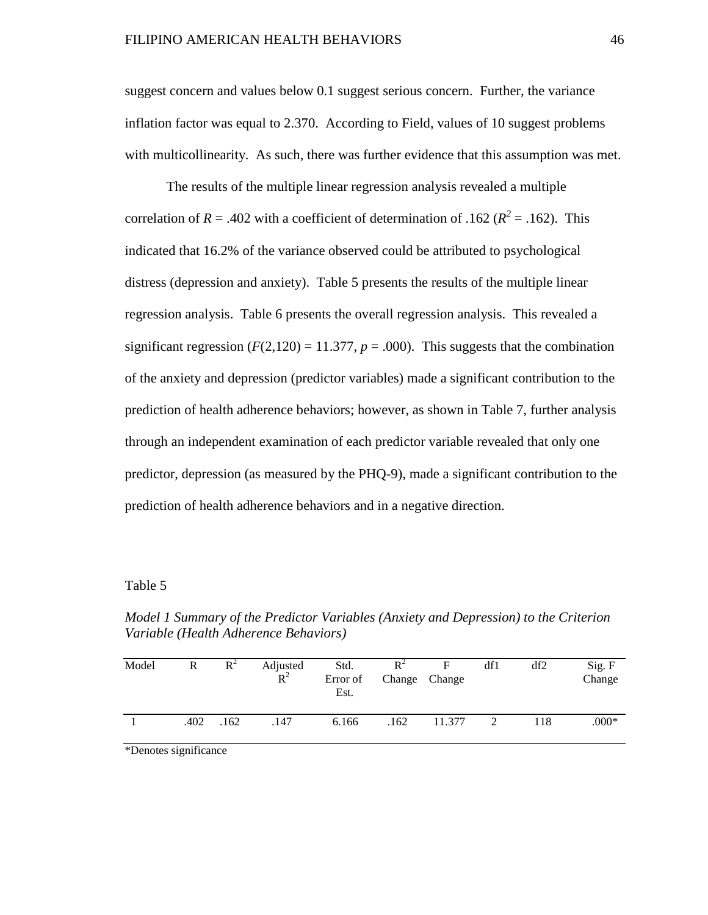suggest concern and values below 0.1 suggest serious concern. Further, the variance inflation factor was equal to 2.370. According to Field, values of 10 suggest problems with multicollinearity. As such, there was further evidence that this assumption was met.

The results of the multiple linear regression analysis revealed a multiple correlation of  $R = .402$  with a coefficient of determination of .162 ( $R^2 = .162$ ). This indicated that 16.2% of the variance observed could be attributed to psychological distress (depression and anxiety). Table 5 presents the results of the multiple linear regression analysis. Table 6 presents the overall regression analysis. This revealed a significant regression  $(F(2,120) = 11.377, p = .000)$ . This suggests that the combination of the anxiety and depression (predictor variables) made a significant contribution to the prediction of health adherence behaviors; however, as shown in Table 7, further analysis through an independent examination of each predictor variable revealed that only one predictor, depression (as measured by the PHQ-9), made a significant contribution to the prediction of health adherence behaviors and in a negative direction.

Table 5

*Model 1 Summary of the Predictor Variables (Anxiety and Depression) to the Criterion Variable (Health Adherence Behaviors)*

| Model | R    | $R^2$ | Adjusted<br>$R^2$ | Std.<br>Error of<br>Est. | $R^2$ | F<br>Change Change | df1 | df2 | Sig. F<br>Change |
|-------|------|-------|-------------------|--------------------------|-------|--------------------|-----|-----|------------------|
|       | .402 | .162  | .147              | 6.166                    | .162  | 11.377             |     | 118 | $.000*$          |

\*Denotes significance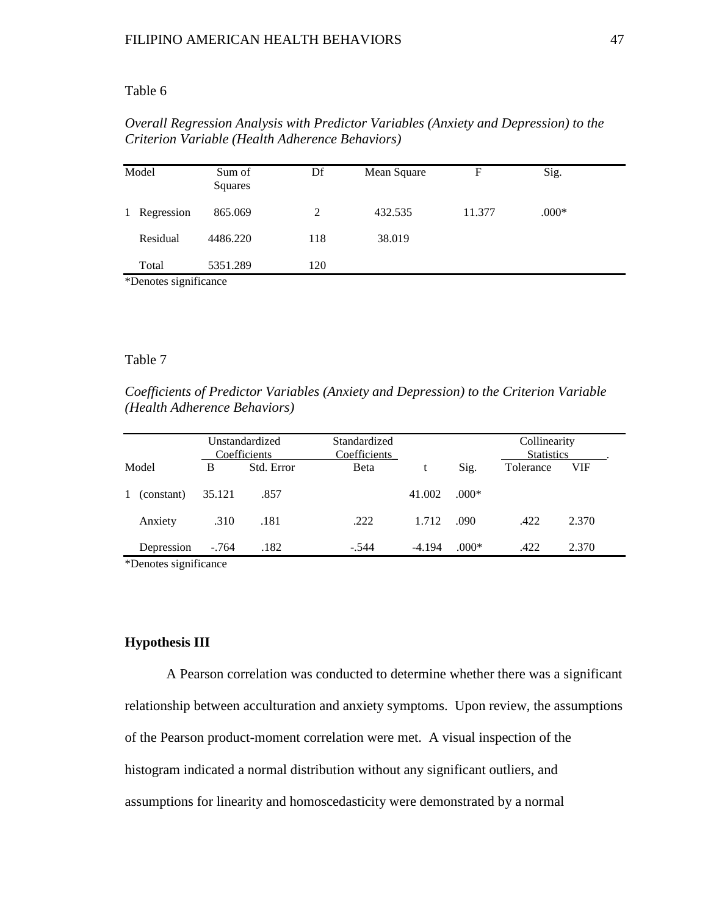### Table 6

|       | Criterion Variable (Health Adherence Behaviors) |    |             |   |      |  |
|-------|-------------------------------------------------|----|-------------|---|------|--|
| Model | Sum of<br>Squares                               | Df | Mean Square | F | Sig. |  |

*Overall Regression Analysis with Predictor Variables (Anxiety and Depression) to the Criterion Variable (Health Adherence Behaviors)*

|              | Squares  |     |         |        |         |
|--------------|----------|-----|---------|--------|---------|
| 1 Regression | 865.069  |     | 432.535 | 11.377 | $.000*$ |
| Residual     | 4486.220 | 118 | 38.019  |        |         |
| Total        | 5351.289 | 120 |         |        |         |

\*Denotes significance

#### Table 7

*Coefficients of Predictor Variables (Anxiety and Depression) to the Criterion Variable (Health Adherence Behaviors)*

| Unstandardized<br>Coefficients |            | Standardized<br>Coefficients |            |         | Collinearity<br><b>Statistics</b> |         |           |            |
|--------------------------------|------------|------------------------------|------------|---------|-----------------------------------|---------|-----------|------------|
|                                | Model      | B                            | Std. Error | Beta    |                                   | Sig.    | Tolerance | <b>VIF</b> |
| 1.                             | (constant) | 35.121                       | .857       |         | 41.002                            | $.000*$ |           |            |
|                                | Anxiety    | .310                         | .181       | .222    | 1.712                             | .090    | .422      | 2.370      |
|                                | Depression | $-.764$                      | .182       | $-.544$ | $-4.194$                          | $.000*$ | .422      | 2.370      |

\*Denotes significance

# **Hypothesis III**

A Pearson correlation was conducted to determine whether there was a significant relationship between acculturation and anxiety symptoms. Upon review, the assumptions of the Pearson product-moment correlation were met. A visual inspection of the histogram indicated a normal distribution without any significant outliers, and assumptions for linearity and homoscedasticity were demonstrated by a normal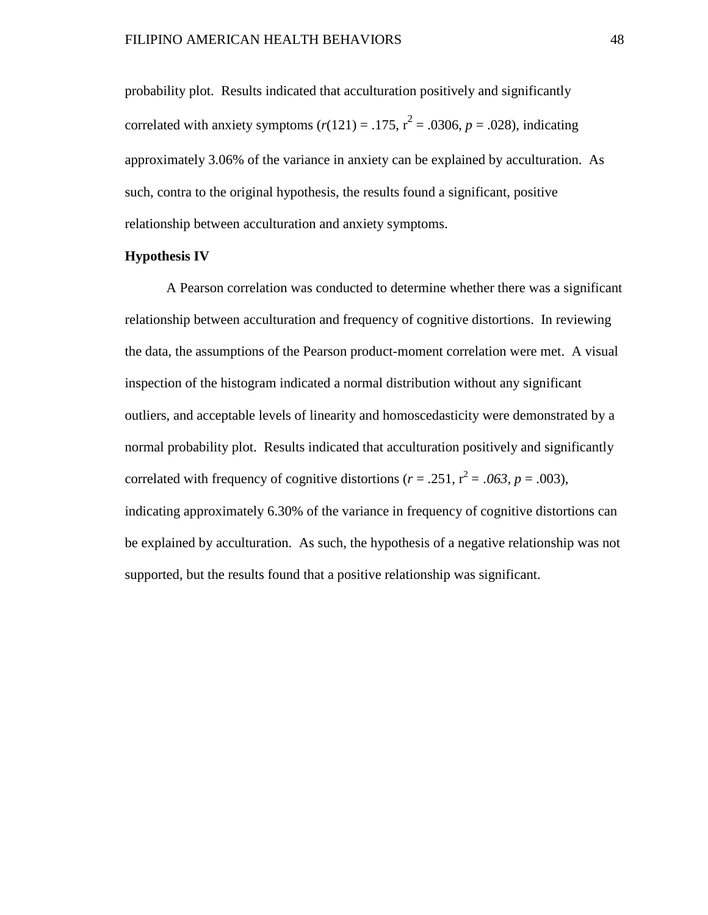probability plot. Results indicated that acculturation positively and significantly correlated with anxiety symptoms  $(r(121) = .175, r^2 = .0306, p = .028)$ , indicating approximately 3.06% of the variance in anxiety can be explained by acculturation. As such, contra to the original hypothesis, the results found a significant, positive relationship between acculturation and anxiety symptoms.

#### **Hypothesis IV**

A Pearson correlation was conducted to determine whether there was a significant relationship between acculturation and frequency of cognitive distortions. In reviewing the data, the assumptions of the Pearson product-moment correlation were met. A visual inspection of the histogram indicated a normal distribution without any significant outliers, and acceptable levels of linearity and homoscedasticity were demonstrated by a normal probability plot. Results indicated that acculturation positively and significantly correlated with frequency of cognitive distortions ( $r = .251$ ,  $r^2 = .063$ ,  $p = .003$ ), indicating approximately 6.30% of the variance in frequency of cognitive distortions can be explained by acculturation. As such, the hypothesis of a negative relationship was not supported, but the results found that a positive relationship was significant.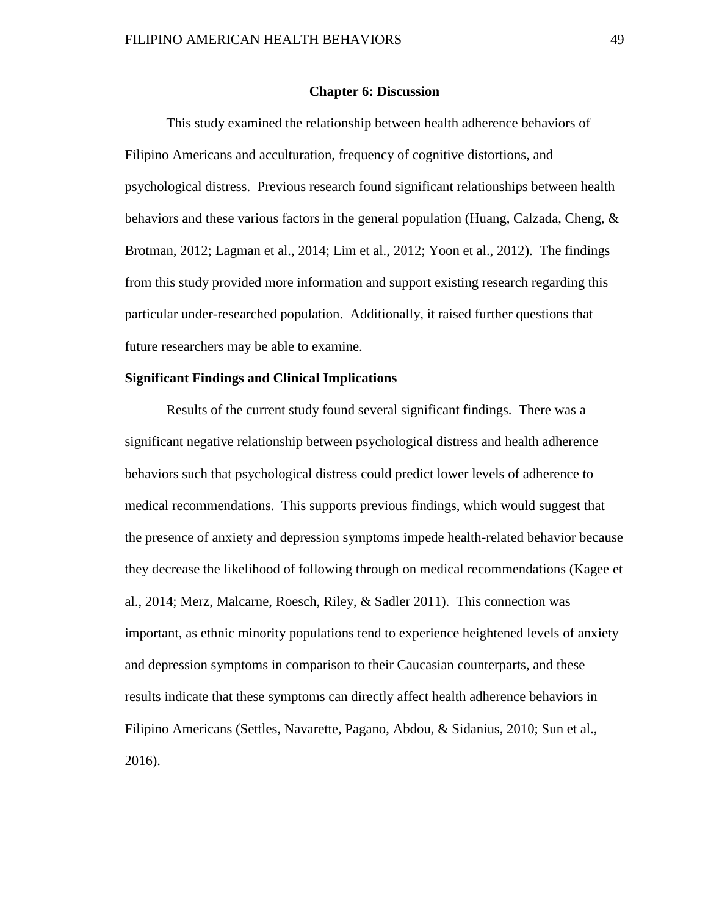#### **Chapter 6: Discussion**

This study examined the relationship between health adherence behaviors of Filipino Americans and acculturation, frequency of cognitive distortions, and psychological distress. Previous research found significant relationships between health behaviors and these various factors in the general population (Huang, Calzada, Cheng, & Brotman, 2012; Lagman et al., 2014; Lim et al., 2012; Yoon et al., 2012). The findings from this study provided more information and support existing research regarding this particular under-researched population. Additionally, it raised further questions that future researchers may be able to examine.

# **Significant Findings and Clinical Implications**

Results of the current study found several significant findings. There was a significant negative relationship between psychological distress and health adherence behaviors such that psychological distress could predict lower levels of adherence to medical recommendations. This supports previous findings, which would suggest that the presence of anxiety and depression symptoms impede health-related behavior because they decrease the likelihood of following through on medical recommendations (Kagee et al., 2014; Merz, Malcarne, Roesch, Riley, & Sadler 2011). This connection was important, as ethnic minority populations tend to experience heightened levels of anxiety and depression symptoms in comparison to their Caucasian counterparts, and these results indicate that these symptoms can directly affect health adherence behaviors in Filipino Americans (Settles, Navarette, Pagano, Abdou, & Sidanius, 2010; Sun et al., 2016).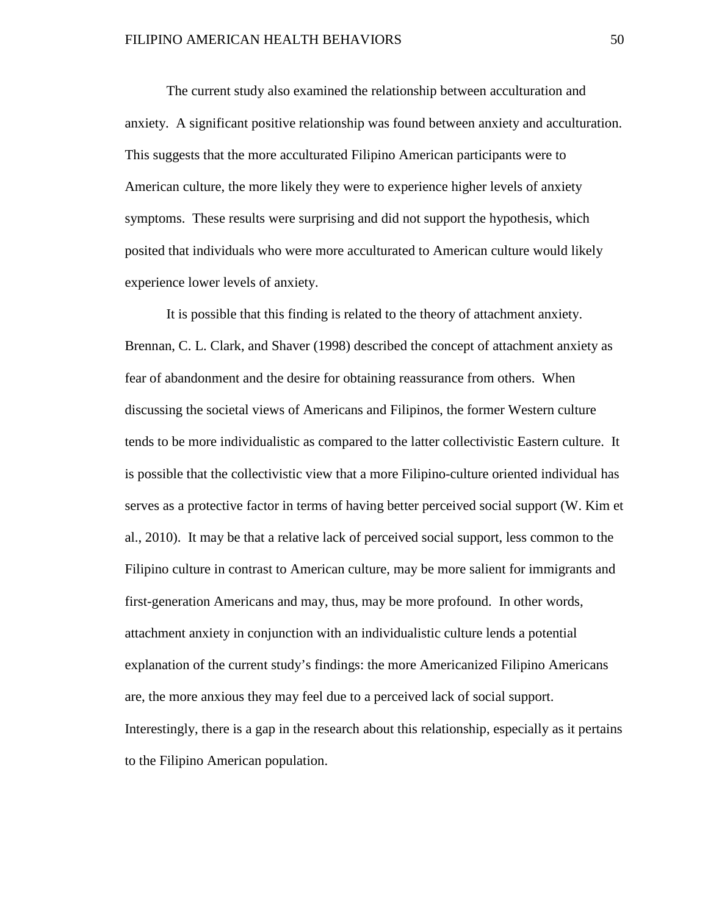The current study also examined the relationship between acculturation and anxiety. A significant positive relationship was found between anxiety and acculturation. This suggests that the more acculturated Filipino American participants were to American culture, the more likely they were to experience higher levels of anxiety symptoms. These results were surprising and did not support the hypothesis, which posited that individuals who were more acculturated to American culture would likely experience lower levels of anxiety.

It is possible that this finding is related to the theory of attachment anxiety. Brennan, C. L. Clark, and Shaver (1998) described the concept of attachment anxiety as fear of abandonment and the desire for obtaining reassurance from others. When discussing the societal views of Americans and Filipinos, the former Western culture tends to be more individualistic as compared to the latter collectivistic Eastern culture. It is possible that the collectivistic view that a more Filipino-culture oriented individual has serves as a protective factor in terms of having better perceived social support (W. Kim et al., 2010). It may be that a relative lack of perceived social support, less common to the Filipino culture in contrast to American culture, may be more salient for immigrants and first-generation Americans and may, thus, may be more profound. In other words, attachment anxiety in conjunction with an individualistic culture lends a potential explanation of the current study's findings: the more Americanized Filipino Americans are, the more anxious they may feel due to a perceived lack of social support. Interestingly, there is a gap in the research about this relationship, especially as it pertains to the Filipino American population.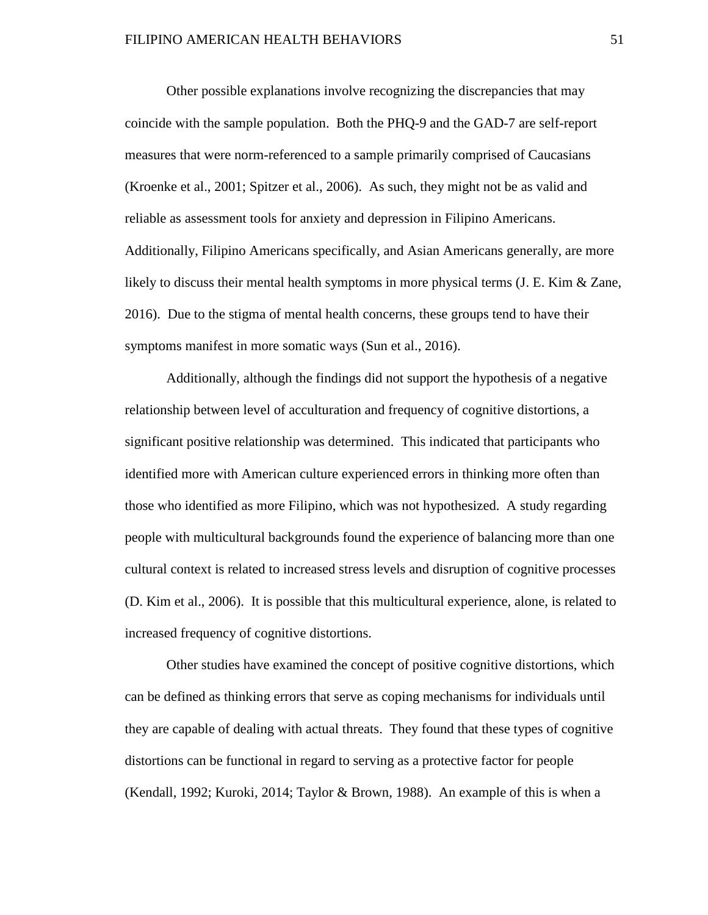Other possible explanations involve recognizing the discrepancies that may coincide with the sample population. Both the PHQ-9 and the GAD-7 are self-report measures that were norm-referenced to a sample primarily comprised of Caucasians (Kroenke et al., 2001; Spitzer et al., 2006). As such, they might not be as valid and reliable as assessment tools for anxiety and depression in Filipino Americans. Additionally, Filipino Americans specifically, and Asian Americans generally, are more likely to discuss their mental health symptoms in more physical terms (J. E. Kim & Zane, 2016). Due to the stigma of mental health concerns, these groups tend to have their symptoms manifest in more somatic ways (Sun et al., 2016).

Additionally, although the findings did not support the hypothesis of a negative relationship between level of acculturation and frequency of cognitive distortions, a significant positive relationship was determined. This indicated that participants who identified more with American culture experienced errors in thinking more often than those who identified as more Filipino, which was not hypothesized. A study regarding people with multicultural backgrounds found the experience of balancing more than one cultural context is related to increased stress levels and disruption of cognitive processes (D. Kim et al., 2006). It is possible that this multicultural experience, alone, is related to increased frequency of cognitive distortions.

Other studies have examined the concept of positive cognitive distortions, which can be defined as thinking errors that serve as coping mechanisms for individuals until they are capable of dealing with actual threats. They found that these types of cognitive distortions can be functional in regard to serving as a protective factor for people (Kendall, 1992; Kuroki, 2014; Taylor & Brown, 1988). An example of this is when a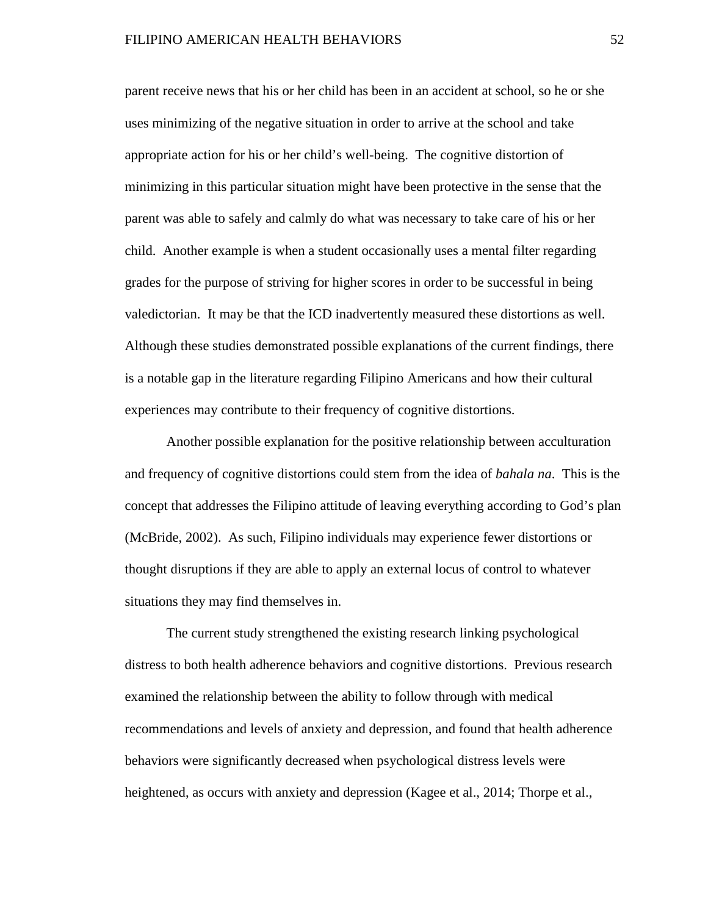parent receive news that his or her child has been in an accident at school, so he or she uses minimizing of the negative situation in order to arrive at the school and take appropriate action for his or her child's well-being. The cognitive distortion of minimizing in this particular situation might have been protective in the sense that the parent was able to safely and calmly do what was necessary to take care of his or her child. Another example is when a student occasionally uses a mental filter regarding grades for the purpose of striving for higher scores in order to be successful in being valedictorian. It may be that the ICD inadvertently measured these distortions as well. Although these studies demonstrated possible explanations of the current findings, there is a notable gap in the literature regarding Filipino Americans and how their cultural experiences may contribute to their frequency of cognitive distortions.

Another possible explanation for the positive relationship between acculturation and frequency of cognitive distortions could stem from the idea of *bahala na*. This is the concept that addresses the Filipino attitude of leaving everything according to God's plan (McBride, 2002). As such, Filipino individuals may experience fewer distortions or thought disruptions if they are able to apply an external locus of control to whatever situations they may find themselves in.

The current study strengthened the existing research linking psychological distress to both health adherence behaviors and cognitive distortions. Previous research examined the relationship between the ability to follow through with medical recommendations and levels of anxiety and depression, and found that health adherence behaviors were significantly decreased when psychological distress levels were heightened, as occurs with anxiety and depression (Kagee et al., 2014; Thorpe et al.,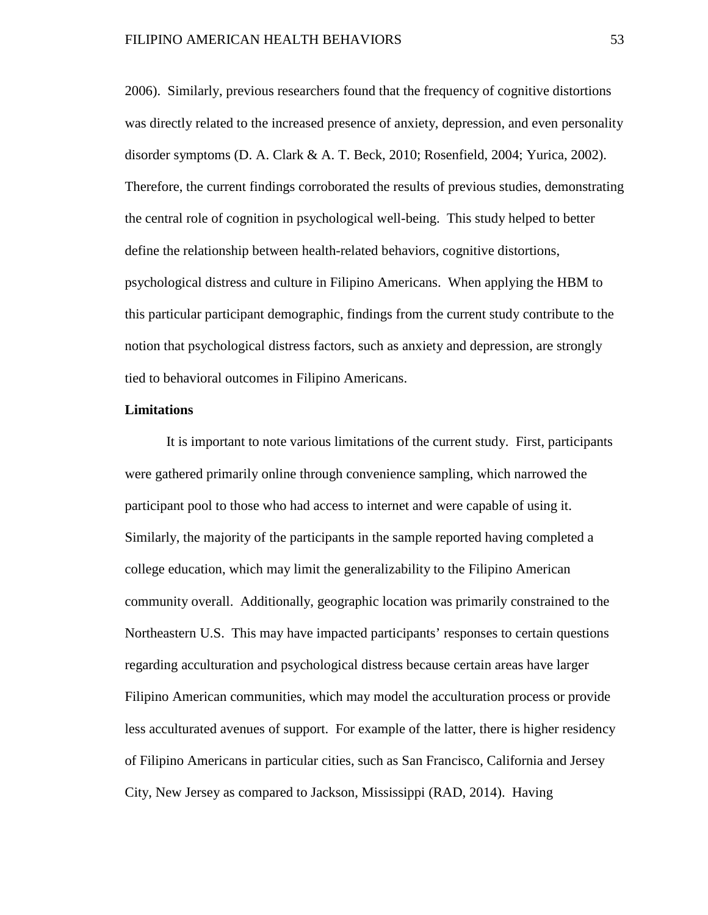2006). Similarly, previous researchers found that the frequency of cognitive distortions was directly related to the increased presence of anxiety, depression, and even personality disorder symptoms (D. A. Clark & A. T. Beck, 2010; Rosenfield, 2004; Yurica, 2002). Therefore, the current findings corroborated the results of previous studies, demonstrating the central role of cognition in psychological well-being. This study helped to better define the relationship between health-related behaviors, cognitive distortions, psychological distress and culture in Filipino Americans. When applying the HBM to this particular participant demographic, findings from the current study contribute to the notion that psychological distress factors, such as anxiety and depression, are strongly tied to behavioral outcomes in Filipino Americans.

#### **Limitations**

It is important to note various limitations of the current study. First, participants were gathered primarily online through convenience sampling, which narrowed the participant pool to those who had access to internet and were capable of using it. Similarly, the majority of the participants in the sample reported having completed a college education, which may limit the generalizability to the Filipino American community overall. Additionally, geographic location was primarily constrained to the Northeastern U.S. This may have impacted participants' responses to certain questions regarding acculturation and psychological distress because certain areas have larger Filipino American communities, which may model the acculturation process or provide less acculturated avenues of support. For example of the latter, there is higher residency of Filipino Americans in particular cities, such as San Francisco, California and Jersey City, New Jersey as compared to Jackson, Mississippi (RAD, 2014). Having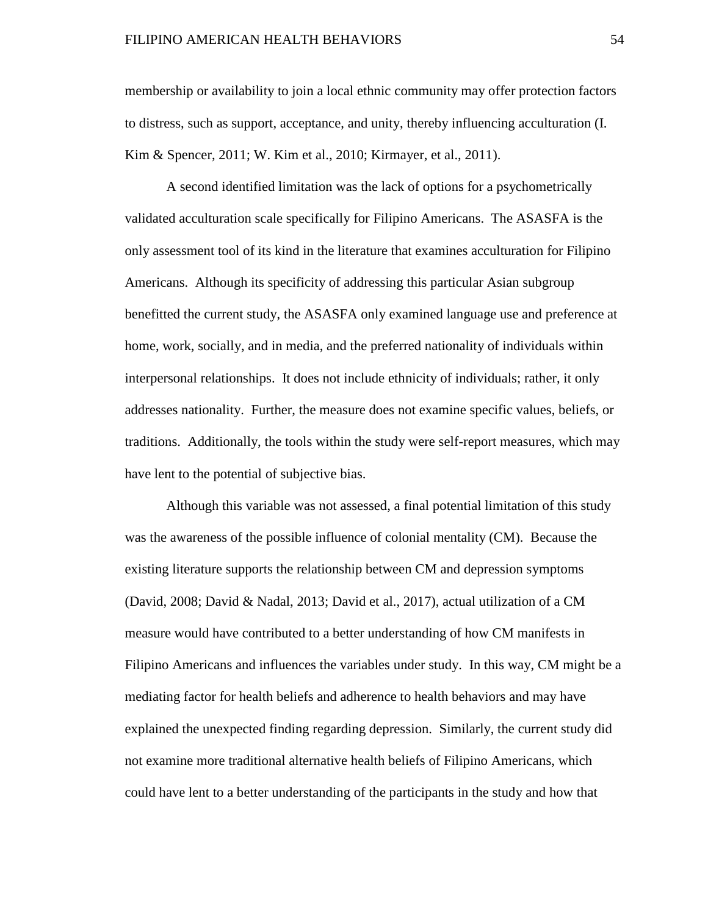membership or availability to join a local ethnic community may offer protection factors to distress, such as support, acceptance, and unity, thereby influencing acculturation (I. Kim & Spencer, 2011; W. Kim et al., 2010; Kirmayer, et al., 2011).

A second identified limitation was the lack of options for a psychometrically validated acculturation scale specifically for Filipino Americans. The ASASFA is the only assessment tool of its kind in the literature that examines acculturation for Filipino Americans. Although its specificity of addressing this particular Asian subgroup benefitted the current study, the ASASFA only examined language use and preference at home, work, socially, and in media, and the preferred nationality of individuals within interpersonal relationships. It does not include ethnicity of individuals; rather, it only addresses nationality. Further, the measure does not examine specific values, beliefs, or traditions. Additionally, the tools within the study were self-report measures, which may have lent to the potential of subjective bias.

Although this variable was not assessed, a final potential limitation of this study was the awareness of the possible influence of colonial mentality (CM). Because the existing literature supports the relationship between CM and depression symptoms (David, 2008; David & Nadal, 2013; David et al., 2017), actual utilization of a CM measure would have contributed to a better understanding of how CM manifests in Filipino Americans and influences the variables under study. In this way, CM might be a mediating factor for health beliefs and adherence to health behaviors and may have explained the unexpected finding regarding depression. Similarly, the current study did not examine more traditional alternative health beliefs of Filipino Americans, which could have lent to a better understanding of the participants in the study and how that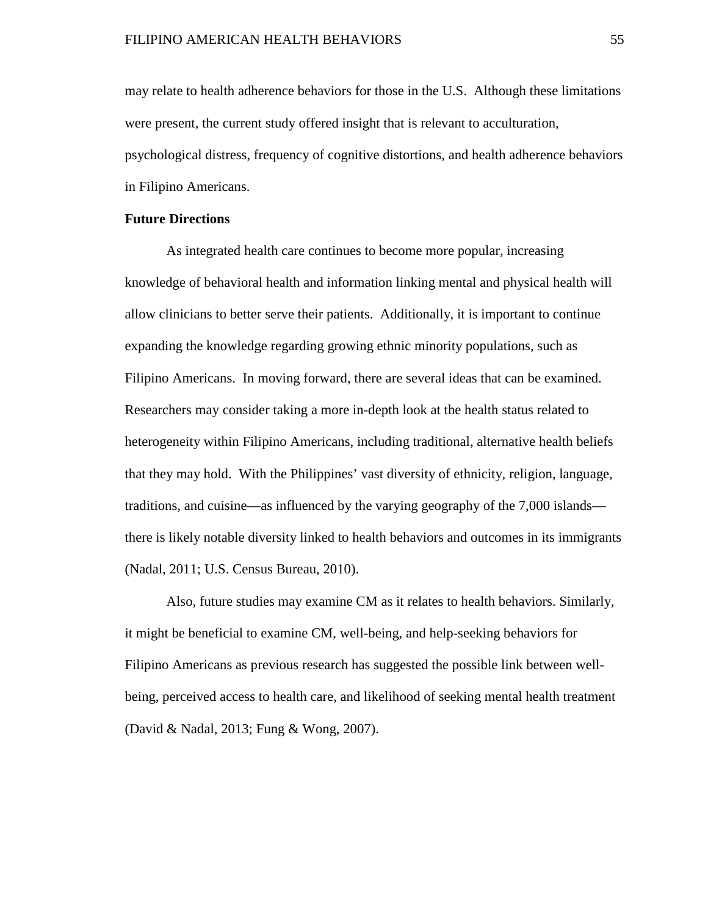may relate to health adherence behaviors for those in the U.S. Although these limitations were present, the current study offered insight that is relevant to acculturation, psychological distress, frequency of cognitive distortions, and health adherence behaviors in Filipino Americans.

#### **Future Directions**

As integrated health care continues to become more popular, increasing knowledge of behavioral health and information linking mental and physical health will allow clinicians to better serve their patients. Additionally, it is important to continue expanding the knowledge regarding growing ethnic minority populations, such as Filipino Americans. In moving forward, there are several ideas that can be examined. Researchers may consider taking a more in-depth look at the health status related to heterogeneity within Filipino Americans, including traditional, alternative health beliefs that they may hold. With the Philippines' vast diversity of ethnicity, religion, language, traditions, and cuisine—as influenced by the varying geography of the 7,000 islands there is likely notable diversity linked to health behaviors and outcomes in its immigrants (Nadal, 2011; U.S. Census Bureau, 2010).

Also, future studies may examine CM as it relates to health behaviors. Similarly, it might be beneficial to examine CM, well-being, and help-seeking behaviors for Filipino Americans as previous research has suggested the possible link between wellbeing, perceived access to health care, and likelihood of seeking mental health treatment (David & Nadal, 2013; Fung & Wong, 2007).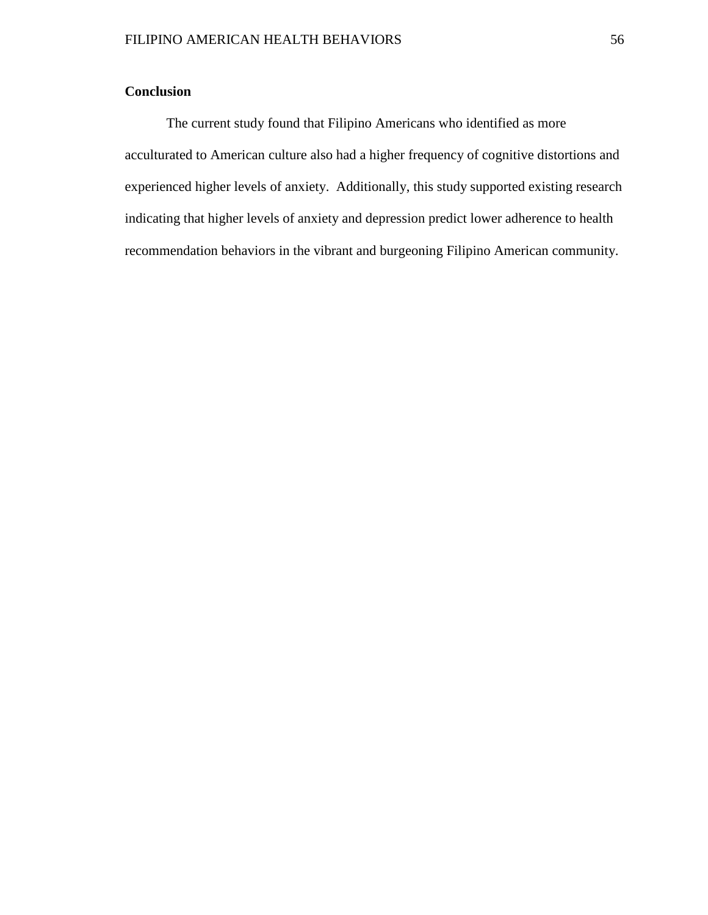# **Conclusion**

The current study found that Filipino Americans who identified as more acculturated to American culture also had a higher frequency of cognitive distortions and experienced higher levels of anxiety. Additionally, this study supported existing research indicating that higher levels of anxiety and depression predict lower adherence to health recommendation behaviors in the vibrant and burgeoning Filipino American community.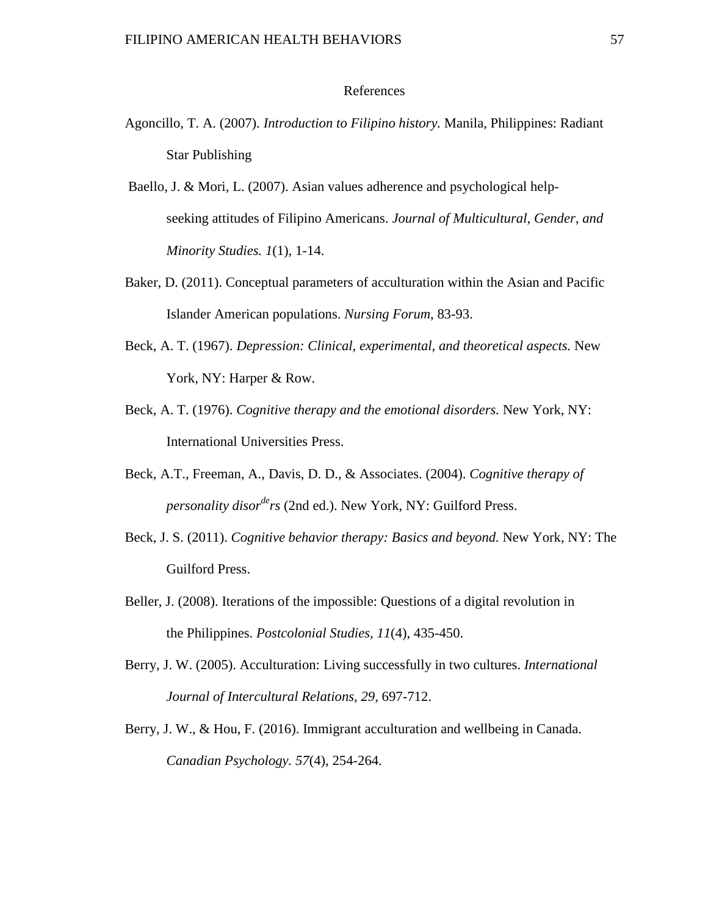#### References

- Agoncillo, T. A. (2007). *Introduction to Filipino history.* Manila, Philippines: Radiant Star Publishing
- Baello, J. & Mori, L. (2007). Asian values adherence and psychological helpseeking attitudes of Filipino Americans. *Journal of Multicultural, Gender, and Minority Studies. 1*(1), 1-14.
- Baker, D. (2011). Conceptual parameters of acculturation within the Asian and Pacific Islander American populations. *Nursing Forum*, 83-93.
- Beck, A. T. (1967). *Depression: Clinical, experimental, and theoretical aspects.* New York, NY: Harper & Row.
- Beck, A. T. (1976). *Cognitive therapy and the emotional disorders.* New York, NY: International Universities Press.
- Beck, A.T., Freeman, A., Davis, D. D., & Associates. (2004). *Cognitive therapy of personality disorde rs* (2nd ed.). New York, NY: Guilford Press.
- Beck, J. S. (2011). *Cognitive behavior therapy: Basics and beyond.* New York, NY: The Guilford Press.
- Beller, J. (2008). Iterations of the impossible: Questions of a digital revolution in the Philippines. *Postcolonial Studies, 11*(4), 435-450.
- Berry, J. W. (2005). Acculturation: Living successfully in two cultures. *International Journal of Intercultural Relations, 29,* 697-712.
- Berry, J. W., & Hou, F. (2016). Immigrant acculturation and wellbeing in Canada. *Canadian Psychology. 57*(4), 254-264.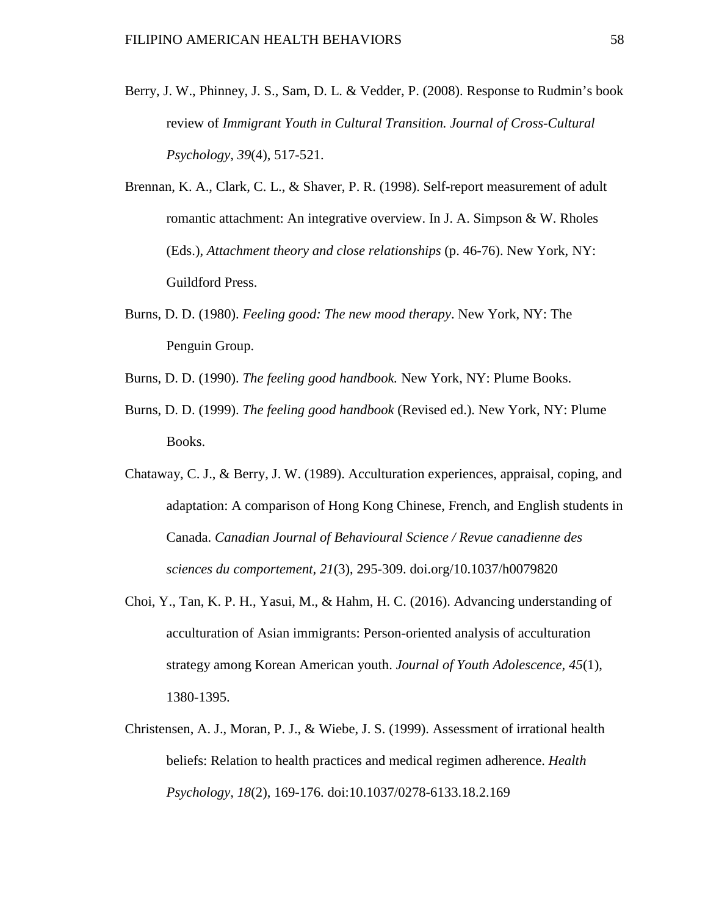- Berry, J. W., Phinney, J. S., Sam, D. L. & Vedder, P. (2008). Response to Rudmin's book review of *Immigrant Youth in Cultural Transition. Journal of Cross-Cultural Psychology, 39*(4), 517-521.
- Brennan, K. A., Clark, C. L., & Shaver, P. R. (1998). Self-report measurement of adult romantic attachment: An integrative overview. In J. A. Simpson & W. Rholes (Eds.), *Attachment theory and close relationships* (p. 46-76). New York, NY: Guildford Press.
- Burns, D. D. (1980). *Feeling good: The new mood therapy*. New York, NY: The Penguin Group.
- Burns, D. D. (1990). *The feeling good handbook.* New York, NY: Plume Books.
- Burns, D. D. (1999). *The feeling good handbook* (Revised ed.). New York, NY: Plume Books.
- Chataway, C. J., & Berry, J. W. (1989). Acculturation experiences, appraisal, coping, and adaptation: A comparison of Hong Kong Chinese, French, and English students in Canada. *Canadian Journal of Behavioural Science / Revue canadienne des sciences du comportement, 21*(3), 295-309. doi.org/10.1037/h0079820
- Choi, Y., Tan, K. P. H., Yasui, M., & Hahm, H. C. (2016). Advancing understanding of acculturation of Asian immigrants: Person-oriented analysis of acculturation strategy among Korean American youth. *Journal of Youth Adolescence, 45*(1), 1380-1395.
- Christensen, A. J., Moran, P. J., & Wiebe, J. S. (1999). Assessment of irrational health beliefs: Relation to health practices and medical regimen adherence. *Health Psychology, 18*(2), 169-176. doi:10.1037/0278-6133.18.2.169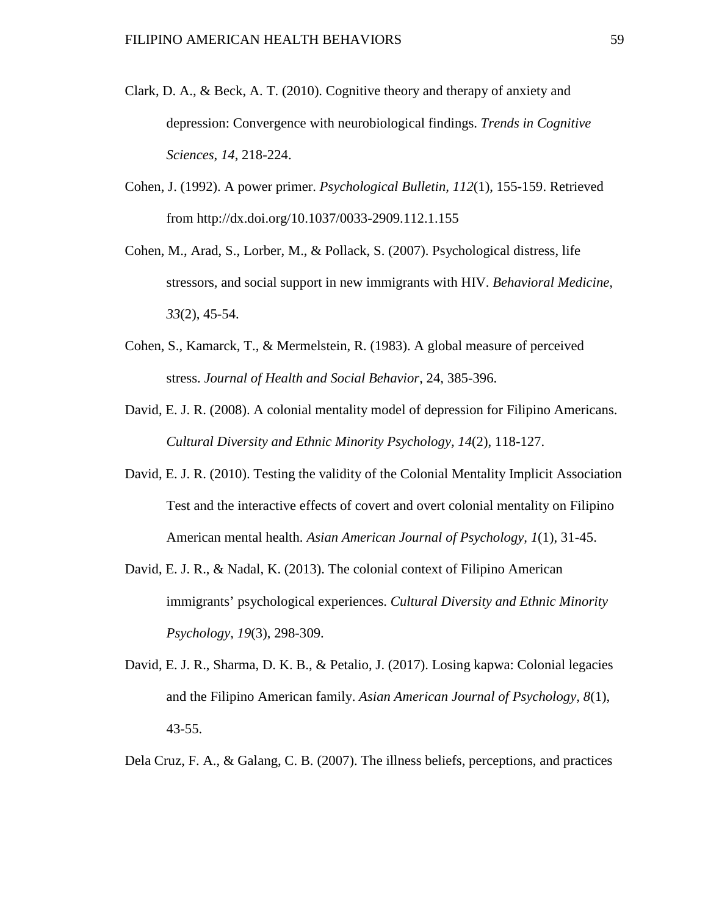- Clark, D. A., & Beck, A. T. (2010). Cognitive theory and therapy of anxiety and depression: Convergence with neurobiological findings. *Trends in Cognitive Sciences*, *14*, 218-224.
- Cohen, J. (1992). A power primer. *Psychological Bulletin, 112*(1), 155-159. Retrieved from http://dx.doi.org/10.1037/0033-2909.112.1.155
- Cohen, M., Arad, S., Lorber, M., & Pollack, S. (2007). Psychological distress, life stressors, and social support in new immigrants with HIV. *Behavioral Medicine, 33*(2), 45-54.
- Cohen, S., Kamarck, T., & Mermelstein, R. (1983). A global measure of perceived stress. *Journal of Health and Social Behavior*, 24, 385-396.
- David, E. J. R. (2008). A colonial mentality model of depression for Filipino Americans. *Cultural Diversity and Ethnic Minority Psychology, 14*(2), 118-127.
- David, E. J. R. (2010). Testing the validity of the Colonial Mentality Implicit Association Test and the interactive effects of covert and overt colonial mentality on Filipino American mental health. *Asian American Journal of Psychology, 1*(1), 31-45.
- David, E. J. R., & Nadal, K. (2013). The colonial context of Filipino American immigrants' psychological experiences. *Cultural Diversity and Ethnic Minority Psychology, 19*(3), 298-309.
- David, E. J. R., Sharma, D. K. B., & Petalio, J. (2017). Losing kapwa: Colonial legacies and the Filipino American family. *Asian American Journal of Psychology, 8*(1), 43-55.
- Dela Cruz, F. A., & Galang, C. B. (2007). The illness beliefs, perceptions, and practices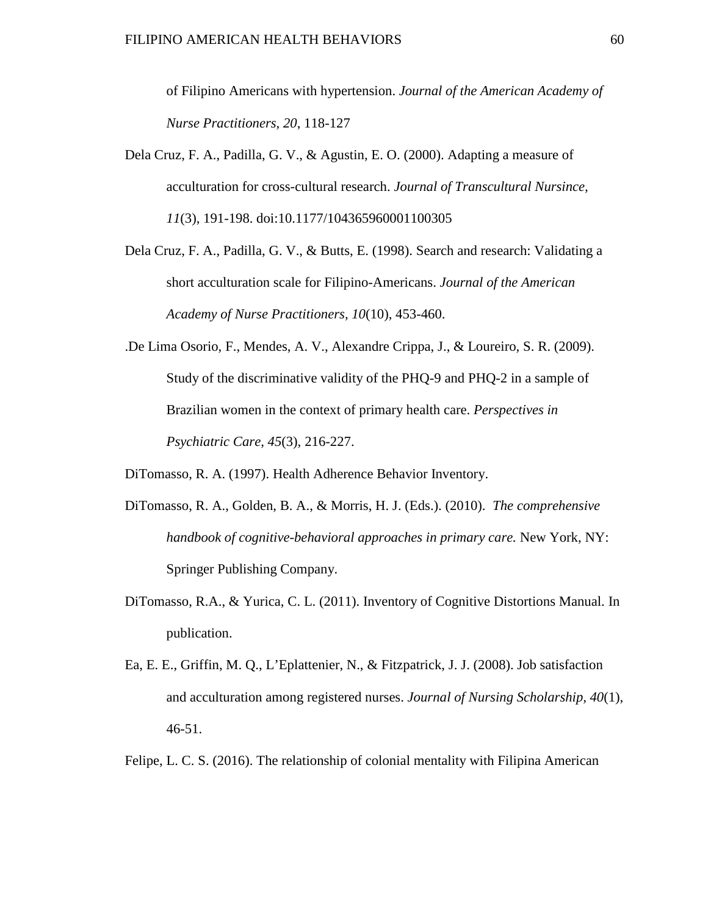of Filipino Americans with hypertension. *Journal of the American Academy of Nurse Practitioners, 20*, 118-127

- Dela Cruz, F. A., Padilla, G. V., & Agustin, E. O. (2000). Adapting a measure of acculturation for cross-cultural research. *Journal of Transcultural Nursince, 11*(3), 191-198. doi[:10.1177/104365960001100305](https://doi.org/10.1177/104365960001100305)
- Dela Cruz, F. A., Padilla, G. V., & Butts, E. (1998). Search and research: Validating a short acculturation scale for Filipino-Americans. *Journal of the American Academy of Nurse Practitioners, 10*(10), 453-460.
- .De Lima Osorio, F., Mendes, A. V., Alexandre Crippa, J., & Loureiro, S. R. (2009). Study of the discriminative validity of the PHQ-9 and PHQ-2 in a sample of Brazilian women in the context of primary health care. *Perspectives in Psychiatric Care, 45*(3), 216-227.
- DiTomasso, R. A. (1997). Health Adherence Behavior Inventory.
- DiTomasso, R. A., Golden, B. A., & Morris, H. J. (Eds.). (2010). *The comprehensive handbook of cognitive-behavioral approaches in primary care.* New York, NY: Springer Publishing Company.
- DiTomasso, R.A., & Yurica, C. L. (2011). Inventory of Cognitive Distortions Manual. In publication.
- Ea, E. E., Griffin, M. Q., L'Eplattenier, N., & Fitzpatrick, J. J. (2008). Job satisfaction and acculturation among registered nurses. *Journal of Nursing Scholarship, 40*(1), 46-51.
- Felipe, L. C. S. (2016). The relationship of colonial mentality with Filipina American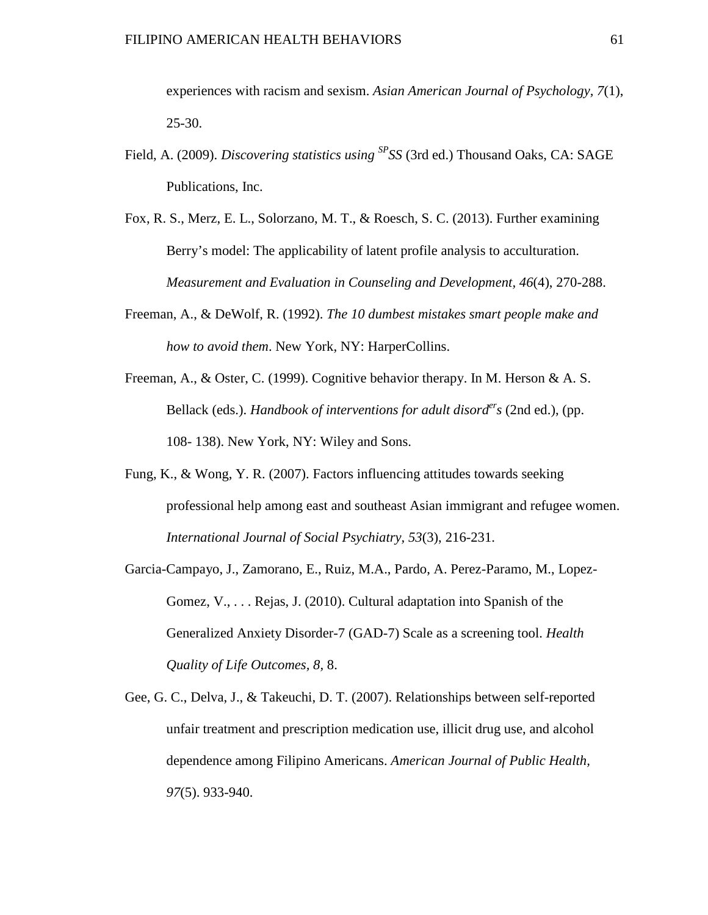experiences with racism and sexism. *Asian American Journal of Psychology, 7*(1), 25-30.

- Field, A. (2009). *Discovering statistics using SPSS* (3rd ed.) Thousand Oaks, CA: SAGE Publications, Inc.
- Fox, R. S., Merz, E. L., Solorzano, M. T., & Roesch, S. C. (2013). Further examining Berry's model: The applicability of latent profile analysis to acculturation. *Measurement and Evaluation in Counseling and Development, 46*(4), 270-288.
- Freeman, A., & DeWolf, R. (1992). *The 10 dumbest mistakes smart people make and how to avoid them*. New York, NY: HarperCollins.
- Freeman, A., & Oster, C. (1999). Cognitive behavior therapy. In M. Herson & A. S. Bellack (eds.). *Handbook of interventions for adult disorders* (2nd ed.), (pp. 108- 138). New York, NY: Wiley and Sons.
- Fung, K., & Wong, Y. R. (2007). Factors influencing attitudes towards seeking professional help among east and southeast Asian immigrant and refugee women. *International Journal of Social Psychiatry, 53*(3), 216-231.
- Garcia-Campayo, J., Zamorano, E., Ruiz, M.A., Pardo, A. Perez-Paramo, M., Lopez-Gomez, V., . . . Rejas, J. (2010). Cultural adaptation into Spanish of the Generalized Anxiety Disorder-7 (GAD-7) Scale as a screening tool. *Health Quality of Life Outcomes, 8,* 8.
- Gee, G. C., Delva, J., & Takeuchi, D. T. (2007). Relationships between self-reported unfair treatment and prescription medication use, illicit drug use, and alcohol dependence among Filipino Americans. *American Journal of Public Health, 97*(5). 933-940.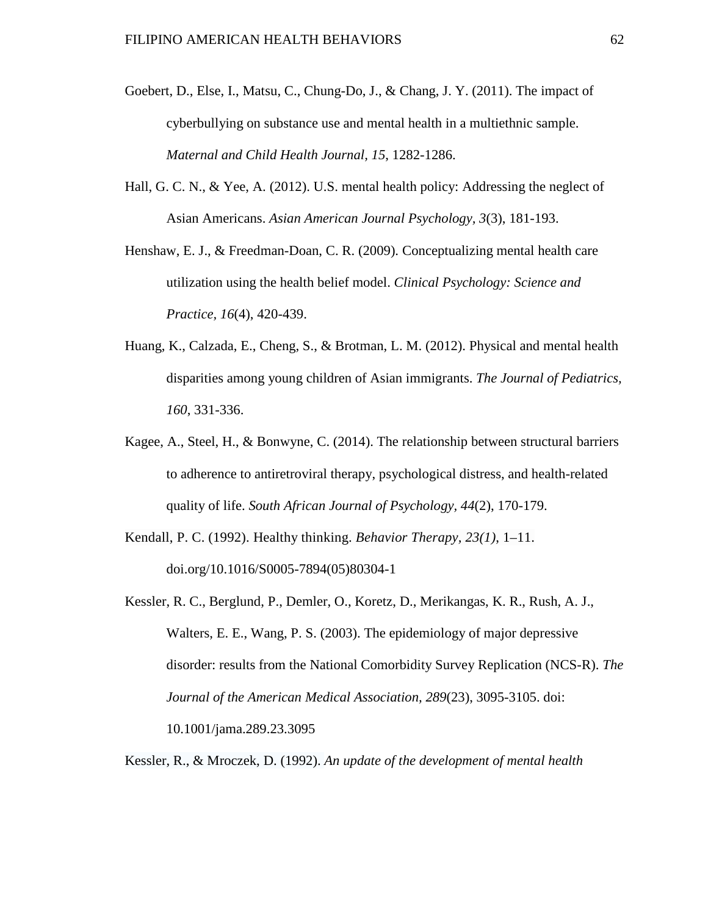- Goebert, D., Else, I., Matsu, C., Chung-Do, J., & Chang, J. Y. (2011). The impact of cyberbullying on substance use and mental health in a multiethnic sample. *Maternal and Child Health Journal, 15*, 1282-1286.
- Hall, G. C. N., & Yee, A. (2012). U.S. mental health policy: Addressing the neglect of Asian Americans. *Asian American Journal Psychology, 3*(3), 181-193.
- Henshaw, E. J., & Freedman-Doan, C. R. (2009). Conceptualizing mental health care utilization using the health belief model. *Clinical Psychology: Science and Practice, 16*(4), 420-439.
- Huang, K., Calzada, E., Cheng, S., & Brotman, L. M. (2012). Physical and mental health disparities among young children of Asian immigrants. *The Journal of Pediatrics, 160*, 331-336.
- Kagee, A., Steel, H., & Bonwyne, C. (2014). The relationship between structural barriers to adherence to antiretroviral therapy, psychological distress, and health-related quality of life. *South African Journal of Psychology, 44*(2), 170-179.
- Kendall, P. C. (1992). Healthy thinking. *Behavior Therapy, 23(1)*, 1–11. doi.org/10.1016/S0005-7894(05)80304-1
- Kessler, R. C., Berglund, P., Demler, O., Koretz, D., Merikangas, K. R., Rush, A. J., Walters, E. E., Wang, P. S. (2003). The epidemiology of major depressive disorder: results from the National Comorbidity Survey Replication (NCS-R). *The Journal of the American Medical Association, 289*(23), 3095-3105. doi: [10.1001/jama.289.23.3095](https://doi.org/10.1001/jama.289.23.3095)

Kessler, R., & Mroczek, D. (1992). *An update of the development of mental health*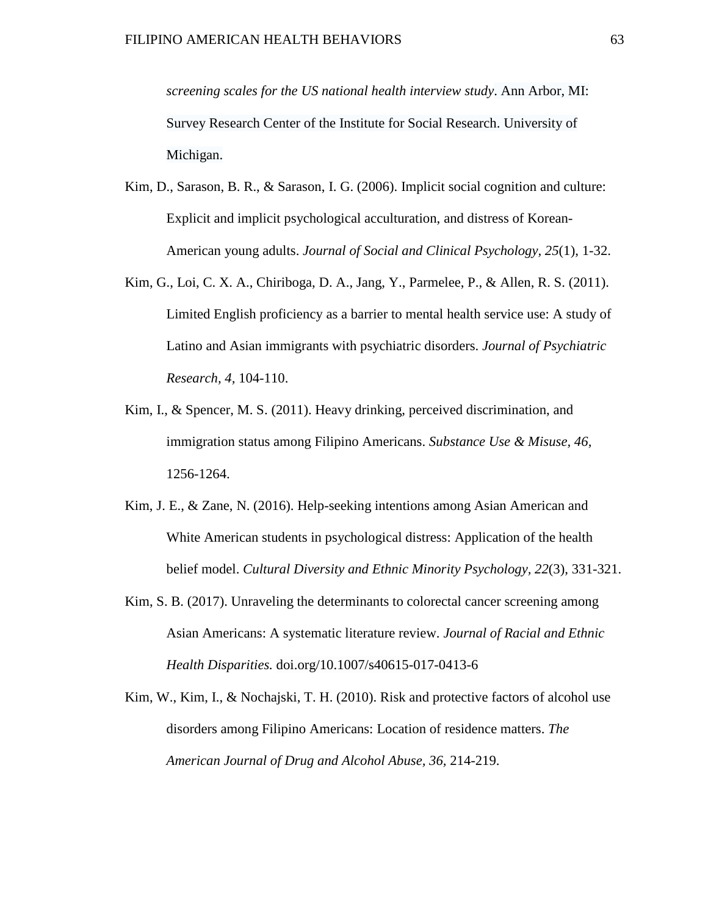*screening scales for the US national health interview study*. Ann Arbor, MI: Survey Research Center of the Institute for Social Research. University of Michigan.

- Kim, D., Sarason, B. R., & Sarason, I. G. (2006). Implicit social cognition and culture: Explicit and implicit psychological acculturation, and distress of Korean-American young adults. *Journal of Social and Clinical Psychology, 25*(1), 1-32.
- Kim, G., Loi, C. X. A., Chiriboga, D. A., Jang, Y., Parmelee, P., & Allen, R. S. (2011). Limited English proficiency as a barrier to mental health service use: A study of Latino and Asian immigrants with psychiatric disorders. *Journal of Psychiatric Research, 4,* 104-110.
- Kim, I., & Spencer, M. S. (2011). Heavy drinking, perceived discrimination, and immigration status among Filipino Americans. *Substance Use & Misuse, 46,*  1256-1264.
- Kim, J. E., & Zane, N. (2016). Help-seeking intentions among Asian American and White American students in psychological distress: Application of the health belief model. *Cultural Diversity and Ethnic Minority Psychology, 22*(3), 331-321.
- Kim, S. B. (2017). Unraveling the determinants to colorectal cancer screening among Asian Americans: A systematic literature review. *Journal of Racial and Ethnic Health Disparities.* doi.org/10.1007/s40615-017-0413-6
- Kim, W., Kim, I., & Nochajski, T. H. (2010). Risk and protective factors of alcohol use disorders among Filipino Americans: Location of residence matters. *The American Journal of Drug and Alcohol Abuse, 36,* 214-219.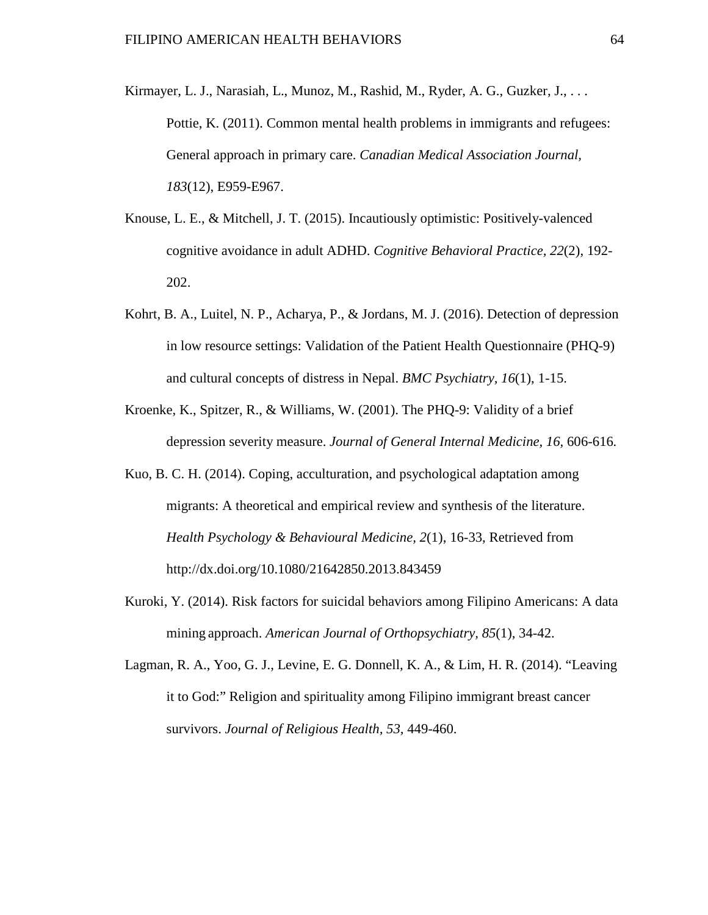- Kirmayer, L. J., Narasiah, L., Munoz, M., Rashid, M., Ryder, A. G., Guzker, J., . . . Pottie, K. (2011). Common mental health problems in immigrants and refugees: General approach in primary care. *Canadian Medical Association Journal, 183*(12), E959-E967.
- Knouse, L. E., & Mitchell, J. T. (2015). Incautiously optimistic: Positively-valenced cognitive avoidance in adult ADHD. *Cognitive Behavioral Practice, 22*(2), 192- 202.
- Kohrt, B. A., Luitel, N. P., Acharya, P., & Jordans, M. J. (2016). Detection of depression in low resource settings: Validation of the Patient Health Questionnaire (PHQ-9) and cultural concepts of distress in Nepal. *BMC Psychiatry, 16*(1), 1-15.
- Kroenke, K., Spitzer, R., & Williams, W. (2001). The PHQ-9: Validity of a brief depression severity measure. *Journal of General Internal Medicine, 16,* 606-616*.*
- Kuo, B. C. H. (2014). Coping, acculturation, and psychological adaptation among migrants: A theoretical and empirical review and synthesis of the literature. *Health Psychology & Behavioural Medicine, 2*(1), 16-33, Retrieved from http://dx.doi.org/10.1080/21642850.2013.843459
- Kuroki, Y. (2014). Risk factors for suicidal behaviors among Filipino Americans: A data mining approach. *American Journal of Orthopsychiatry, 85*(1), 34-42.
- Lagman, R. A., Yoo, G. J., Levine, E. G. Donnell, K. A., & Lim, H. R. (2014). "Leaving it to God:" Religion and spirituality among Filipino immigrant breast cancer survivors. *Journal of Religious Health, 53,* 449-460.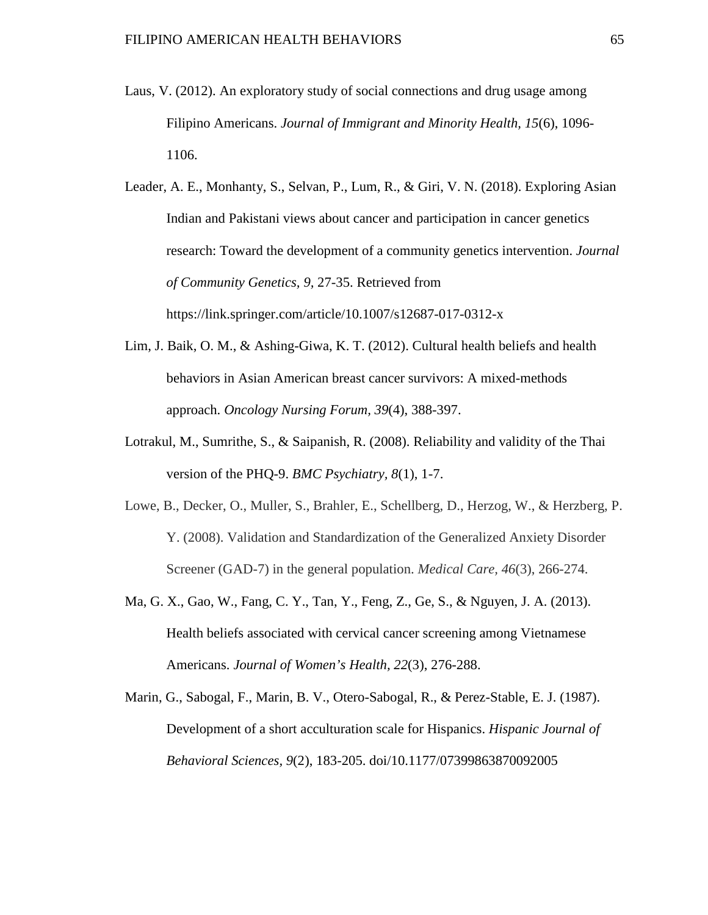- Laus, V. (2012). An exploratory study of social connections and drug usage among Filipino Americans. *Journal of Immigrant and Minority Health, 15*(6), 1096- 1106.
- Leader, A. E., Monhanty, S., Selvan, P., Lum, R., & Giri, V. N. (2018). Exploring Asian Indian and Pakistani views about cancer and participation in cancer genetics research: Toward the development of a community genetics intervention. *Journal of Community Genetics, 9,* 27-35. Retrieved from https://link.springer.com/article/10.1007/s12687-017-0312-x
- Lim, J. Baik, O. M., & Ashing-Giwa, K. T. (2012). Cultural health beliefs and health behaviors in Asian American breast cancer survivors: A mixed-methods approach. *Oncology Nursing Forum, 39*(4), 388-397.
- Lotrakul, M., Sumrithe, S., & Saipanish, R. (2008). Reliability and validity of the Thai version of the PHQ-9. *BMC Psychiatry, 8*(1), 1-7.
- Lowe, B., Decker, O., Muller, S., Brahler, E., Schellberg, D., Herzog, W., & Herzberg, P. Y. (2008). Validation and Standardization of the Generalized Anxiety Disorder Screener (GAD-7) in the general population. *Medical Care, 46*(3), 266-274.
- Ma, G. X., Gao, W., Fang, C. Y., Tan, Y., Feng, Z., Ge, S., & Nguyen, J. A. (2013). Health beliefs associated with cervical cancer screening among Vietnamese Americans. *Journal of Women's Health, 22*(3), 276-288.
- Marin, G., Sabogal, F., Marin, B. V., Otero-Sabogal, R., & Perez-Stable, E. J. (1987). Development of a short acculturation scale for Hispanics. *Hispanic Journal of Behavioral Sciences, 9*(2), 183-205. doi/10.1177/07399863870092005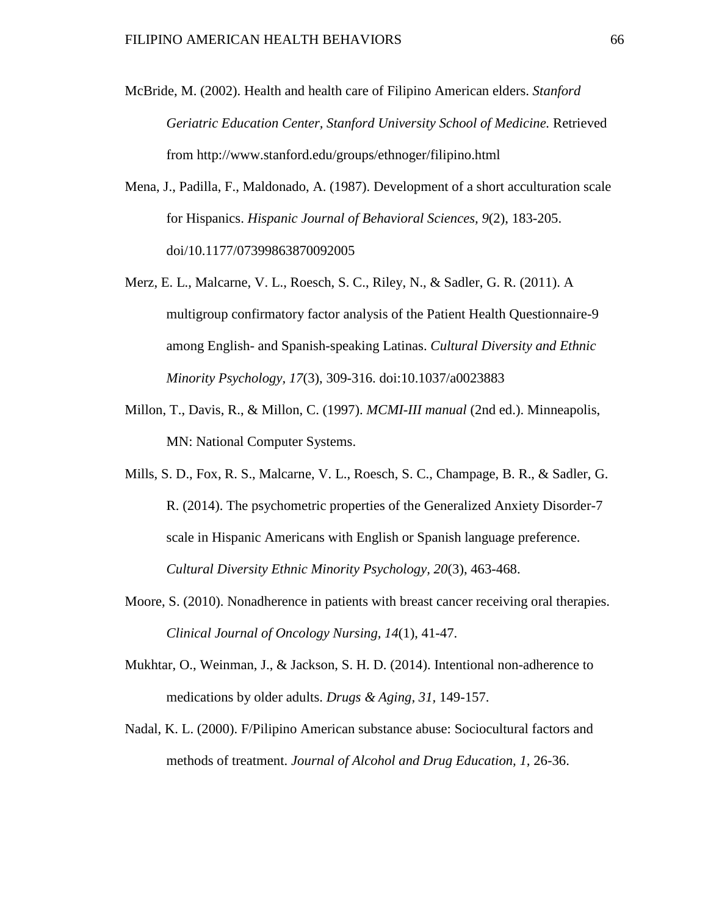- McBride, M. (2002). Health and health care of Filipino American elders. *Stanford Geriatric Education Center, Stanford University School of Medicine.* Retrieved from http://www.stanford.edu/groups/ethnoger/filipino.html
- Mena, J., Padilla, F., Maldonado, A. (1987). Development of a short acculturation scale for Hispanics. *Hispanic Journal of Behavioral Sciences, 9*(2), 183-205. doi/10.1177/07399863870092005
- Merz, E. L., Malcarne, V. L., Roesch, S. C., Riley, N., & Sadler, G. R. (2011). A multigroup confirmatory factor analysis of the Patient Health Questionnaire-9 among English- and Spanish-speaking Latinas. *Cultural Diversity and Ethnic Minority Psychology, 17*(3), 309-316. doi:10.1037/a0023883
- Millon, T., Davis, R., & Millon, C. (1997). *MCMI-III manual* (2nd ed.). Minneapolis, MN: National Computer Systems.
- Mills, S. D., Fox, R. S., Malcarne, V. L., Roesch, S. C., Champage, B. R., & Sadler, G. R. (2014). The psychometric properties of the Generalized Anxiety Disorder-7 scale in Hispanic Americans with English or Spanish language preference. *Cultural Diversity Ethnic Minority Psychology, 20*(3), 463-468.
- Moore, S. (2010). Nonadherence in patients with breast cancer receiving oral therapies. *Clinical Journal of Oncology Nursing, 14*(1), 41-47.
- Mukhtar, O., Weinman, J., & Jackson, S. H. D. (2014). Intentional non-adherence to medications by older adults. *Drugs & Aging, 31,* 149-157.
- Nadal, K. L. (2000). F/Pilipino American substance abuse: Sociocultural factors and methods of treatment. *Journal of Alcohol and Drug Education, 1,* 26-36.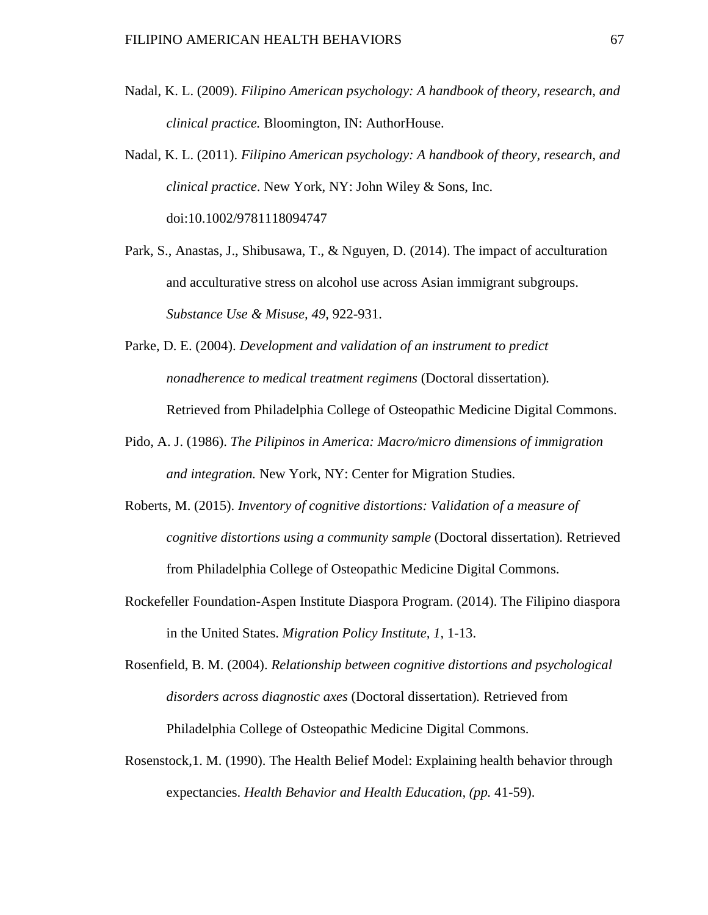- Nadal, K. L. (2009). *Filipino American psychology: A handbook of theory, research, and clinical practice.* Bloomington, IN: AuthorHouse.
- Nadal, K. L. (2011). *Filipino American psychology: A handbook of theory, research, and clinical practice*. New York, NY: John Wiley & Sons, Inc. doi:10.1002/9781118094747
- Park, S., Anastas, J., Shibusawa, T., & Nguyen, D. (2014). The impact of acculturation and acculturative stress on alcohol use across Asian immigrant subgroups. *Substance Use & Misuse, 49,* 922-931.
- Parke, D. E. (2004). *Development and validation of an instrument to predict nonadherence to medical treatment regimens* (Doctoral dissertation)*.* Retrieved from Philadelphia College of Osteopathic Medicine Digital Commons.
- Pido, A. J. (1986). *The Pilipinos in America: Macro/micro dimensions of immigration and integration.* New York, NY: Center for Migration Studies.
- Roberts, M. (2015). *Inventory of cognitive distortions: Validation of a measure of cognitive distortions using a community sample* (Doctoral dissertation)*.* Retrieved from Philadelphia College of Osteopathic Medicine Digital Commons.
- Rockefeller Foundation-Aspen Institute Diaspora Program. (2014). The Filipino diaspora in the United States. *Migration Policy Institute, 1,* 1-13.
- Rosenfield, B. M. (2004). *Relationship between cognitive distortions and psychological disorders across diagnostic axes* (Doctoral dissertation)*.* Retrieved from Philadelphia College of Osteopathic Medicine Digital Commons.
- Rosenstock,1. M. (1990). The Health Belief Model: Explaining health behavior through expectancies. *Health Behavior and Health Education, (pp.* 41-59).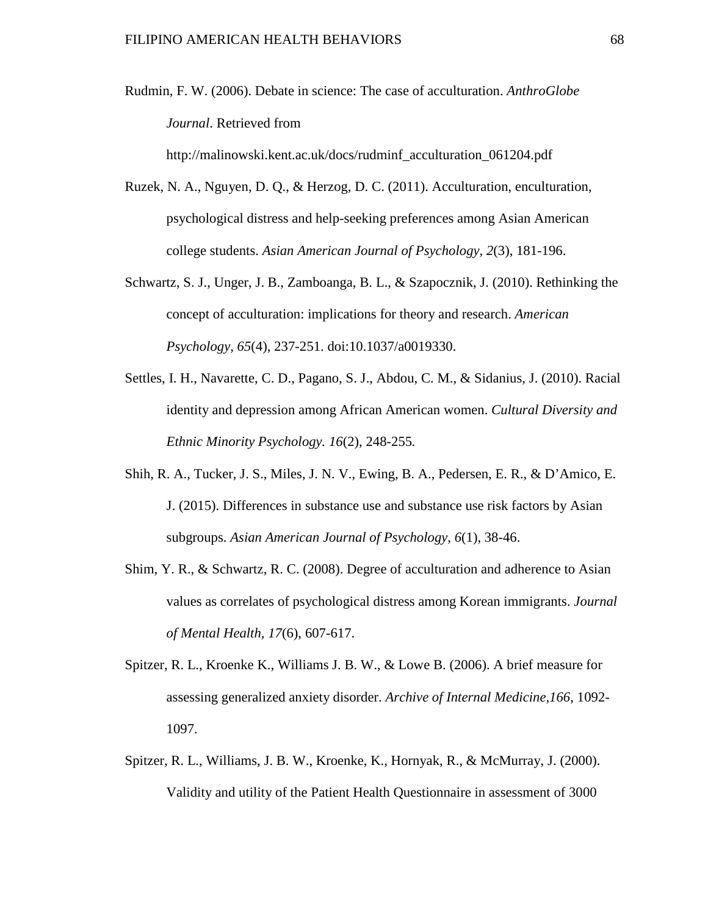Rudmin, F. W. (2006). Debate in science: The case of acculturation. *AnthroGlobe Journal*. Retrieved from

http://malinowski.kent.ac.uk/docs/rudminf\_acculturation\_061204.pdf

- Ruzek, N. A., Nguyen, D. Q., & Herzog, D. C. (2011). Acculturation, enculturation, psychological distress and help-seeking preferences among Asian American college students. *Asian American Journal of Psychology, 2*(3), 181-196.
- Schwartz, S. J., Unger, J. B., Zamboanga, B. L., & Szapocznik, J. (2010). Rethinking the concept of acculturation: implications for theory and research. *American Psychology, 65*(4), 237-251. doi:10.1037/a0019330.
- Settles, I. H., Navarette, C. D., Pagano, S. J., Abdou, C. M., & Sidanius, J. (2010). Racial identity and depression among African American women. *Cultural Diversity and Ethnic Minority Psychology. 16*(2), 248-255*.*
- Shih, R. A., Tucker, J. S., Miles, J. N. V., Ewing, B. A., Pedersen, E. R., & D'Amico, E. J. (2015). Differences in substance use and substance use risk factors by Asian subgroups. *Asian American Journal of Psychology, 6*(1), 38-46.
- Shim, Y. R., & Schwartz, R. C. (2008). Degree of acculturation and adherence to Asian values as correlates of psychological distress among Korean immigrants. *Journal of Mental Health, 17*(6), 607-617.
- Spitzer, R. L., Kroenke K., Williams J. B. W., & Lowe B. (2006). A brief measure for assessing generalized anxiety disorder. *Archive of Internal Medicine,166*, 1092- 1097.
- Spitzer, R. L., Williams, J. B. W., Kroenke, K., Hornyak, R., & McMurray, J. (2000). Validity and utility of the Patient Health Questionnaire in assessment of 3000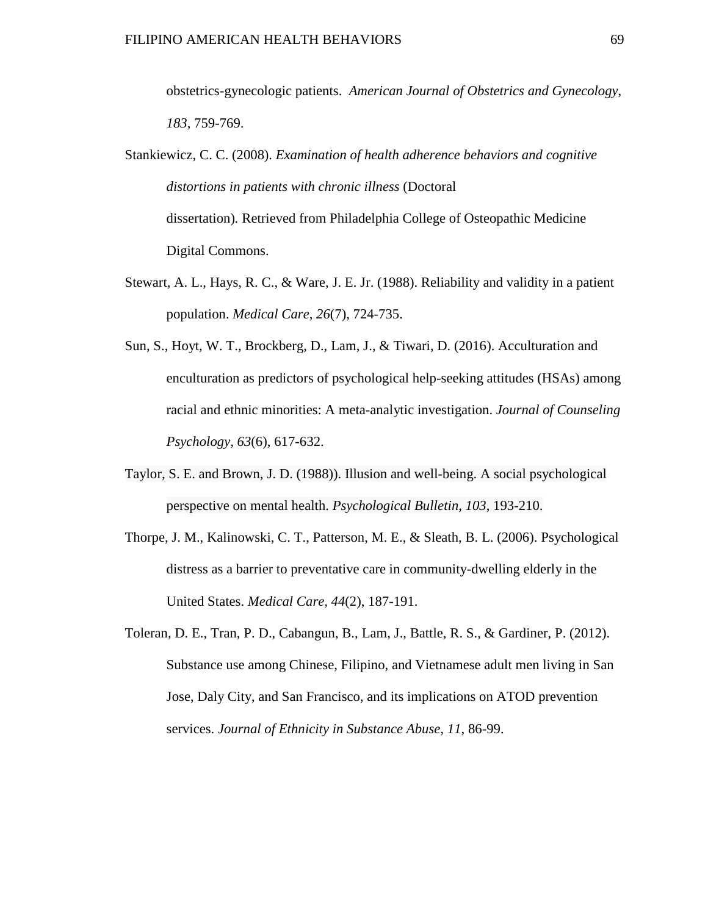obstetrics-gynecologic patients. *American Journal of Obstetrics and Gynecology*, *183*, 759-769.

Stankiewicz, C. C. (2008). *Examination of health adherence behaviors and cognitive distortions in patients with chronic illness* (Doctoral dissertation)*.* Retrieved from Philadelphia College of Osteopathic Medicine Digital Commons.

- Stewart, A. L., Hays, R. C., & Ware, J. E. Jr. (1988). Reliability and validity in a patient population. *Medical Care, 26*(7), 724-735.
- Sun, S., Hoyt, W. T., Brockberg, D., Lam, J., & Tiwari, D. (2016). Acculturation and enculturation as predictors of psychological help-seeking attitudes (HSAs) among racial and ethnic minorities: A meta-analytic investigation. *Journal of Counseling Psychology, 63*(6), 617-632.
- Taylor, S. E. and Brown, J. D. (1988)). Illusion and well-being. A social psychological perspective on mental health. *Psychological Bulletin, 103*, 193-210.
- Thorpe, J. M., Kalinowski, C. T., Patterson, M. E., & Sleath, B. L. (2006). Psychological distress as a barrier to preventative care in community-dwelling elderly in the United States. *Medical Care, 44*(2), 187-191.
- Toleran, D. E., Tran, P. D., Cabangun, B., Lam, J., Battle, R. S., & Gardiner, P. (2012). Substance use among Chinese, Filipino, and Vietnamese adult men living in San Jose, Daly City, and San Francisco, and its implications on ATOD prevention services. *Journal of Ethnicity in Substance Abuse, 11*, 86-99.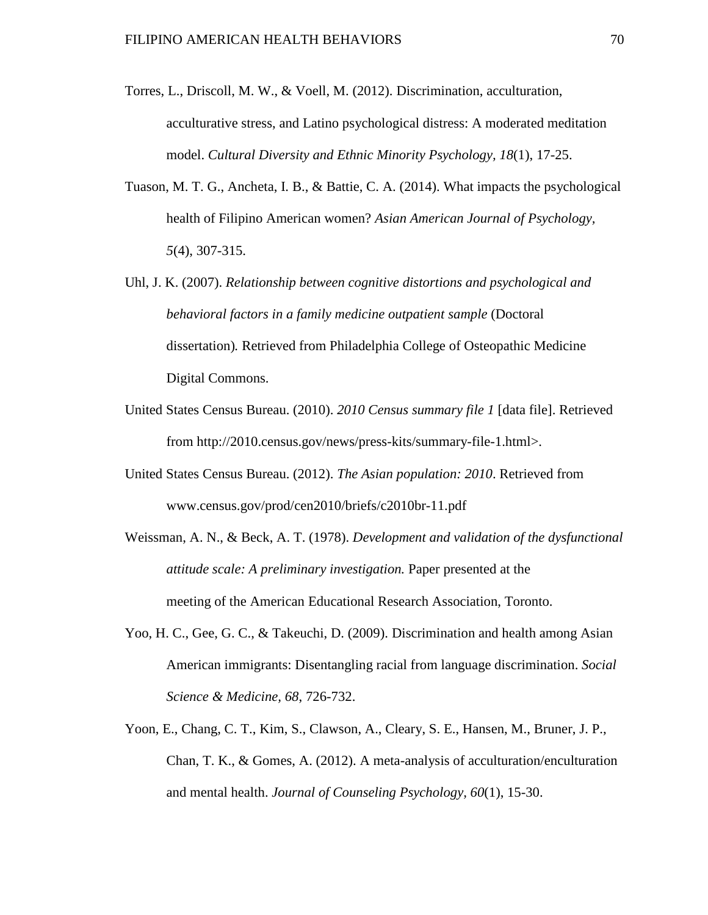- Torres, L., Driscoll, M. W., & Voell, M. (2012). Discrimination, acculturation, acculturative stress, and Latino psychological distress: A moderated meditation model. *Cultural Diversity and Ethnic Minority Psychology, 18*(1), 17-25.
- Tuason, M. T. G., Ancheta, I. B., & Battie, C. A. (2014). What impacts the psychological health of Filipino American women? *Asian American Journal of Psychology, 5*(4), 307-315.
- Uhl, J. K. (2007). *Relationship between cognitive distortions and psychological and behavioral factors in a family medicine outpatient sample* (Doctoral dissertation)*.* Retrieved from Philadelphia College of Osteopathic Medicine Digital Commons.
- United States Census Bureau. (2010). *2010 Census summary file 1* [data file]. Retrieved from http://2010.census.gov/news/press-kits/summary-file-1.html>.
- United States Census Bureau. (2012). *The Asian population: 2010*. Retrieved from www.census.gov/prod/cen2010/briefs/c2010br-11.pdf
- Weissman, A. N., & Beck, A. T. (1978). *Development and validation of the dysfunctional attitude scale: A preliminary investigation.* Paper presented at the meeting of the American Educational Research Association, Toronto.
- Yoo, H. C., Gee, G. C., & Takeuchi, D. (2009). Discrimination and health among Asian American immigrants: Disentangling racial from language discrimination. *Social Science & Medicine, 68*, 726-732.
- Yoon, E., Chang, C. T., Kim, S., Clawson, A., Cleary, S. E., Hansen, M., Bruner, J. P., Chan, T. K., & Gomes, A. (2012). A meta-analysis of acculturation/enculturation and mental health. *Journal of Counseling Psychology, 60*(1), 15-30.